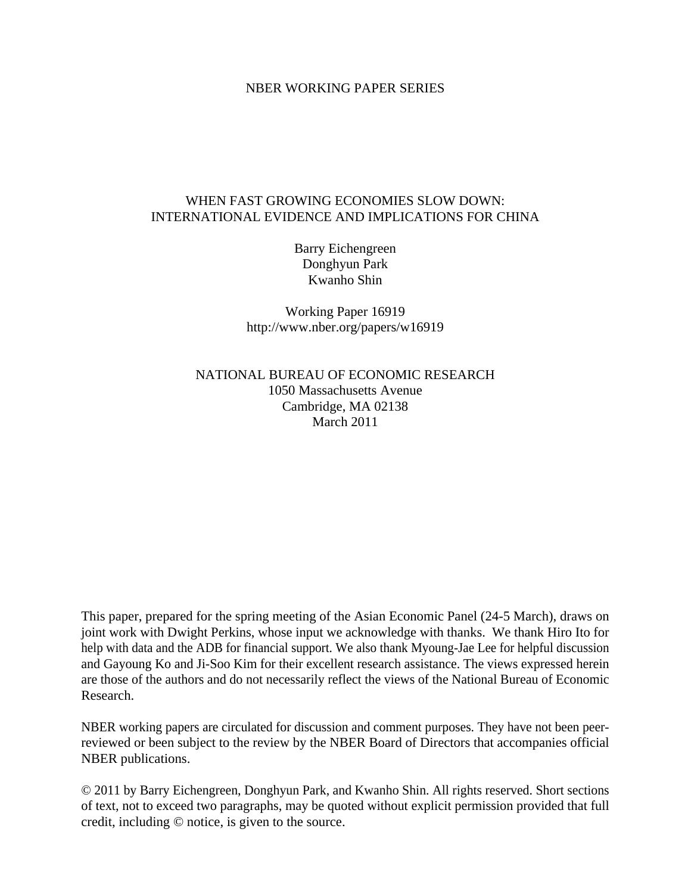## NBER WORKING PAPER SERIES

# WHEN FAST GROWING ECONOMIES SLOW DOWN: INTERNATIONAL EVIDENCE AND IMPLICATIONS FOR CHINA

Barry Eichengreen Donghyun Park Kwanho Shin

Working Paper 16919 http://www.nber.org/papers/w16919

NATIONAL BUREAU OF ECONOMIC RESEARCH 1050 Massachusetts Avenue Cambridge, MA 02138 March 2011

This paper, prepared for the spring meeting of the Asian Economic Panel (24-5 March), draws on joint work with Dwight Perkins, whose input we acknowledge with thanks. We thank Hiro Ito for help with data and the ADB for financial support. We also thank Myoung-Jae Lee for helpful discussion and Gayoung Ko and Ji-Soo Kim for their excellent research assistance. The views expressed herein are those of the authors and do not necessarily reflect the views of the National Bureau of Economic Research.

NBER working papers are circulated for discussion and comment purposes. They have not been peerreviewed or been subject to the review by the NBER Board of Directors that accompanies official NBER publications.

© 2011 by Barry Eichengreen, Donghyun Park, and Kwanho Shin. All rights reserved. Short sections of text, not to exceed two paragraphs, may be quoted without explicit permission provided that full credit, including © notice, is given to the source.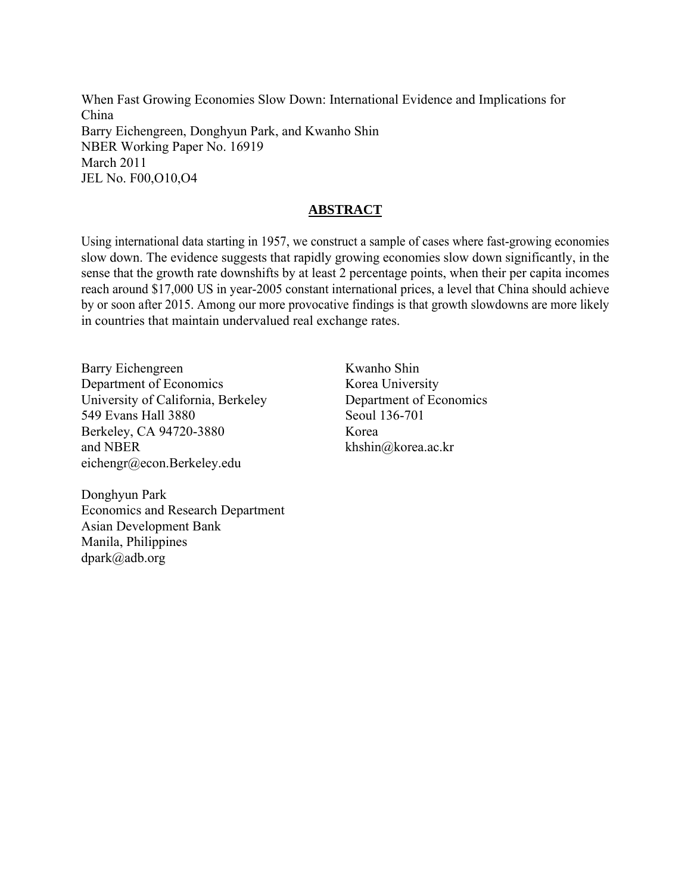When Fast Growing Economies Slow Down: International Evidence and Implications for China Barry Eichengreen, Donghyun Park, and Kwanho Shin NBER Working Paper No. 16919 March 2011 JEL No. F00,O10,O4

# **ABSTRACT**

Using international data starting in 1957, we construct a sample of cases where fast-growing economies slow down. The evidence suggests that rapidly growing economies slow down significantly, in the sense that the growth rate downshifts by at least 2 percentage points, when their per capita incomes reach around \$17,000 US in year-2005 constant international prices, a level that China should achieve by or soon after 2015. Among our more provocative findings is that growth slowdowns are more likely in countries that maintain undervalued real exchange rates.

Barry Eichengreen Department of Economics University of California, Berkeley 549 Evans Hall 3880 Berkeley, CA 94720-3880 and NBER eichengr@econ.Berkeley.edu

Kwanho Shin Korea University Department of Economics Seoul 136-701 Korea khshin@korea.ac.kr

Donghyun Park Economics and Research Department Asian Development Bank Manila, Philippines dpark@adb.org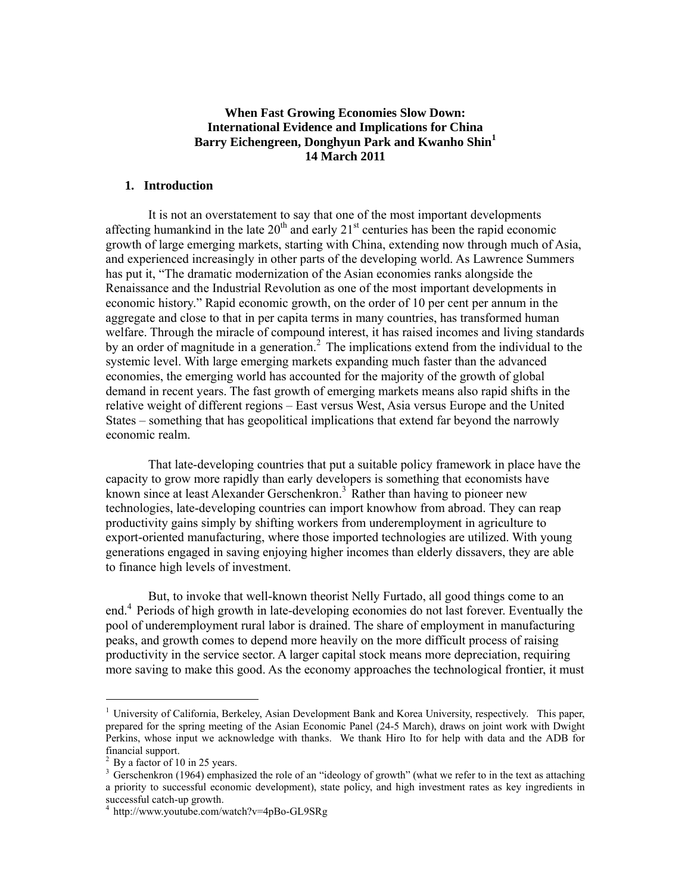## **When Fast Growing Economies Slow Down: International Evidence and Implications for China Barry Eichengreen, Donghyun Park and Kwanho Shin<sup>1</sup> 14 March 2011**

### **1. Introduction**

 It is not an overstatement to say that one of the most important developments affecting humankind in the late  $20<sup>th</sup>$  and early  $21<sup>st</sup>$  centuries has been the rapid economic growth of large emerging markets, starting with China, extending now through much of Asia, and experienced increasingly in other parts of the developing world. As Lawrence Summers has put it, "The dramatic modernization of the Asian economies ranks alongside the Renaissance and the Industrial Revolution as one of the most important developments in economic history." Rapid economic growth, on the order of 10 per cent per annum in the aggregate and close to that in per capita terms in many countries, has transformed human welfare. Through the miracle of compound interest, it has raised incomes and living standards by an order of magnitude in a generation.<sup>2</sup> The implications extend from the individual to the systemic level. With large emerging markets expanding much faster than the advanced economies, the emerging world has accounted for the majority of the growth of global demand in recent years. The fast growth of emerging markets means also rapid shifts in the relative weight of different regions – East versus West, Asia versus Europe and the United States – something that has geopolitical implications that extend far beyond the narrowly economic realm.

 That late-developing countries that put a suitable policy framework in place have the capacity to grow more rapidly than early developers is something that economists have known since at least Alexander Gerschenkron.<sup>3</sup> Rather than having to pioneer new technologies, late-developing countries can import knowhow from abroad. They can reap productivity gains simply by shifting workers from underemployment in agriculture to export-oriented manufacturing, where those imported technologies are utilized. With young generations engaged in saving enjoying higher incomes than elderly dissavers, they are able to finance high levels of investment.

 But, to invoke that well-known theorist Nelly Furtado, all good things come to an end.<sup>4</sup> Periods of high growth in late-developing economies do not last forever. Eventually the pool of underemployment rural labor is drained. The share of employment in manufacturing peaks, and growth comes to depend more heavily on the more difficult process of raising productivity in the service sector. A larger capital stock means more depreciation, requiring more saving to make this good. As the economy approaches the technological frontier, it must

<sup>1</sup> University of California, Berkeley, Asian Development Bank and Korea University, respectively. This paper, prepared for the spring meeting of the Asian Economic Panel (24-5 March), draws on joint work with Dwight Perkins, whose input we acknowledge with thanks. We thank Hiro Ito for help with data and the ADB for financial support.

<sup>&</sup>lt;sup>2</sup> By a factor of 10 in 25 years.

<sup>&</sup>lt;sup>3</sup> Gerschenkron (1964) emphasized the role of an "ideology of growth" (what we refer to in the text as attaching a priority to successful economic development), state policy, and high investment rates as key ingredients in successful catch-up growth.

<sup>4</sup> http://www.youtube.com/watch?v=4pBo-GL9SRg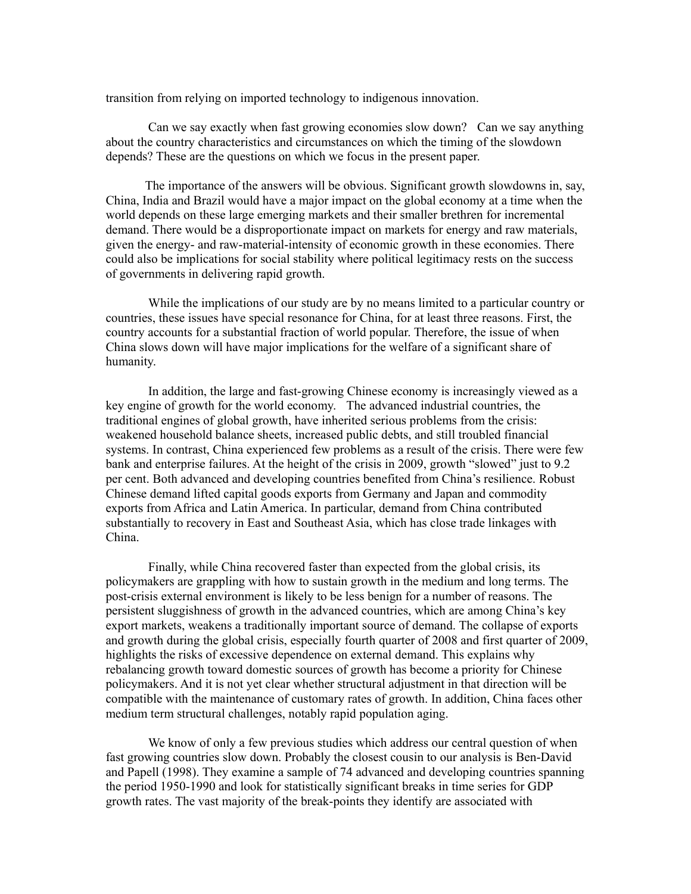transition from relying on imported technology to indigenous innovation.

 Can we say exactly when fast growing economies slow down? Can we say anything about the country characteristics and circumstances on which the timing of the slowdown depends? These are the questions on which we focus in the present paper.

 The importance of the answers will be obvious. Significant growth slowdowns in, say, China, India and Brazil would have a major impact on the global economy at a time when the world depends on these large emerging markets and their smaller brethren for incremental demand. There would be a disproportionate impact on markets for energy and raw materials, given the energy- and raw-material-intensity of economic growth in these economies. There could also be implications for social stability where political legitimacy rests on the success of governments in delivering rapid growth.

 While the implications of our study are by no means limited to a particular country or countries, these issues have special resonance for China, for at least three reasons. First, the country accounts for a substantial fraction of world popular. Therefore, the issue of when China slows down will have major implications for the welfare of a significant share of humanity.

In addition, the large and fast-growing Chinese economy is increasingly viewed as a key engine of growth for the world economy. The advanced industrial countries, the traditional engines of global growth, have inherited serious problems from the crisis: weakened household balance sheets, increased public debts, and still troubled financial systems. In contrast, China experienced few problems as a result of the crisis. There were few bank and enterprise failures. At the height of the crisis in 2009, growth "slowed" just to 9.2 per cent. Both advanced and developing countries benefited from China's resilience. Robust Chinese demand lifted capital goods exports from Germany and Japan and commodity exports from Africa and Latin America. In particular, demand from China contributed substantially to recovery in East and Southeast Asia, which has close trade linkages with China.

 Finally, while China recovered faster than expected from the global crisis, its policymakers are grappling with how to sustain growth in the medium and long terms. The post-crisis external environment is likely to be less benign for a number of reasons. The persistent sluggishness of growth in the advanced countries, which are among China's key export markets, weakens a traditionally important source of demand. The collapse of exports and growth during the global crisis, especially fourth quarter of 2008 and first quarter of 2009, highlights the risks of excessive dependence on external demand. This explains why rebalancing growth toward domestic sources of growth has become a priority for Chinese policymakers. And it is not yet clear whether structural adjustment in that direction will be compatible with the maintenance of customary rates of growth. In addition, China faces other medium term structural challenges, notably rapid population aging.

 We know of only a few previous studies which address our central question of when fast growing countries slow down. Probably the closest cousin to our analysis is Ben-David and Papell (1998). They examine a sample of 74 advanced and developing countries spanning the period 1950-1990 and look for statistically significant breaks in time series for GDP growth rates. The vast majority of the break-points they identify are associated with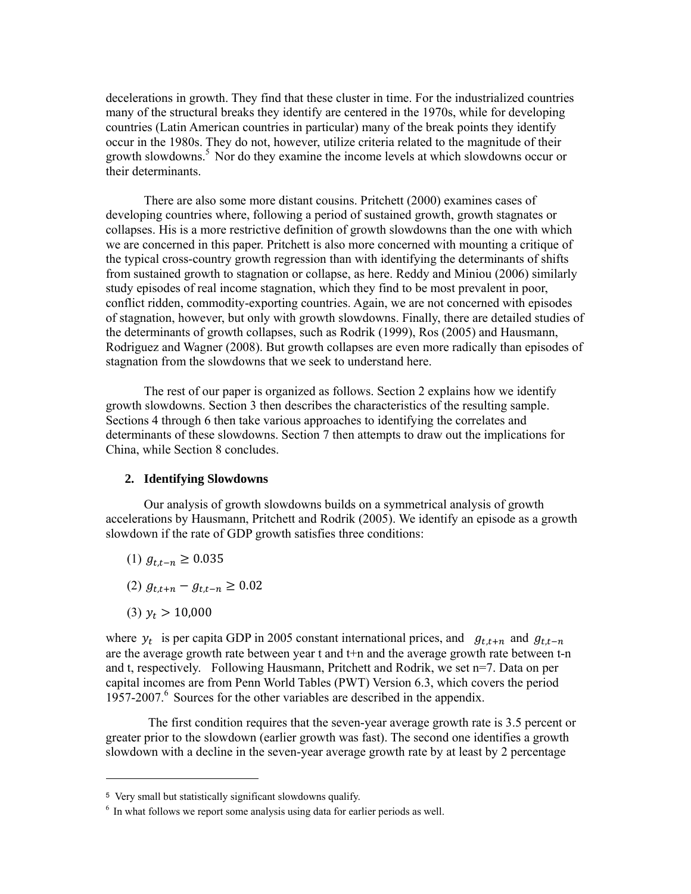decelerations in growth. They find that these cluster in time. For the industrialized countries many of the structural breaks they identify are centered in the 1970s, while for developing countries (Latin American countries in particular) many of the break points they identify occur in the 1980s. They do not, however, utilize criteria related to the magnitude of their growth slowdowns.<sup>5</sup> Nor do they examine the income levels at which slowdowns occur or their determinants.

There are also some more distant cousins. Pritchett (2000) examines cases of developing countries where, following a period of sustained growth, growth stagnates or collapses. His is a more restrictive definition of growth slowdowns than the one with which we are concerned in this paper. Pritchett is also more concerned with mounting a critique of the typical cross-country growth regression than with identifying the determinants of shifts from sustained growth to stagnation or collapse, as here. Reddy and Miniou (2006) similarly study episodes of real income stagnation, which they find to be most prevalent in poor, conflict ridden, commodity-exporting countries. Again, we are not concerned with episodes of stagnation, however, but only with growth slowdowns. Finally, there are detailed studies of the determinants of growth collapses, such as Rodrik (1999), Ros (2005) and Hausmann, Rodriguez and Wagner (2008). But growth collapses are even more radically than episodes of stagnation from the slowdowns that we seek to understand here.

The rest of our paper is organized as follows. Section 2 explains how we identify growth slowdowns. Section 3 then describes the characteristics of the resulting sample. Sections 4 through 6 then take various approaches to identifying the correlates and determinants of these slowdowns. Section 7 then attempts to draw out the implications for China, while Section 8 concludes.

### **2. Identifying Slowdowns**

Our analysis of growth slowdowns builds on a symmetrical analysis of growth accelerations by Hausmann, Pritchett and Rodrik (2005). We identify an episode as a growth slowdown if the rate of GDP growth satisfies three conditions:

- (1)  $g_{t,t-n} \ge 0.035$
- $(2) g_{t,t+n} g_{t,t-n} \geq 0.02$
- (3)  $y_t > 10,000$

-

where  $y_t$  is per capita GDP in 2005 constant international prices, and  $g_{t,t+n}$  and  $g_{t,t-n}$ are the average growth rate between year t and t+n and the average growth rate between t-n and t, respectively. Following Hausmann, Pritchett and Rodrik, we set n=7. Data on per capital incomes are from Penn World Tables (PWT) Version 6.3, which covers the period 1957-2007.<sup>6</sup> Sources for the other variables are described in the appendix.

The first condition requires that the seven-year average growth rate is 3.5 percent or greater prior to the slowdown (earlier growth was fast). The second one identifies a growth slowdown with a decline in the seven-year average growth rate by at least by 2 percentage

<sup>5</sup> Very small but statistically significant slowdowns qualify.

 $6$  In what follows we report some analysis using data for earlier periods as well.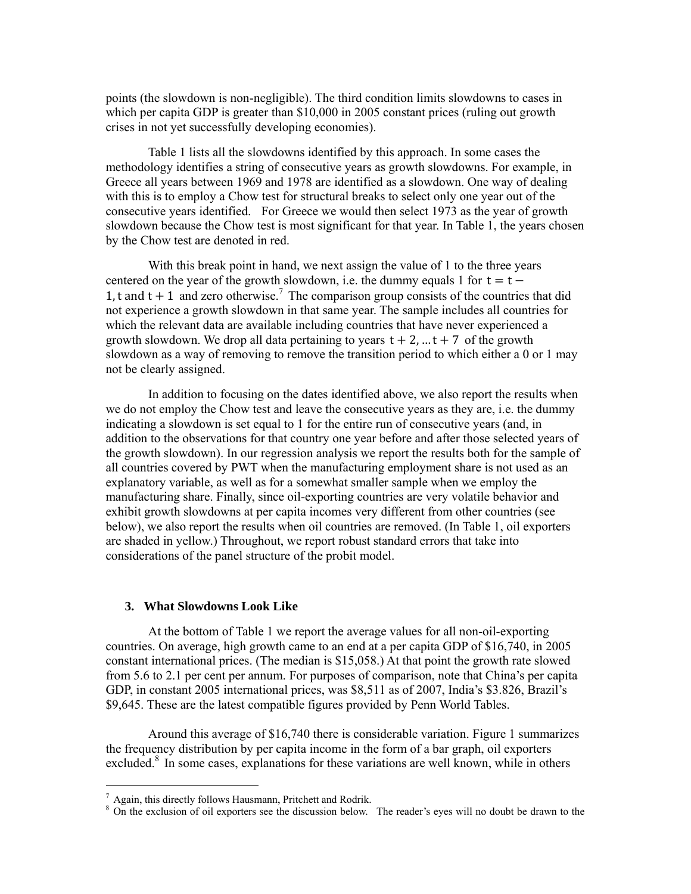points (the slowdown is non-negligible). The third condition limits slowdowns to cases in which per capita GDP is greater than \$10,000 in 2005 constant prices (ruling out growth crises in not yet successfully developing economies).

Table 1 lists all the slowdowns identified by this approach. In some cases the methodology identifies a string of consecutive years as growth slowdowns. For example, in Greece all years between 1969 and 1978 are identified as a slowdown. One way of dealing with this is to employ a Chow test for structural breaks to select only one year out of the consecutive years identified. For Greece we would then select 1973 as the year of growth slowdown because the Chow test is most significant for that year. In Table 1, the years chosen by the Chow test are denoted in red.

With this break point in hand, we next assign the value of 1 to the three years centered on the year of the growth slowdown, i.e. the dummy equals 1 for  $t = t -$ 1, t and  $t + 1$  and zero otherwise.<sup>7</sup> The comparison group consists of the countries that did not experience a growth slowdown in that same year. The sample includes all countries for which the relevant data are available including countries that have never experienced a growth slowdown. We drop all data pertaining to years  $t + 2$ , ...  $t + 7$  of the growth slowdown as a way of removing to remove the transition period to which either a 0 or 1 may not be clearly assigned.

In addition to focusing on the dates identified above, we also report the results when we do not employ the Chow test and leave the consecutive years as they are, i.e. the dummy indicating a slowdown is set equal to 1 for the entire run of consecutive years (and, in addition to the observations for that country one year before and after those selected years of the growth slowdown). In our regression analysis we report the results both for the sample of all countries covered by PWT when the manufacturing employment share is not used as an explanatory variable, as well as for a somewhat smaller sample when we employ the manufacturing share. Finally, since oil-exporting countries are very volatile behavior and exhibit growth slowdowns at per capita incomes very different from other countries (see below), we also report the results when oil countries are removed. (In Table 1, oil exporters are shaded in yellow.) Throughout, we report robust standard errors that take into considerations of the panel structure of the probit model.

#### **3. What Slowdowns Look Like**

At the bottom of Table 1 we report the average values for all non-oil-exporting countries. On average, high growth came to an end at a per capita GDP of \$16,740, in 2005 constant international prices. (The median is \$15,058.) At that point the growth rate slowed from 5.6 to 2.1 per cent per annum. For purposes of comparison, note that China's per capita GDP, in constant 2005 international prices, was \$8,511 as of 2007, India's \$3.826, Brazil's \$9,645. These are the latest compatible figures provided by Penn World Tables.

Around this average of \$16,740 there is considerable variation. Figure 1 summarizes the frequency distribution by per capita income in the form of a bar graph, oil exporters excluded.<sup>8</sup> In some cases, explanations for these variations are well known, while in others

<sup>7</sup> Again, this directly follows Hausmann, Pritchett and Rodrik.

<sup>&</sup>lt;sup>8</sup> On the exclusion of oil exporters see the discussion below. The reader's eyes will no doubt be drawn to the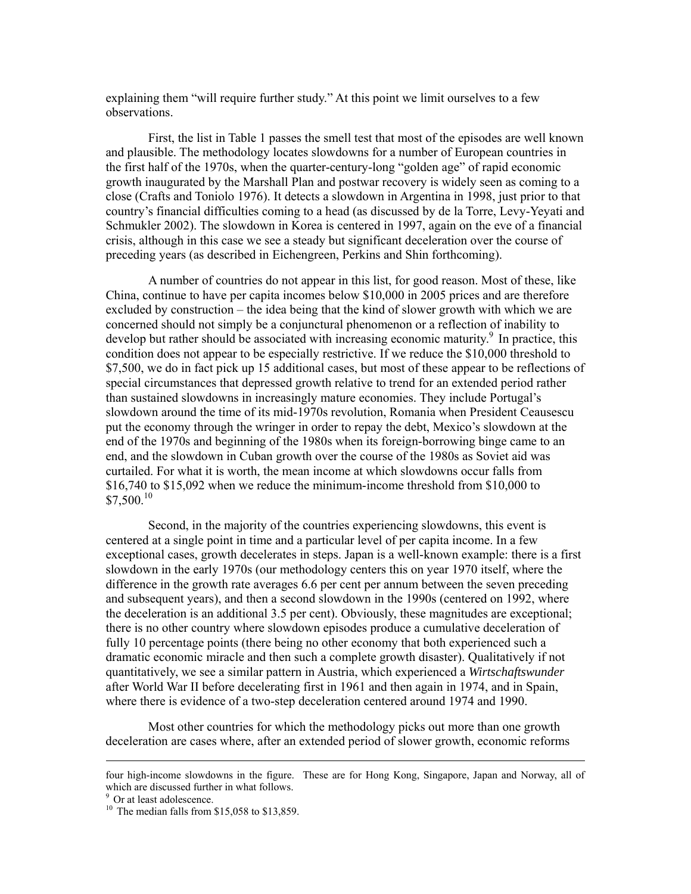explaining them "will require further study." At this point we limit ourselves to a few observations.

First, the list in Table 1 passes the smell test that most of the episodes are well known and plausible. The methodology locates slowdowns for a number of European countries in the first half of the 1970s, when the quarter-century-long "golden age" of rapid economic growth inaugurated by the Marshall Plan and postwar recovery is widely seen as coming to a close (Crafts and Toniolo 1976). It detects a slowdown in Argentina in 1998, just prior to that country's financial difficulties coming to a head (as discussed by de la Torre, Levy-Yeyati and Schmukler 2002). The slowdown in Korea is centered in 1997, again on the eve of a financial crisis, although in this case we see a steady but significant deceleration over the course of preceding years (as described in Eichengreen, Perkins and Shin forthcoming).

A number of countries do not appear in this list, for good reason. Most of these, like China, continue to have per capita incomes below \$10,000 in 2005 prices and are therefore excluded by construction – the idea being that the kind of slower growth with which we are concerned should not simply be a conjunctural phenomenon or a reflection of inability to develop but rather should be associated with increasing economic maturity.<sup>9</sup> In practice, this condition does not appear to be especially restrictive. If we reduce the \$10,000 threshold to \$7,500, we do in fact pick up 15 additional cases, but most of these appear to be reflections of special circumstances that depressed growth relative to trend for an extended period rather than sustained slowdowns in increasingly mature economies. They include Portugal's slowdown around the time of its mid-1970s revolution, Romania when President Ceausescu put the economy through the wringer in order to repay the debt, Mexico's slowdown at the end of the 1970s and beginning of the 1980s when its foreign-borrowing binge came to an end, and the slowdown in Cuban growth over the course of the 1980s as Soviet aid was curtailed. For what it is worth, the mean income at which slowdowns occur falls from \$16,740 to \$15,092 when we reduce the minimum-income threshold from \$10,000 to  $$7,500<sup>10</sup>$ 

 Second, in the majority of the countries experiencing slowdowns, this event is centered at a single point in time and a particular level of per capita income. In a few exceptional cases, growth decelerates in steps. Japan is a well-known example: there is a first slowdown in the early 1970s (our methodology centers this on year 1970 itself, where the difference in the growth rate averages 6.6 per cent per annum between the seven preceding and subsequent years), and then a second slowdown in the 1990s (centered on 1992, where the deceleration is an additional 3.5 per cent). Obviously, these magnitudes are exceptional; there is no other country where slowdown episodes produce a cumulative deceleration of fully 10 percentage points (there being no other economy that both experienced such a dramatic economic miracle and then such a complete growth disaster). Qualitatively if not quantitatively, we see a similar pattern in Austria, which experienced a *Wirtschaftswunder* after World War II before decelerating first in 1961 and then again in 1974, and in Spain, where there is evidence of a two-step deceleration centered around 1974 and 1990.

Most other countries for which the methodology picks out more than one growth deceleration are cases where, after an extended period of slower growth, economic reforms

four high-income slowdowns in the figure. These are for Hong Kong, Singapore, Japan and Norway, all of which are discussed further in what follows.

<sup>&</sup>lt;sup>9</sup> Or at least adolescence.

<sup>&</sup>lt;sup>10</sup> The median falls from \$15,058 to \$13,859.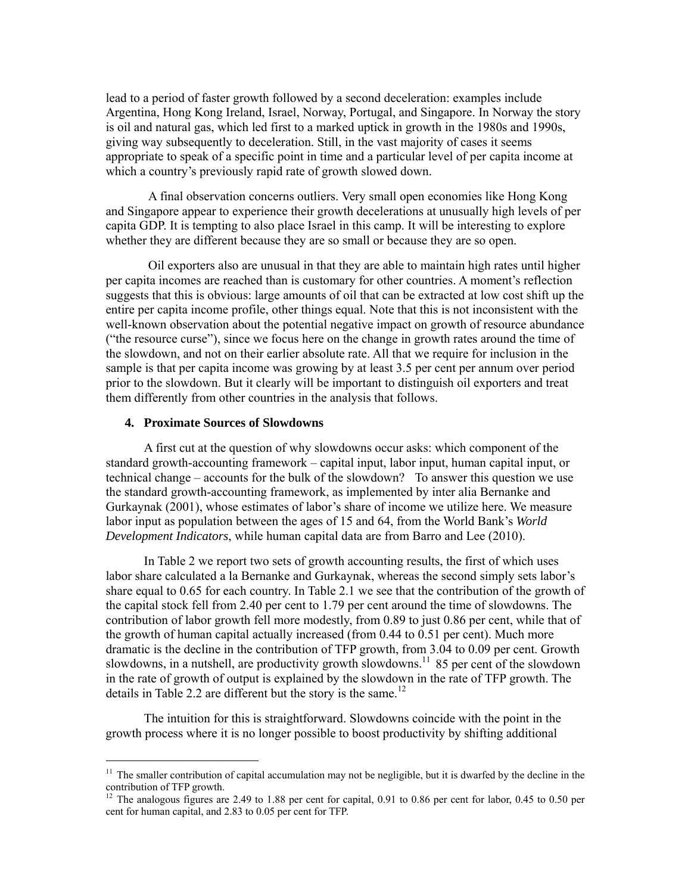lead to a period of faster growth followed by a second deceleration: examples include Argentina, Hong Kong Ireland, Israel, Norway, Portugal, and Singapore. In Norway the story is oil and natural gas, which led first to a marked uptick in growth in the 1980s and 1990s, giving way subsequently to deceleration. Still, in the vast majority of cases it seems appropriate to speak of a specific point in time and a particular level of per capita income at which a country's previously rapid rate of growth slowed down.

A final observation concerns outliers. Very small open economies like Hong Kong and Singapore appear to experience their growth decelerations at unusually high levels of per capita GDP. It is tempting to also place Israel in this camp. It will be interesting to explore whether they are different because they are so small or because they are so open.

Oil exporters also are unusual in that they are able to maintain high rates until higher per capita incomes are reached than is customary for other countries. A moment's reflection suggests that this is obvious: large amounts of oil that can be extracted at low cost shift up the entire per capita income profile, other things equal. Note that this is not inconsistent with the well-known observation about the potential negative impact on growth of resource abundance ("the resource curse"), since we focus here on the change in growth rates around the time of the slowdown, and not on their earlier absolute rate. All that we require for inclusion in the sample is that per capita income was growing by at least 3.5 per cent per annum over period prior to the slowdown. But it clearly will be important to distinguish oil exporters and treat them differently from other countries in the analysis that follows.

### **4. Proximate Sources of Slowdowns**

-

A first cut at the question of why slowdowns occur asks: which component of the standard growth-accounting framework – capital input, labor input, human capital input, or technical change – accounts for the bulk of the slowdown? To answer this question we use the standard growth-accounting framework, as implemented by inter alia Bernanke and Gurkaynak (2001), whose estimates of labor's share of income we utilize here. We measure labor input as population between the ages of 15 and 64, from the World Bank's *World Development Indicators*, while human capital data are from Barro and Lee (2010).

In Table 2 we report two sets of growth accounting results, the first of which uses labor share calculated a la Bernanke and Gurkaynak, whereas the second simply sets labor's share equal to 0.65 for each country. In Table 2.1 we see that the contribution of the growth of the capital stock fell from 2.40 per cent to 1.79 per cent around the time of slowdowns. The contribution of labor growth fell more modestly, from 0.89 to just 0.86 per cent, while that of the growth of human capital actually increased (from 0.44 to 0.51 per cent). Much more dramatic is the decline in the contribution of TFP growth, from 3.04 to 0.09 per cent. Growth slowdowns, in a nutshell, are productivity growth slowdowns.<sup>11</sup> 85 per cent of the slowdown in the rate of growth of output is explained by the slowdown in the rate of TFP growth. The details in Table 2.2 are different but the story is the same.<sup>12</sup>

The intuition for this is straightforward. Slowdowns coincide with the point in the growth process where it is no longer possible to boost productivity by shifting additional

<sup>&</sup>lt;sup>11</sup> The smaller contribution of capital accumulation may not be negligible, but it is dwarfed by the decline in the contribution of TFP growth.

<sup>&</sup>lt;sup>12</sup> The analogous figures are 2.49 to 1.88 per cent for capital, 0.91 to 0.86 per cent for labor, 0.45 to 0.50 per cent for human capital, and 2.83 to 0.05 per cent for TFP.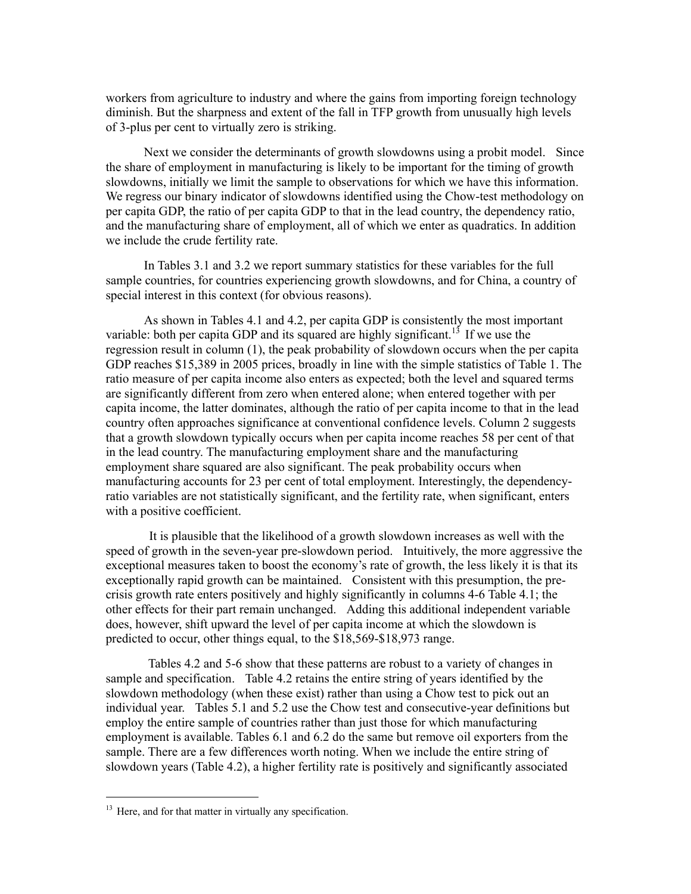workers from agriculture to industry and where the gains from importing foreign technology diminish. But the sharpness and extent of the fall in TFP growth from unusually high levels of 3-plus per cent to virtually zero is striking.

Next we consider the determinants of growth slowdowns using a probit model. Since the share of employment in manufacturing is likely to be important for the timing of growth slowdowns, initially we limit the sample to observations for which we have this information. We regress our binary indicator of slowdowns identified using the Chow-test methodology on per capita GDP, the ratio of per capita GDP to that in the lead country, the dependency ratio, and the manufacturing share of employment, all of which we enter as quadratics. In addition we include the crude fertility rate.

In Tables 3.1 and 3.2 we report summary statistics for these variables for the full sample countries, for countries experiencing growth slowdowns, and for China, a country of special interest in this context (for obvious reasons).

As shown in Tables 4.1 and 4.2, per capita GDP is consistently the most important variable: both per capita GDP and its squared are highly significant.<sup>13</sup> If we use the regression result in column (1), the peak probability of slowdown occurs when the per capita GDP reaches \$15,389 in 2005 prices, broadly in line with the simple statistics of Table 1. The ratio measure of per capita income also enters as expected; both the level and squared terms are significantly different from zero when entered alone; when entered together with per capita income, the latter dominates, although the ratio of per capita income to that in the lead country often approaches significance at conventional confidence levels. Column 2 suggests that a growth slowdown typically occurs when per capita income reaches 58 per cent of that in the lead country. The manufacturing employment share and the manufacturing employment share squared are also significant. The peak probability occurs when manufacturing accounts for 23 per cent of total employment. Interestingly, the dependencyratio variables are not statistically significant, and the fertility rate, when significant, enters with a positive coefficient.

 It is plausible that the likelihood of a growth slowdown increases as well with the speed of growth in the seven-year pre-slowdown period. Intuitively, the more aggressive the exceptional measures taken to boost the economy's rate of growth, the less likely it is that its exceptionally rapid growth can be maintained. Consistent with this presumption, the precrisis growth rate enters positively and highly significantly in columns 4-6 Table 4.1; the other effects for their part remain unchanged. Adding this additional independent variable does, however, shift upward the level of per capita income at which the slowdown is predicted to occur, other things equal, to the \$18,569-\$18,973 range.

 Tables 4.2 and 5-6 show that these patterns are robust to a variety of changes in sample and specification. Table 4.2 retains the entire string of years identified by the slowdown methodology (when these exist) rather than using a Chow test to pick out an individual year. Tables 5.1 and 5.2 use the Chow test and consecutive-year definitions but employ the entire sample of countries rather than just those for which manufacturing employment is available. Tables 6.1 and 6.2 do the same but remove oil exporters from the sample. There are a few differences worth noting. When we include the entire string of slowdown years (Table 4.2), a higher fertility rate is positively and significantly associated

<sup>&</sup>lt;sup>13</sup> Here, and for that matter in virtually any specification.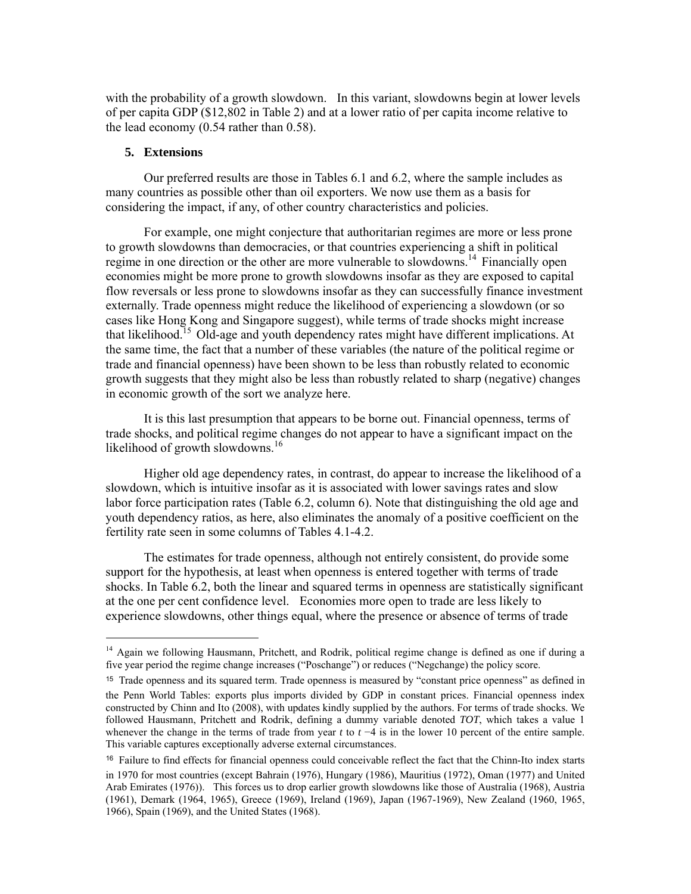with the probability of a growth slowdown. In this variant, slowdowns begin at lower levels of per capita GDP (\$12,802 in Table 2) and at a lower ratio of per capita income relative to the lead economy (0.54 rather than 0.58).

### **5. Extensions**

-

Our preferred results are those in Tables 6.1 and 6.2, where the sample includes as many countries as possible other than oil exporters. We now use them as a basis for considering the impact, if any, of other country characteristics and policies.

For example, one might conjecture that authoritarian regimes are more or less prone to growth slowdowns than democracies, or that countries experiencing a shift in political regime in one direction or the other are more vulnerable to slowdowns.<sup>14</sup> Financially open economies might be more prone to growth slowdowns insofar as they are exposed to capital flow reversals or less prone to slowdowns insofar as they can successfully finance investment externally. Trade openness might reduce the likelihood of experiencing a slowdown (or so cases like Hong Kong and Singapore suggest), while terms of trade shocks might increase that likelihood.<sup>15</sup> Old-age and youth dependency rates might have different implications. At the same time, the fact that a number of these variables (the nature of the political regime or trade and financial openness) have been shown to be less than robustly related to economic growth suggests that they might also be less than robustly related to sharp (negative) changes in economic growth of the sort we analyze here.

It is this last presumption that appears to be borne out. Financial openness, terms of trade shocks, and political regime changes do not appear to have a significant impact on the likelihood of growth slowdowns.<sup>16</sup>

Higher old age dependency rates, in contrast, do appear to increase the likelihood of a slowdown, which is intuitive insofar as it is associated with lower savings rates and slow labor force participation rates (Table 6.2, column 6). Note that distinguishing the old age and youth dependency ratios, as here, also eliminates the anomaly of a positive coefficient on the fertility rate seen in some columns of Tables 4.1-4.2.

The estimates for trade openness, although not entirely consistent, do provide some support for the hypothesis, at least when openness is entered together with terms of trade shocks. In Table 6.2, both the linear and squared terms in openness are statistically significant at the one per cent confidence level. Economies more open to trade are less likely to experience slowdowns, other things equal, where the presence or absence of terms of trade

<sup>&</sup>lt;sup>14</sup> Again we following Hausmann, Pritchett, and Rodrik, political regime change is defined as one if during a five year period the regime change increases ("Poschange") or reduces ("Negchange) the policy score.

<sup>15</sup> Trade openness and its squared term. Trade openness is measured by "constant price openness" as defined in the Penn World Tables: exports plus imports divided by GDP in constant prices. Financial openness index constructed by Chinn and Ito (2008), with updates kindly supplied by the authors. For terms of trade shocks. We followed Hausmann, Pritchett and Rodrik, defining a dummy variable denoted *TOT*, which takes a value 1 whenever the change in the terms of trade from year *t* to *t* −4 is in the lower 10 percent of the entire sample. This variable captures exceptionally adverse external circumstances.

<sup>16</sup> Failure to find effects for financial openness could conceivable reflect the fact that the Chinn-Ito index starts in 1970 for most countries (except Bahrain (1976), Hungary (1986), Mauritius (1972), Oman (1977) and United Arab Emirates (1976)). This forces us to drop earlier growth slowdowns like those of Australia (1968), Austria (1961), Demark (1964, 1965), Greece (1969), Ireland (1969), Japan (1967-1969), New Zealand (1960, 1965, 1966), Spain (1969), and the United States (1968).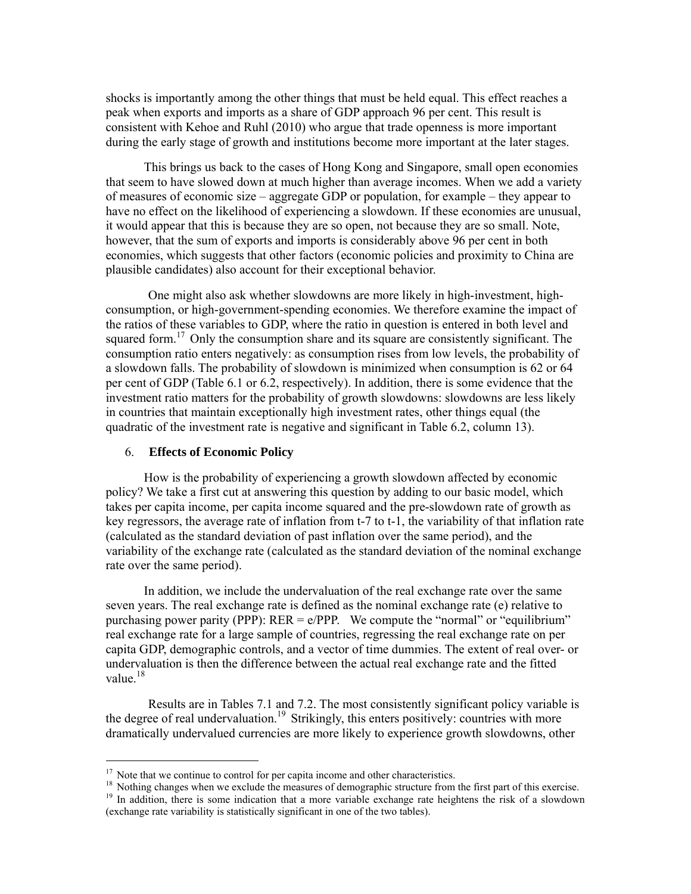shocks is importantly among the other things that must be held equal. This effect reaches a peak when exports and imports as a share of GDP approach 96 per cent. This result is consistent with Kehoe and Ruhl (2010) who argue that trade openness is more important during the early stage of growth and institutions become more important at the later stages.

This brings us back to the cases of Hong Kong and Singapore, small open economies that seem to have slowed down at much higher than average incomes. When we add a variety of measures of economic size – aggregate GDP or population, for example – they appear to have no effect on the likelihood of experiencing a slowdown. If these economies are unusual, it would appear that this is because they are so open, not because they are so small. Note, however, that the sum of exports and imports is considerably above 96 per cent in both economies, which suggests that other factors (economic policies and proximity to China are plausible candidates) also account for their exceptional behavior.

 One might also ask whether slowdowns are more likely in high-investment, highconsumption, or high-government-spending economies. We therefore examine the impact of the ratios of these variables to GDP, where the ratio in question is entered in both level and squared form.<sup>17</sup> Only the consumption share and its square are consistently significant. The consumption ratio enters negatively: as consumption rises from low levels, the probability of a slowdown falls. The probability of slowdown is minimized when consumption is 62 or 64 per cent of GDP (Table 6.1 or 6.2, respectively). In addition, there is some evidence that the investment ratio matters for the probability of growth slowdowns: slowdowns are less likely in countries that maintain exceptionally high investment rates, other things equal (the quadratic of the investment rate is negative and significant in Table 6.2, column 13).

#### 6. **Effects of Economic Policy**

-

How is the probability of experiencing a growth slowdown affected by economic policy? We take a first cut at answering this question by adding to our basic model, which takes per capita income, per capita income squared and the pre-slowdown rate of growth as key regressors, the average rate of inflation from t-7 to t-1, the variability of that inflation rate (calculated as the standard deviation of past inflation over the same period), and the variability of the exchange rate (calculated as the standard deviation of the nominal exchange rate over the same period).

In addition, we include the undervaluation of the real exchange rate over the same seven years. The real exchange rate is defined as the nominal exchange rate (e) relative to purchasing power parity (PPP):  $RER = e/PPP$ . We compute the "normal" or "equilibrium" real exchange rate for a large sample of countries, regressing the real exchange rate on per capita GDP, demographic controls, and a vector of time dummies. The extent of real over- or undervaluation is then the difference between the actual real exchange rate and the fitted value. $18$ 

 Results are in Tables 7.1 and 7.2. The most consistently significant policy variable is the degree of real undervaluation.<sup>19</sup> Strikingly, this enters positively: countries with more dramatically undervalued currencies are more likely to experience growth slowdowns, other

<sup>&</sup>lt;sup>17</sup> Note that we continue to control for per capita income and other characteristics.

<sup>&</sup>lt;sup>18</sup> Nothing changes when we exclude the measures of demographic structure from the first part of this exercise.

<sup>&</sup>lt;sup>19</sup> In addition, there is some indication that a more variable exchange rate heightens the risk of a slowdown (exchange rate variability is statistically significant in one of the two tables).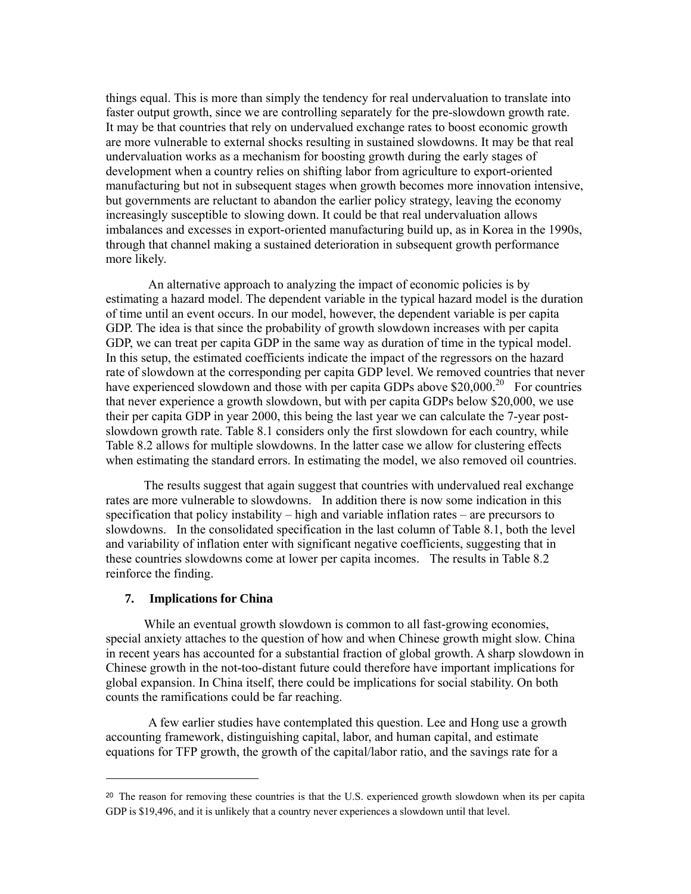things equal. This is more than simply the tendency for real undervaluation to translate into faster output growth, since we are controlling separately for the pre-slowdown growth rate. It may be that countries that rely on undervalued exchange rates to boost economic growth are more vulnerable to external shocks resulting in sustained slowdowns. It may be that real undervaluation works as a mechanism for boosting growth during the early stages of development when a country relies on shifting labor from agriculture to export-oriented manufacturing but not in subsequent stages when growth becomes more innovation intensive, but governments are reluctant to abandon the earlier policy strategy, leaving the economy increasingly susceptible to slowing down. It could be that real undervaluation allows imbalances and excesses in export-oriented manufacturing build up, as in Korea in the 1990s, through that channel making a sustained deterioration in subsequent growth performance more likely.

 An alternative approach to analyzing the impact of economic policies is by estimating a hazard model. The dependent variable in the typical hazard model is the duration of time until an event occurs. In our model, however, the dependent variable is per capita GDP. The idea is that since the probability of growth slowdown increases with per capita GDP, we can treat per capita GDP in the same way as duration of time in the typical model. In this setup, the estimated coefficients indicate the impact of the regressors on the hazard rate of slowdown at the corresponding per capita GDP level. We removed countries that never have experienced slowdown and those with per capita GDPs above  $$20,000.<sup>20</sup>$  For countries that never experience a growth slowdown, but with per capita GDPs below \$20,000, we use their per capita GDP in year 2000, this being the last year we can calculate the 7-year postslowdown growth rate. Table 8.1 considers only the first slowdown for each country, while Table 8.2 allows for multiple slowdowns. In the latter case we allow for clustering effects when estimating the standard errors. In estimating the model, we also removed oil countries.

The results suggest that again suggest that countries with undervalued real exchange rates are more vulnerable to slowdowns. In addition there is now some indication in this specification that policy instability – high and variable inflation rates – are precursors to slowdowns. In the consolidated specification in the last column of Table 8.1, both the level and variability of inflation enter with significant negative coefficients, suggesting that in these countries slowdowns come at lower per capita incomes. The results in Table 8.2 reinforce the finding.

## **7. Implications for China**

-

While an eventual growth slowdown is common to all fast-growing economies, special anxiety attaches to the question of how and when Chinese growth might slow. China in recent years has accounted for a substantial fraction of global growth. A sharp slowdown in Chinese growth in the not-too-distant future could therefore have important implications for global expansion. In China itself, there could be implications for social stability. On both counts the ramifications could be far reaching.

 A few earlier studies have contemplated this question. Lee and Hong use a growth accounting framework, distinguishing capital, labor, and human capital, and estimate equations for TFP growth, the growth of the capital/labor ratio, and the savings rate for a

<sup>&</sup>lt;sup>20</sup> The reason for removing these countries is that the U.S. experienced growth slowdown when its per capita GDP is \$19,496, and it is unlikely that a country never experiences a slowdown until that level.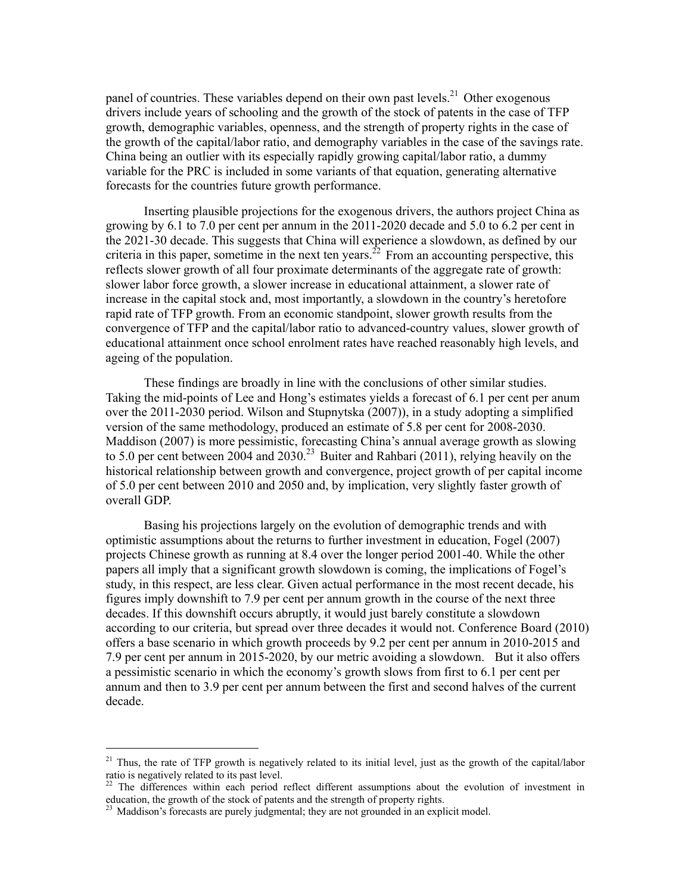panel of countries. These variables depend on their own past levels.<sup>21</sup> Other exogenous drivers include years of schooling and the growth of the stock of patents in the case of TFP growth, demographic variables, openness, and the strength of property rights in the case of the growth of the capital/labor ratio, and demography variables in the case of the savings rate. China being an outlier with its especially rapidly growing capital/labor ratio, a dummy variable for the PRC is included in some variants of that equation, generating alternative forecasts for the countries future growth performance.

Inserting plausible projections for the exogenous drivers, the authors project China as growing by 6.1 to 7.0 per cent per annum in the 2011-2020 decade and 5.0 to 6.2 per cent in the 2021-30 decade. This suggests that China will experience a slowdown, as defined by our criteria in this paper, sometime in the next ten years.<sup>22</sup> From an accounting perspective, this reflects slower growth of all four proximate determinants of the aggregate rate of growth: slower labor force growth, a slower increase in educational attainment, a slower rate of increase in the capital stock and, most importantly, a slowdown in the country's heretofore rapid rate of TFP growth. From an economic standpoint, slower growth results from the convergence of TFP and the capital/labor ratio to advanced-country values, slower growth of educational attainment once school enrolment rates have reached reasonably high levels, and ageing of the population.

These findings are broadly in line with the conclusions of other similar studies. Taking the mid-points of Lee and Hong's estimates yields a forecast of 6.1 per cent per anum over the 2011-2030 period. Wilson and Stupnytska (2007)), in a study adopting a simplified version of the same methodology, produced an estimate of 5.8 per cent for 2008-2030. Maddison (2007) is more pessimistic, forecasting China's annual average growth as slowing to 5.0 per cent between 2004 and 2030.<sup>23</sup> Buiter and Rahbari (2011), relying heavily on the historical relationship between growth and convergence, project growth of per capital income of 5.0 per cent between 2010 and 2050 and, by implication, very slightly faster growth of overall GDP.

Basing his projections largely on the evolution of demographic trends and with optimistic assumptions about the returns to further investment in education, Fogel (2007) projects Chinese growth as running at 8.4 over the longer period 2001-40. While the other papers all imply that a significant growth slowdown is coming, the implications of Fogel's study, in this respect, are less clear. Given actual performance in the most recent decade, his figures imply downshift to 7.9 per cent per annum growth in the course of the next three decades. If this downshift occurs abruptly, it would just barely constitute a slowdown according to our criteria, but spread over three decades it would not. Conference Board (2010) offers a base scenario in which growth proceeds by 9.2 per cent per annum in 2010-2015 and 7.9 per cent per annum in 2015-2020, by our metric avoiding a slowdown. But it also offers a pessimistic scenario in which the economy's growth slows from first to 6.1 per cent per annum and then to 3.9 per cent per annum between the first and second halves of the current decade.

<sup>&</sup>lt;sup>21</sup> Thus, the rate of TFP growth is negatively related to its initial level, just as the growth of the capital/labor ratio is negatively related to its past level.

The differences within each period reflect different assumptions about the evolution of investment in education, the growth of the stock of patents and the strength of property rights.

<sup>&</sup>lt;sup>23</sup> Maddison's forecasts are purely judgmental; they are not grounded in an explicit model.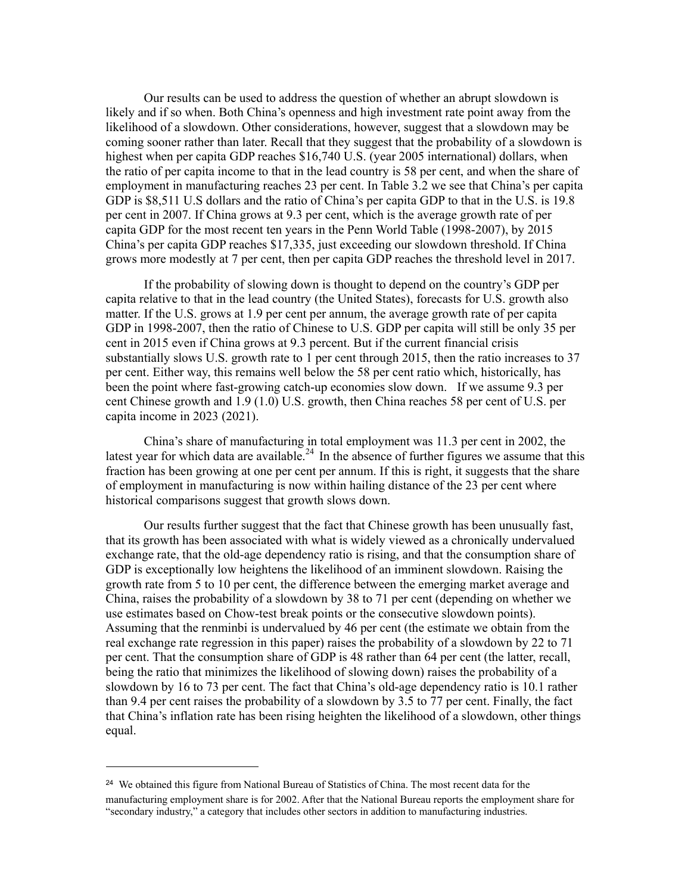Our results can be used to address the question of whether an abrupt slowdown is likely and if so when. Both China's openness and high investment rate point away from the likelihood of a slowdown. Other considerations, however, suggest that a slowdown may be coming sooner rather than later. Recall that they suggest that the probability of a slowdown is highest when per capita GDP reaches \$16,740 U.S. (year 2005 international) dollars, when the ratio of per capita income to that in the lead country is 58 per cent, and when the share of employment in manufacturing reaches 23 per cent. In Table 3.2 we see that China's per capita GDP is \$8,511 U.S dollars and the ratio of China's per capita GDP to that in the U.S. is 19.8 per cent in 2007. If China grows at 9.3 per cent, which is the average growth rate of per capita GDP for the most recent ten years in the Penn World Table (1998-2007), by 2015 China's per capita GDP reaches \$17,335, just exceeding our slowdown threshold. If China grows more modestly at 7 per cent, then per capita GDP reaches the threshold level in 2017.

If the probability of slowing down is thought to depend on the country's GDP per capita relative to that in the lead country (the United States), forecasts for U.S. growth also matter. If the U.S. grows at 1.9 per cent per annum, the average growth rate of per capita GDP in 1998-2007, then the ratio of Chinese to U.S. GDP per capita will still be only 35 per cent in 2015 even if China grows at 9.3 percent. But if the current financial crisis substantially slows U.S. growth rate to 1 per cent through 2015, then the ratio increases to 37 per cent. Either way, this remains well below the 58 per cent ratio which, historically, has been the point where fast-growing catch-up economies slow down. If we assume 9.3 per cent Chinese growth and 1.9 (1.0) U.S. growth, then China reaches 58 per cent of U.S. per capita income in 2023 (2021).

China's share of manufacturing in total employment was 11.3 per cent in 2002, the latest year for which data are available.<sup>24</sup> In the absence of further figures we assume that this fraction has been growing at one per cent per annum. If this is right, it suggests that the share of employment in manufacturing is now within hailing distance of the 23 per cent where historical comparisons suggest that growth slows down.

Our results further suggest that the fact that Chinese growth has been unusually fast, that its growth has been associated with what is widely viewed as a chronically undervalued exchange rate, that the old-age dependency ratio is rising, and that the consumption share of GDP is exceptionally low heightens the likelihood of an imminent slowdown. Raising the growth rate from 5 to 10 per cent, the difference between the emerging market average and China, raises the probability of a slowdown by 38 to 71 per cent (depending on whether we use estimates based on Chow-test break points or the consecutive slowdown points). Assuming that the renminbi is undervalued by 46 per cent (the estimate we obtain from the real exchange rate regression in this paper) raises the probability of a slowdown by 22 to 71 per cent. That the consumption share of GDP is 48 rather than 64 per cent (the latter, recall, being the ratio that minimizes the likelihood of slowing down) raises the probability of a slowdown by 16 to 73 per cent. The fact that China's old-age dependency ratio is 10.1 rather than 9.4 per cent raises the probability of a slowdown by 3.5 to 77 per cent. Finally, the fact that China's inflation rate has been rising heighten the likelihood of a slowdown, other things equal.

<sup>&</sup>lt;sup>24</sup> We obtained this figure from National Bureau of Statistics of China. The most recent data for the manufacturing employment share is for 2002. After that the National Bureau reports the employment share for "secondary industry," a category that includes other sectors in addition to manufacturing industries.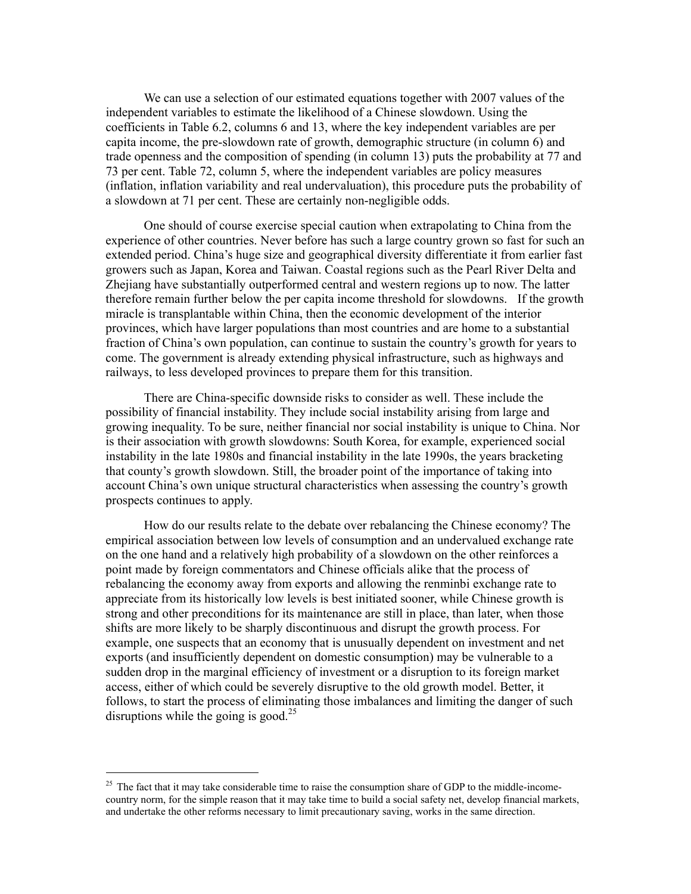We can use a selection of our estimated equations together with 2007 values of the independent variables to estimate the likelihood of a Chinese slowdown. Using the coefficients in Table 6.2, columns 6 and 13, where the key independent variables are per capita income, the pre-slowdown rate of growth, demographic structure (in column 6) and trade openness and the composition of spending (in column 13) puts the probability at 77 and 73 per cent. Table 72, column 5, where the independent variables are policy measures (inflation, inflation variability and real undervaluation), this procedure puts the probability of a slowdown at 71 per cent. These are certainly non-negligible odds.

One should of course exercise special caution when extrapolating to China from the experience of other countries. Never before has such a large country grown so fast for such an extended period. China's huge size and geographical diversity differentiate it from earlier fast growers such as Japan, Korea and Taiwan. Coastal regions such as the Pearl River Delta and Zhejiang have substantially outperformed central and western regions up to now. The latter therefore remain further below the per capita income threshold for slowdowns. If the growth miracle is transplantable within China, then the economic development of the interior provinces, which have larger populations than most countries and are home to a substantial fraction of China's own population, can continue to sustain the country's growth for years to come. The government is already extending physical infrastructure, such as highways and railways, to less developed provinces to prepare them for this transition.

There are China-specific downside risks to consider as well. These include the possibility of financial instability. They include social instability arising from large and growing inequality. To be sure, neither financial nor social instability is unique to China. Nor is their association with growth slowdowns: South Korea, for example, experienced social instability in the late 1980s and financial instability in the late 1990s, the years bracketing that county's growth slowdown. Still, the broader point of the importance of taking into account China's own unique structural characteristics when assessing the country's growth prospects continues to apply.

How do our results relate to the debate over rebalancing the Chinese economy? The empirical association between low levels of consumption and an undervalued exchange rate on the one hand and a relatively high probability of a slowdown on the other reinforces a point made by foreign commentators and Chinese officials alike that the process of rebalancing the economy away from exports and allowing the renminbi exchange rate to appreciate from its historically low levels is best initiated sooner, while Chinese growth is strong and other preconditions for its maintenance are still in place, than later, when those shifts are more likely to be sharply discontinuous and disrupt the growth process. For example, one suspects that an economy that is unusually dependent on investment and net exports (and insufficiently dependent on domestic consumption) may be vulnerable to a sudden drop in the marginal efficiency of investment or a disruption to its foreign market access, either of which could be severely disruptive to the old growth model. Better, it follows, to start the process of eliminating those imbalances and limiting the danger of such disruptions while the going is good. $^{25}$ 

 $25$  The fact that it may take considerable time to raise the consumption share of GDP to the middle-incomecountry norm, for the simple reason that it may take time to build a social safety net, develop financial markets, and undertake the other reforms necessary to limit precautionary saving, works in the same direction.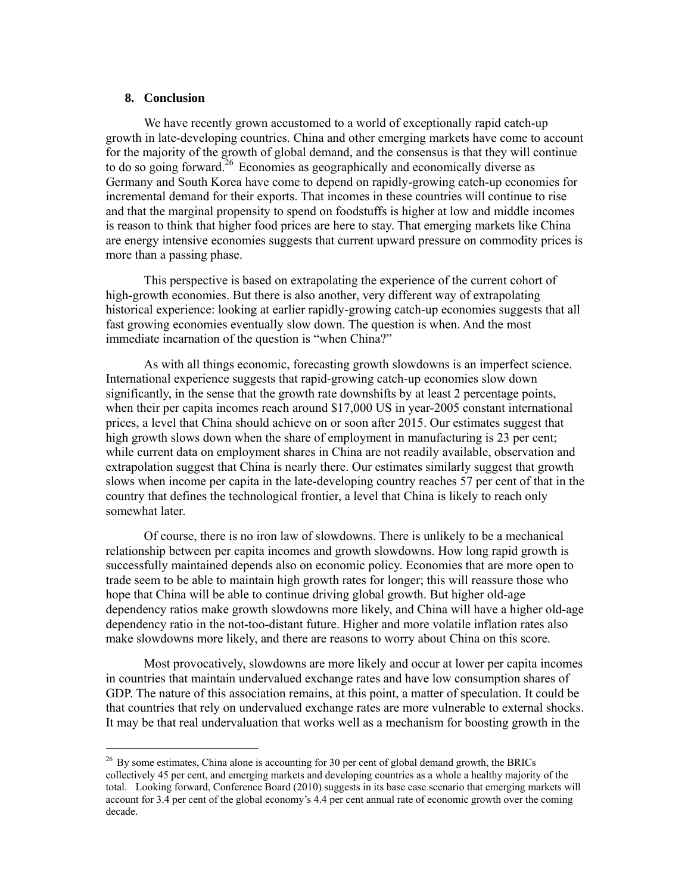### **8. Conclusion**

-

We have recently grown accustomed to a world of exceptionally rapid catch-up growth in late-developing countries. China and other emerging markets have come to account for the majority of the growth of global demand, and the consensus is that they will continue to do so going forward.<sup>26</sup> Economies as geographically and economically diverse as Germany and South Korea have come to depend on rapidly-growing catch-up economies for incremental demand for their exports. That incomes in these countries will continue to rise and that the marginal propensity to spend on foodstuffs is higher at low and middle incomes is reason to think that higher food prices are here to stay. That emerging markets like China are energy intensive economies suggests that current upward pressure on commodity prices is more than a passing phase.

This perspective is based on extrapolating the experience of the current cohort of high-growth economies. But there is also another, very different way of extrapolating historical experience: looking at earlier rapidly-growing catch-up economies suggests that all fast growing economies eventually slow down. The question is when. And the most immediate incarnation of the question is "when China?"

As with all things economic, forecasting growth slowdowns is an imperfect science. International experience suggests that rapid-growing catch-up economies slow down significantly, in the sense that the growth rate downshifts by at least 2 percentage points, when their per capita incomes reach around \$17,000 US in year-2005 constant international prices, a level that China should achieve on or soon after 2015. Our estimates suggest that high growth slows down when the share of employment in manufacturing is 23 per cent; while current data on employment shares in China are not readily available, observation and extrapolation suggest that China is nearly there. Our estimates similarly suggest that growth slows when income per capita in the late-developing country reaches 57 per cent of that in the country that defines the technological frontier, a level that China is likely to reach only somewhat later.

Of course, there is no iron law of slowdowns. There is unlikely to be a mechanical relationship between per capita incomes and growth slowdowns. How long rapid growth is successfully maintained depends also on economic policy. Economies that are more open to trade seem to be able to maintain high growth rates for longer; this will reassure those who hope that China will be able to continue driving global growth. But higher old-age dependency ratios make growth slowdowns more likely, and China will have a higher old-age dependency ratio in the not-too-distant future. Higher and more volatile inflation rates also make slowdowns more likely, and there are reasons to worry about China on this score.

Most provocatively, slowdowns are more likely and occur at lower per capita incomes in countries that maintain undervalued exchange rates and have low consumption shares of GDP. The nature of this association remains, at this point, a matter of speculation. It could be that countries that rely on undervalued exchange rates are more vulnerable to external shocks. It may be that real undervaluation that works well as a mechanism for boosting growth in the

 $^{26}$  By some estimates, China alone is accounting for 30 per cent of global demand growth, the BRICs collectively 45 per cent, and emerging markets and developing countries as a whole a healthy majority of the total. Looking forward, Conference Board (2010) suggests in its base case scenario that emerging markets will account for 3.4 per cent of the global economy's 4.4 per cent annual rate of economic growth over the coming decade.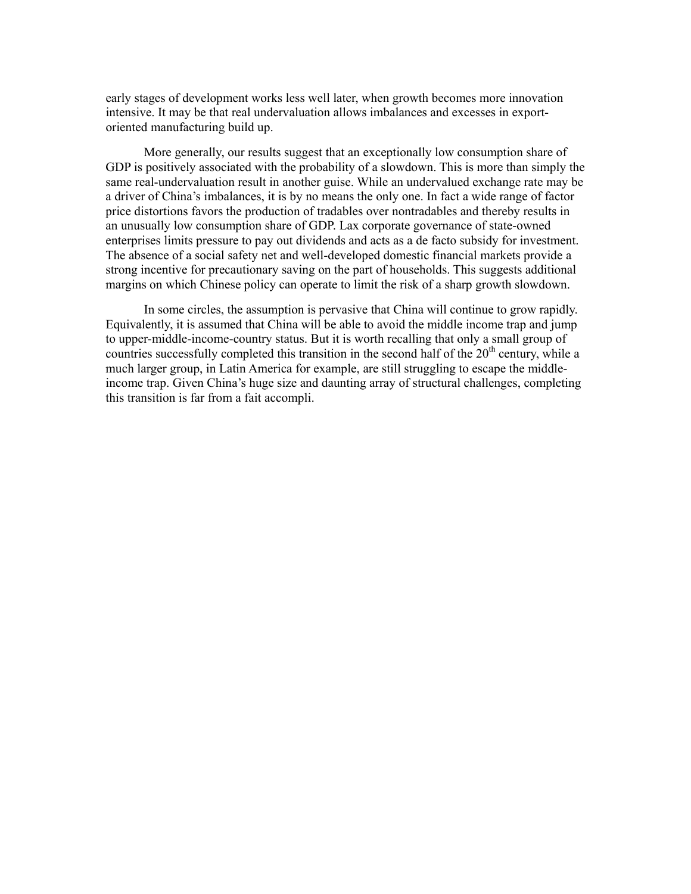early stages of development works less well later, when growth becomes more innovation intensive. It may be that real undervaluation allows imbalances and excesses in exportoriented manufacturing build up.

More generally, our results suggest that an exceptionally low consumption share of GDP is positively associated with the probability of a slowdown. This is more than simply the same real-undervaluation result in another guise. While an undervalued exchange rate may be a driver of China's imbalances, it is by no means the only one. In fact a wide range of factor price distortions favors the production of tradables over nontradables and thereby results in an unusually low consumption share of GDP. Lax corporate governance of state-owned enterprises limits pressure to pay out dividends and acts as a de facto subsidy for investment. The absence of a social safety net and well-developed domestic financial markets provide a strong incentive for precautionary saving on the part of households. This suggests additional margins on which Chinese policy can operate to limit the risk of a sharp growth slowdown.

In some circles, the assumption is pervasive that China will continue to grow rapidly. Equivalently, it is assumed that China will be able to avoid the middle income trap and jump to upper-middle-income-country status. But it is worth recalling that only a small group of countries successfully completed this transition in the second half of the  $20<sup>th</sup>$  century, while a much larger group, in Latin America for example, are still struggling to escape the middleincome trap. Given China's huge size and daunting array of structural challenges, completing this transition is far from a fait accompli.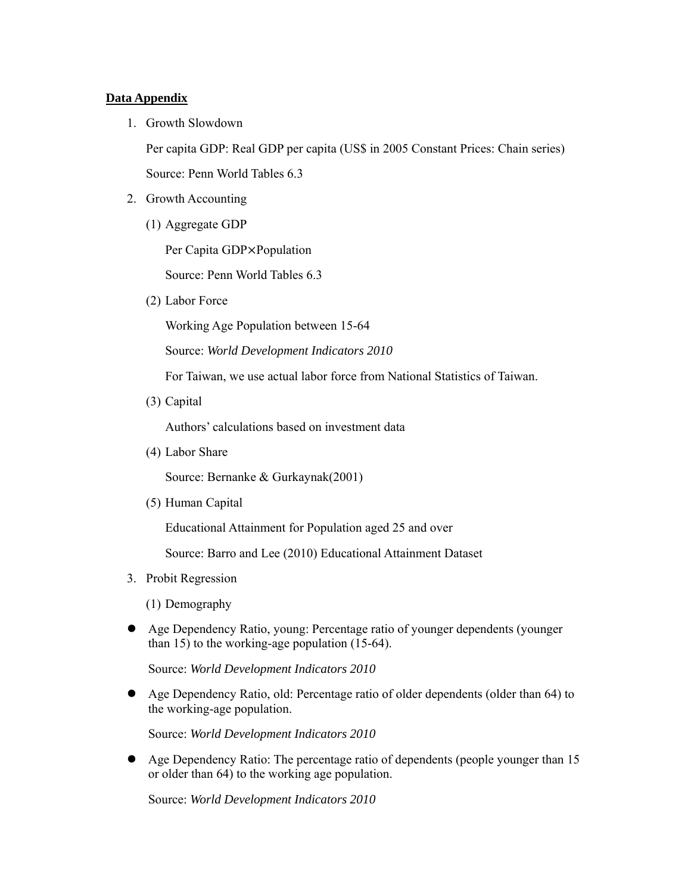## **Data Appendix**

1. Growth Slowdown

Per capita GDP: Real GDP per capita (US\$ in 2005 Constant Prices: Chain series)

Source: Penn World Tables 6.3

- 2. Growth Accounting
	- (1) Aggregate GDP

Per Capita GDP×Population

Source: Penn World Tables 6.3

(2) Labor Force

Working Age Population between 15-64

Source: *World Development Indicators 2010* 

For Taiwan, we use actual labor force from National Statistics of Taiwan.

(3) Capital

Authors' calculations based on investment data

(4) Labor Share

Source: Bernanke & Gurkaynak(2001)

(5) Human Capital

Educational Attainment for Population aged 25 and over

Source: Barro and Lee (2010) Educational Attainment Dataset

- 3. Probit Regression
	- (1) Demography
- Age Dependency Ratio, young: Percentage ratio of younger dependents (younger than 15) to the working-age population (15-64).

Source: *World Development Indicators 2010*

 Age Dependency Ratio, old: Percentage ratio of older dependents (older than 64) to the working-age population.

Source: *World Development Indicators 2010* 

 Age Dependency Ratio: The percentage ratio of dependents (people younger than 15 or older than 64) to the working age population.

Source: *World Development Indicators 2010*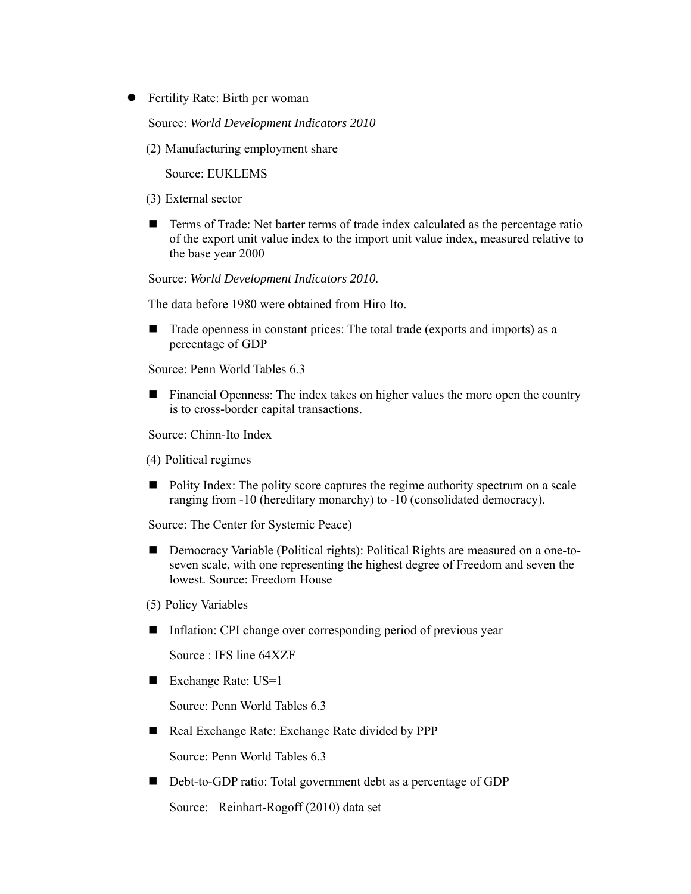• Fertility Rate: Birth per woman

Source: *World Development Indicators 2010* 

(2) Manufacturing employment share

Source: EUKLEMS

- (3) External sector
- Terms of Trade: Net barter terms of trade index calculated as the percentage ratio of the export unit value index to the import unit value index, measured relative to the base year 2000

Source: *World Development Indicators 2010.* 

The data before 1980 were obtained from Hiro Ito.

■ Trade openness in constant prices: The total trade (exports and imports) as a percentage of GDP

Source: Penn World Tables 6.3

 Financial Openness: The index takes on higher values the more open the country is to cross-border capital transactions.

Source: Chinn-Ito Index

- (4) Political regimes
- Polity Index: The polity score captures the regime authority spectrum on a scale ranging from -10 (hereditary monarchy) to -10 (consolidated democracy).

Source: The Center for Systemic Peace)

- Democracy Variable (Political rights): Political Rights are measured on a one-toseven scale, with one representing the highest degree of Freedom and seven the lowest. Source: Freedom House
- (5) Policy Variables
- Inflation: CPI change over corresponding period of previous year

Source : IFS line 64XZF

■ Exchange Rate: US=1

Source: Penn World Tables 6.3

■ Real Exchange Rate: Exchange Rate divided by PPP

Source: Penn World Tables 6.3

■ Debt-to-GDP ratio: Total government debt as a percentage of GDP

Source: Reinhart-Rogoff (2010) data set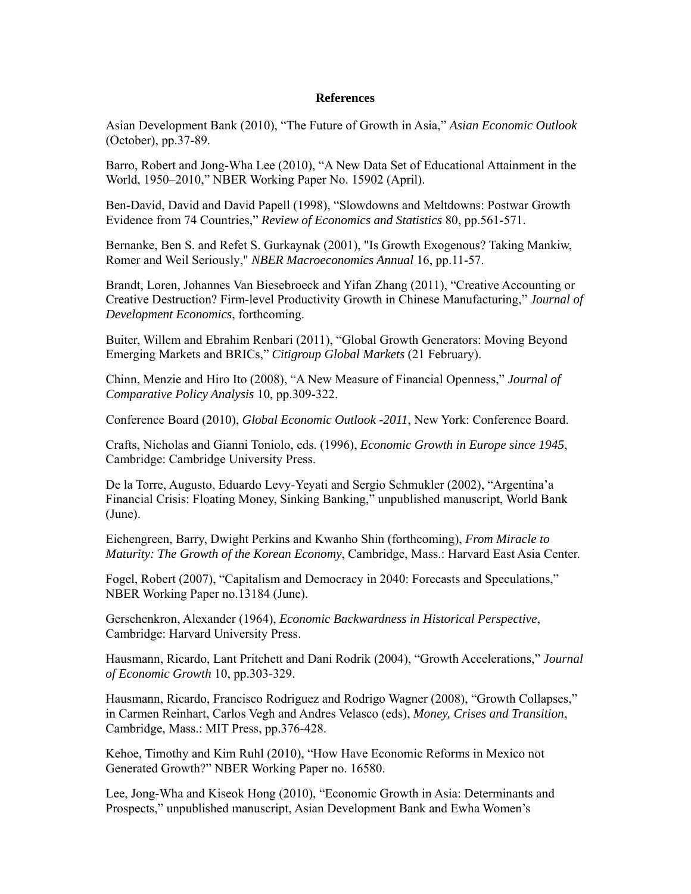### **References**

Asian Development Bank (2010), "The Future of Growth in Asia," *Asian Economic Outlook* (October), pp.37-89.

Barro, Robert and Jong-Wha Lee (2010), "A New Data Set of Educational Attainment in the World, 1950–2010," NBER Working Paper No. 15902 (April).

Ben-David, David and David Papell (1998), "Slowdowns and Meltdowns: Postwar Growth Evidence from 74 Countries," *Review of Economics and Statistics* 80, pp.561-571.

Bernanke, Ben S. and Refet S. Gurkaynak (2001), "Is Growth Exogenous? Taking Mankiw, Romer and Weil Seriously," *NBER Macroeconomics Annual* 16, pp.11-57.

Brandt, Loren, Johannes Van Biesebroeck and Yifan Zhang (2011), "Creative Accounting or Creative Destruction? Firm-level Productivity Growth in Chinese Manufacturing," *Journal of Development Economics*, forthcoming.

Buiter, Willem and Ebrahim Renbari (2011), "Global Growth Generators: Moving Beyond Emerging Markets and BRICs," *Citigroup Global Markets* (21 February).

Chinn, Menzie and Hiro Ito (2008), "A New Measure of Financial Openness," *Journal of Comparative Policy Analysis* 10, pp.309-322.

Conference Board (2010), *Global Economic Outlook -2011*, New York: Conference Board.

Crafts, Nicholas and Gianni Toniolo, eds. (1996), *Economic Growth in Europe since 1945*, Cambridge: Cambridge University Press.

De la Torre, Augusto, Eduardo Levy-Yeyati and Sergio Schmukler (2002), "Argentina'a Financial Crisis: Floating Money, Sinking Banking," unpublished manuscript, World Bank (June).

Eichengreen, Barry, Dwight Perkins and Kwanho Shin (forthcoming), *From Miracle to Maturity: The Growth of the Korean Economy*, Cambridge, Mass.: Harvard East Asia Center.

Fogel, Robert (2007), "Capitalism and Democracy in 2040: Forecasts and Speculations," NBER Working Paper no.13184 (June).

Gerschenkron, Alexander (1964), *Economic Backwardness in Historical Perspective*, Cambridge: Harvard University Press.

Hausmann, Ricardo, Lant Pritchett and Dani Rodrik (2004), "Growth Accelerations," *Journal of Economic Growth* 10, pp.303-329.

Hausmann, Ricardo, Francisco Rodriguez and Rodrigo Wagner (2008), "Growth Collapses," in Carmen Reinhart, Carlos Vegh and Andres Velasco (eds), *Money, Crises and Transition*, Cambridge, Mass.: MIT Press, pp.376-428.

Kehoe, Timothy and Kim Ruhl (2010), "How Have Economic Reforms in Mexico not Generated Growth?" NBER Working Paper no. 16580.

Lee, Jong-Wha and Kiseok Hong (2010), "Economic Growth in Asia: Determinants and Prospects," unpublished manuscript, Asian Development Bank and Ewha Women's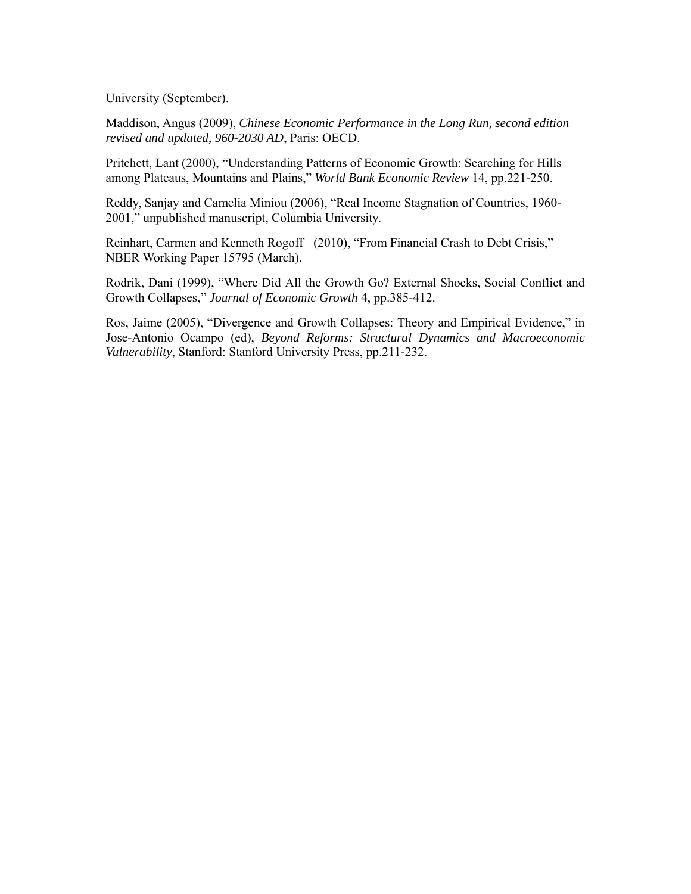University (September).

Maddison, Angus (2009), *Chinese Economic Performance in the Long Run, second edition revised and updated, 960-2030 AD*, Paris: OECD.

Pritchett, Lant (2000), "Understanding Patterns of Economic Growth: Searching for Hills among Plateaus, Mountains and Plains," *World Bank Economic Review* 14, pp.221-250.

Reddy, Sanjay and Camelia Miniou (2006), "Real Income Stagnation of Countries, 1960- 2001," unpublished manuscript, Columbia University.

Reinhart, Carmen and Kenneth Rogoff (2010), "From Financial Crash to Debt Crisis," NBER Working Paper 15795 (March).

Rodrik, Dani (1999), "Where Did All the Growth Go? External Shocks, Social Conflict and Growth Collapses," *Journal of Economic Growth* 4, pp.385-412.

Ros, Jaime (2005), "Divergence and Growth Collapses: Theory and Empirical Evidence," in Jose-Antonio Ocampo (ed), *Beyond Reforms: Structural Dynamics and Macroeconomic Vulnerability*, Stanford: Stanford University Press, pp.211-232.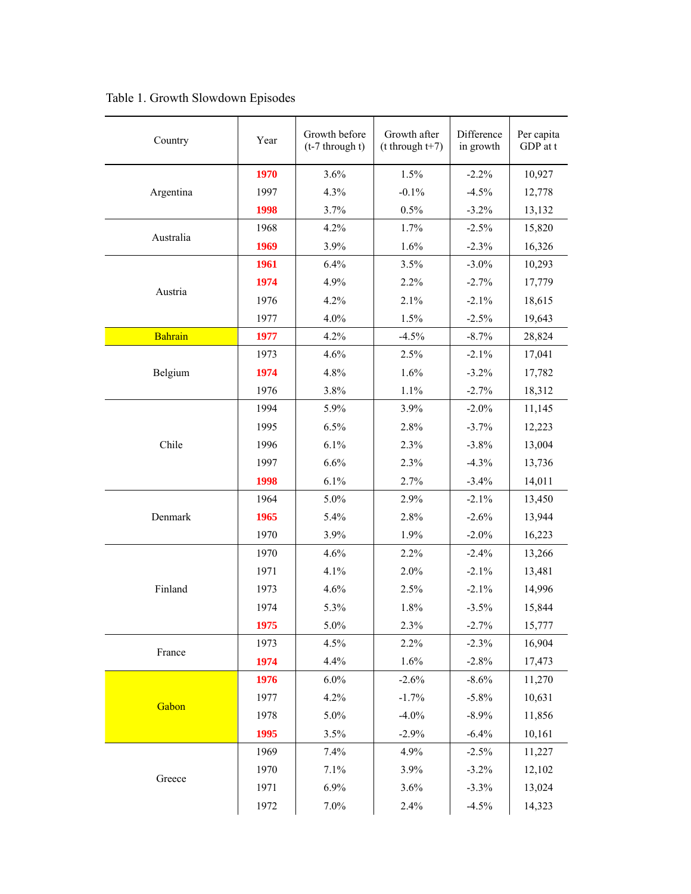| Country        | Year | Growth before<br>$(t-7$ through t) | Growth after<br>$(t$ through $t+7)$ | Difference<br>in growth | Per capita<br>GDP at t |
|----------------|------|------------------------------------|-------------------------------------|-------------------------|------------------------|
|                | 1970 | 3.6%                               | 1.5%                                | $-2.2%$                 | 10,927                 |
| Argentina      | 1997 | 4.3%                               | $-0.1%$                             | $-4.5%$                 | 12,778                 |
|                | 1998 | 3.7%                               | 0.5%                                | $-3.2%$                 | 13,132                 |
|                | 1968 | 4.2%                               | 1.7%                                | $-2.5%$                 | 15,820                 |
| Australia      | 1969 | 3.9%                               | 1.6%                                | $-2.3%$                 | 16,326                 |
|                | 1961 | 6.4%                               | 3.5%                                | $-3.0\%$                | 10,293                 |
|                | 1974 | 4.9%                               | 2.2%                                | $-2.7%$                 | 17,779                 |
| Austria        | 1976 | 4.2%                               | 2.1%                                | $-2.1%$                 | 18,615                 |
|                | 1977 | 4.0%                               | 1.5%                                | $-2.5%$                 | 19,643                 |
| <b>Bahrain</b> | 1977 | 4.2%                               | $-4.5%$                             | $-8.7%$                 | 28,824                 |
|                | 1973 | 4.6%                               | 2.5%                                | $-2.1%$                 | 17,041                 |
| Belgium        | 1974 | 4.8%                               | 1.6%                                | $-3.2%$                 | 17,782                 |
|                | 1976 | 3.8%                               | 1.1%                                | $-2.7%$                 | 18,312                 |
|                | 1994 | 5.9%                               | 3.9%                                | $-2.0%$                 | 11,145                 |
|                | 1995 | 6.5%                               | 2.8%                                | $-3.7%$                 | 12,223                 |
| Chile          | 1996 | 6.1%                               | 2.3%                                | $-3.8%$                 | 13,004                 |
|                | 1997 | 6.6%                               | 2.3%                                | $-4.3%$                 | 13,736                 |
|                | 1998 | 6.1%                               | 2.7%                                | $-3.4%$                 | 14,011                 |
|                | 1964 | 5.0%                               | 2.9%                                | $-2.1%$                 | 13,450                 |
| Denmark        | 1965 | 5.4%                               | 2.8%                                | $-2.6%$                 | 13,944                 |
|                | 1970 | 3.9%                               | 1.9%                                | $-2.0%$                 | 16,223                 |
|                | 1970 | 4.6%                               | 2.2%                                | $-2.4%$                 | 13,266                 |
|                | 1971 | 4.1%                               | 2.0%                                | $-2.1%$                 | 13,481                 |
| Finland        | 1973 | 4.6%                               | 2.5%                                | $-2.1%$                 | 14,996                 |
|                | 1974 | 5.3%                               | 1.8%                                | $-3.5%$                 | 15,844                 |
|                | 1975 | 5.0%                               | 2.3%                                | $-2.7%$                 | 15,777                 |
|                | 1973 | 4.5%                               | 2.2%                                | $-2.3%$                 | 16,904                 |
| France         | 1974 | 4.4%                               | 1.6%                                | $-2.8%$                 | 17,473                 |
|                | 1976 | $6.0\%$                            | $-2.6%$                             | $-8.6%$                 | 11,270                 |
|                | 1977 | 4.2%                               | $-1.7%$                             | $-5.8%$                 | 10,631                 |
| Gabon          | 1978 | 5.0%                               | $-4.0\%$                            | $-8.9%$                 | 11,856                 |
|                | 1995 | 3.5%                               | $-2.9%$                             | $-6.4%$                 | 10,161                 |
|                | 1969 | 7.4%                               | 4.9%                                | $-2.5%$                 | 11,227                 |
|                | 1970 | 7.1%                               | 3.9%                                | $-3.2%$                 | 12,102                 |
| Greece         | 1971 | 6.9%                               | 3.6%                                | $-3.3%$                 | 13,024                 |
|                | 1972 | 7.0%                               | 2.4%                                | $-4.5%$                 | 14,323                 |

Table 1. Growth Slowdown Episodes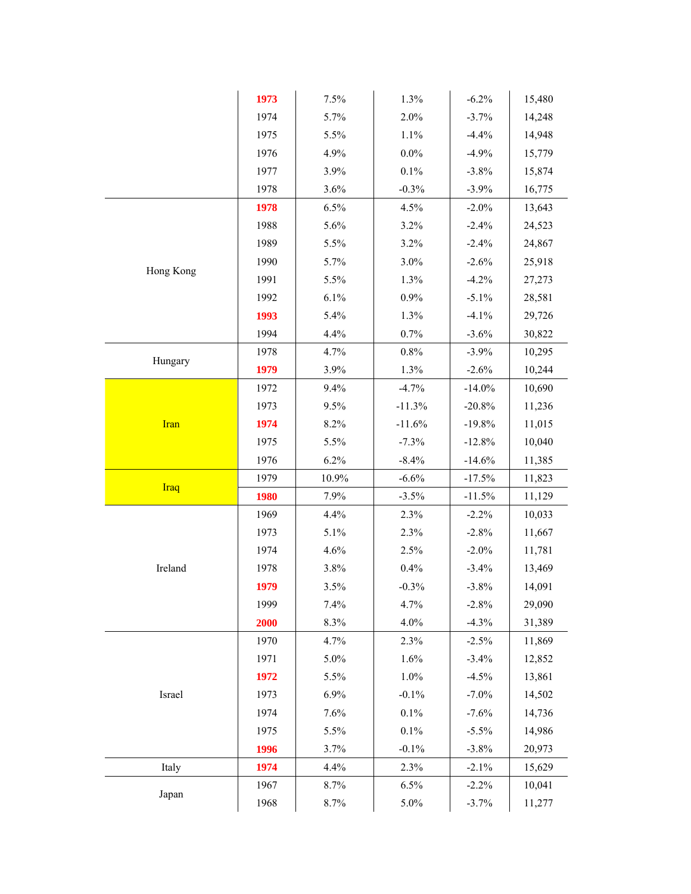|             | 1973 | 7.5%  | 1.3%     | $-6.2\%$  | 15,480 |
|-------------|------|-------|----------|-----------|--------|
|             | 1974 | 5.7%  | 2.0%     | $-3.7%$   | 14,248 |
|             | 1975 | 5.5%  | 1.1%     | $-4.4%$   | 14,948 |
|             | 1976 | 4.9%  | $0.0\%$  | $-4.9%$   | 15,779 |
|             | 1977 | 3.9%  | 0.1%     | $-3.8%$   | 15,874 |
|             | 1978 | 3.6%  | $-0.3%$  | $-3.9%$   | 16,775 |
|             | 1978 | 6.5%  | 4.5%     | $-2.0%$   | 13,643 |
|             | 1988 | 5.6%  | 3.2%     | $-2.4%$   | 24,523 |
|             | 1989 | 5.5%  | 3.2%     | $-2.4%$   | 24,867 |
|             | 1990 | 5.7%  | 3.0%     | $-2.6%$   | 25,918 |
| Hong Kong   | 1991 | 5.5%  | 1.3%     | $-4.2%$   | 27,273 |
|             | 1992 | 6.1%  | 0.9%     | $-5.1%$   | 28,581 |
|             | 1993 | 5.4%  | 1.3%     | $-4.1%$   | 29,726 |
|             | 1994 | 4.4%  | 0.7%     | $-3.6%$   | 30,822 |
|             | 1978 | 4.7%  | 0.8%     | $-3.9%$   | 10,295 |
| Hungary     | 1979 | 3.9%  | 1.3%     | $-2.6%$   | 10,244 |
|             | 1972 | 9.4%  | $-4.7%$  | $-14.0\%$ | 10,690 |
|             | 1973 | 9.5%  | $-11.3%$ | $-20.8%$  | 11,236 |
| <b>Iran</b> | 1974 | 8.2%  | $-11.6%$ | $-19.8%$  | 11,015 |
|             | 1975 | 5.5%  | $-7.3%$  | $-12.8%$  | 10,040 |
|             | 1976 | 6.2%  | $-8.4%$  | $-14.6%$  | 11,385 |
|             | 1979 | 10.9% | $-6.6%$  | $-17.5%$  | 11,823 |
| Iraq        | 1980 | 7.9%  | $-3.5%$  | $-11.5%$  | 11,129 |
|             | 1969 | 4.4%  | 2.3%     | $-2.2%$   | 10,033 |
|             | 1973 | 5.1%  | 2.3%     | $-2.8%$   | 11,667 |
|             | 1974 | 4.6%  | 2.5%     | $-2.0%$   | 11,781 |
| Ireland     | 1978 | 3.8%  | 0.4%     | $-3.4%$   | 13,469 |
|             | 1979 | 3.5%  | $-0.3%$  | $-3.8%$   | 14,091 |
|             | 1999 | 7.4%  | 4.7%     | $-2.8%$   | 29,090 |
|             | 2000 | 8.3%  | 4.0%     | $-4.3%$   | 31,389 |
|             | 1970 | 4.7%  | 2.3%     | $-2.5%$   | 11,869 |
|             | 1971 | 5.0%  | 1.6%     | $-3.4%$   | 12,852 |
|             | 1972 | 5.5%  | 1.0%     | $-4.5%$   | 13,861 |
| Israel      | 1973 | 6.9%  | $-0.1%$  | $-7.0\%$  | 14,502 |
|             | 1974 | 7.6%  | 0.1%     | $-7.6%$   | 14,736 |
|             | 1975 | 5.5%  | $0.1\%$  | $-5.5%$   | 14,986 |
|             | 1996 | 3.7%  | $-0.1%$  | $-3.8%$   | 20,973 |
| Italy       | 1974 | 4.4%  | 2.3%     | $-2.1%$   | 15,629 |
|             | 1967 | 8.7%  | 6.5%     | $-2.2%$   | 10,041 |
| Japan       | 1968 | 8.7%  | 5.0%     | $-3.7%$   | 11,277 |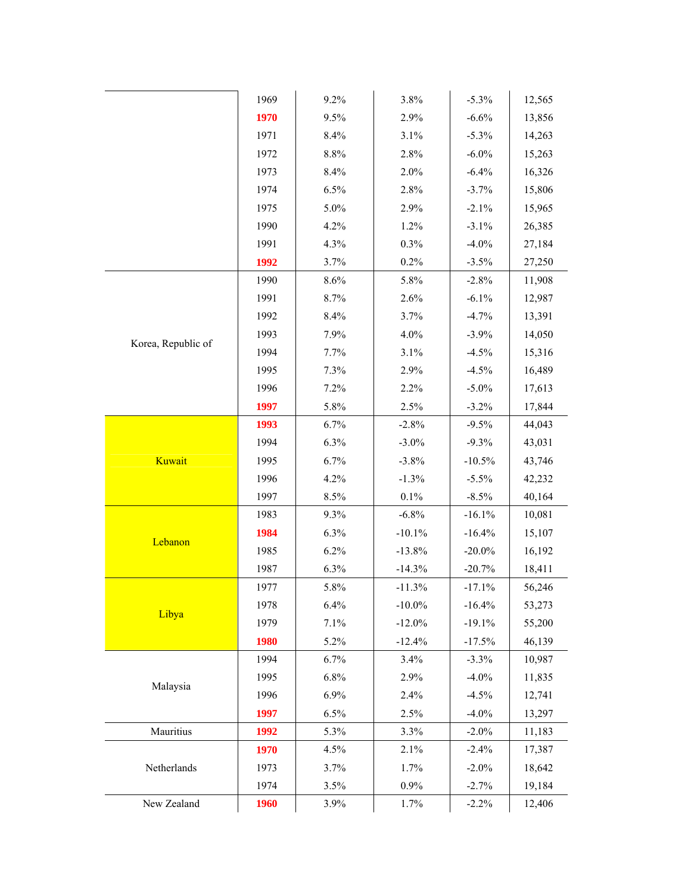|                    | 1969 | 9.2%    | 3.8%      | $-5.3%$   | 12,565 |
|--------------------|------|---------|-----------|-----------|--------|
|                    | 1970 | 9.5%    | 2.9%      | $-6.6%$   | 13,856 |
|                    | 1971 | 8.4%    | 3.1%      | $-5.3%$   | 14,263 |
|                    | 1972 | $8.8\%$ | 2.8%      | $-6.0\%$  | 15,263 |
|                    | 1973 | 8.4%    | 2.0%      | $-6.4%$   | 16,326 |
|                    | 1974 | 6.5%    | 2.8%      | $-3.7%$   | 15,806 |
|                    | 1975 | 5.0%    | 2.9%      | $-2.1%$   | 15,965 |
|                    | 1990 | 4.2%    | 1.2%      | $-3.1%$   | 26,385 |
|                    | 1991 | 4.3%    | 0.3%      | $-4.0%$   | 27,184 |
|                    | 1992 | 3.7%    | 0.2%      | $-3.5%$   | 27,250 |
|                    | 1990 | 8.6%    | 5.8%      | $-2.8%$   | 11,908 |
|                    | 1991 | 8.7%    | 2.6%      | $-6.1%$   | 12,987 |
|                    | 1992 | 8.4%    | 3.7%      | $-4.7%$   | 13,391 |
|                    | 1993 | 7.9%    | 4.0%      | $-3.9%$   | 14,050 |
| Korea, Republic of | 1994 | 7.7%    | 3.1%      | $-4.5%$   | 15,316 |
|                    | 1995 | 7.3%    | 2.9%      | $-4.5%$   | 16,489 |
|                    | 1996 | 7.2%    | 2.2%      | $-5.0\%$  | 17,613 |
|                    | 1997 | 5.8%    | 2.5%      | $-3.2%$   | 17,844 |
|                    | 1993 | 6.7%    | $-2.8%$   | $-9.5%$   | 44,043 |
|                    | 1994 | 6.3%    | $-3.0\%$  | $-9.3%$   | 43,031 |
| Kuwait             | 1995 | 6.7%    | $-3.8%$   | $-10.5%$  | 43,746 |
|                    | 1996 | 4.2%    | $-1.3%$   | $-5.5%$   | 42,232 |
|                    | 1997 | 8.5%    | 0.1%      | $-8.5%$   | 40,164 |
|                    | 1983 | 9.3%    | $-6.8%$   | $-16.1%$  | 10,081 |
|                    | 1984 | 6.3%    | $-10.1%$  | $-16.4%$  | 15,107 |
| Lebanon            | 1985 | 6.2%    | $-13.8%$  | $-20.0\%$ | 16,192 |
|                    | 1987 | 6.3%    | $-14.3%$  | $-20.7%$  | 18,411 |
|                    | 1977 | 5.8%    | $-11.3%$  | $-17.1%$  | 56,246 |
|                    | 1978 | 6.4%    | $-10.0\%$ | $-16.4%$  | 53,273 |
| Libya              | 1979 | 7.1%    | $-12.0%$  | $-19.1%$  | 55,200 |
|                    | 1980 | 5.2%    | $-12.4%$  | $-17.5%$  | 46,139 |
|                    | 1994 | 6.7%    | 3.4%      | $-3.3%$   | 10,987 |
|                    | 1995 | 6.8%    | 2.9%      | $-4.0%$   | 11,835 |
| Malaysia           | 1996 | 6.9%    | 2.4%      | $-4.5%$   | 12,741 |
|                    | 1997 | 6.5%    | 2.5%      | $-4.0\%$  | 13,297 |
| Mauritius          | 1992 | 5.3%    | 3.3%      | $-2.0%$   | 11,183 |
|                    | 1970 | 4.5%    | 2.1%      | $-2.4%$   | 17,387 |
| Netherlands        | 1973 | 3.7%    | 1.7%      | $-2.0\%$  | 18,642 |
|                    | 1974 | 3.5%    | 0.9%      | $-2.7%$   | 19,184 |
| New Zealand        | 1960 | 3.9%    | 1.7%      | $-2.2%$   | 12,406 |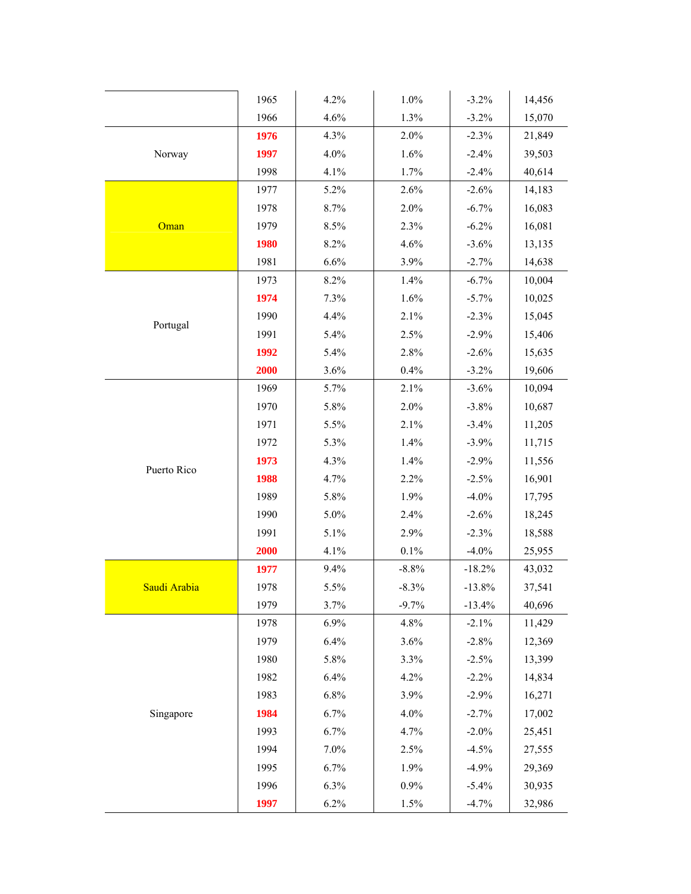|              | 1965 | 4.2% | 1.0%    | $-3.2%$  | 14,456 |
|--------------|------|------|---------|----------|--------|
|              | 1966 | 4.6% | 1.3%    | $-3.2%$  | 15,070 |
|              | 1976 | 4.3% | 2.0%    | $-2.3%$  | 21,849 |
| Norway       | 1997 | 4.0% | 1.6%    | $-2.4%$  | 39,503 |
|              | 1998 | 4.1% | 1.7%    | $-2.4%$  | 40,614 |
|              | 1977 | 5.2% | 2.6%    | $-2.6%$  | 14,183 |
|              | 1978 | 8.7% | 2.0%    | $-6.7%$  | 16,083 |
| Oman         | 1979 | 8.5% | 2.3%    | $-6.2%$  | 16,081 |
|              | 1980 | 8.2% | 4.6%    | $-3.6%$  | 13,135 |
|              | 1981 | 6.6% | 3.9%    | $-2.7%$  | 14,638 |
|              | 1973 | 8.2% | 1.4%    | $-6.7%$  | 10,004 |
|              | 1974 | 7.3% | 1.6%    | $-5.7\%$ | 10,025 |
|              | 1990 | 4.4% | 2.1%    | $-2.3%$  | 15,045 |
| Portugal     | 1991 | 5.4% | 2.5%    | $-2.9%$  | 15,406 |
|              | 1992 | 5.4% | 2.8%    | $-2.6%$  | 15,635 |
|              | 2000 | 3.6% | 0.4%    | $-3.2%$  | 19,606 |
|              | 1969 | 5.7% | 2.1%    | $-3.6%$  | 10,094 |
|              | 1970 | 5.8% | 2.0%    | $-3.8%$  | 10,687 |
|              | 1971 | 5.5% | 2.1%    | $-3.4%$  | 11,205 |
|              | 1972 | 5.3% | 1.4%    | $-3.9%$  | 11,715 |
|              | 1973 | 4.3% | 1.4%    | $-2.9%$  | 11,556 |
| Puerto Rico  | 1988 | 4.7% | 2.2%    | $-2.5%$  | 16,901 |
|              | 1989 | 5.8% | 1.9%    | $-4.0%$  | 17,795 |
|              | 1990 | 5.0% | 2.4%    | $-2.6%$  | 18,245 |
|              | 1991 | 5.1% | 2.9%    | $-2.3%$  | 18,588 |
|              | 2000 | 4.1% | 0.1%    | $-4.0%$  | 25,955 |
|              | 1977 | 9.4% | $-8.8%$ | $-18.2%$ | 43,032 |
| Saudi Arabia | 1978 | 5.5% | $-8.3%$ | $-13.8%$ | 37,541 |
|              | 1979 | 3.7% | $-9.7%$ | $-13.4%$ | 40,696 |
|              | 1978 | 6.9% | 4.8%    | $-2.1%$  | 11,429 |
|              | 1979 | 6.4% | 3.6%    | $-2.8%$  | 12,369 |
|              | 1980 | 5.8% | 3.3%    | $-2.5%$  | 13,399 |
|              | 1982 | 6.4% | 4.2%    | $-2.2%$  | 14,834 |
|              | 1983 | 6.8% | 3.9%    | $-2.9%$  | 16,271 |
| Singapore    | 1984 | 6.7% | 4.0%    | $-2.7%$  | 17,002 |
|              | 1993 | 6.7% | 4.7%    | $-2.0%$  | 25,451 |
|              | 1994 | 7.0% | 2.5%    | $-4.5%$  | 27,555 |
|              | 1995 | 6.7% | 1.9%    | $-4.9%$  | 29,369 |
|              | 1996 | 6.3% | 0.9%    | $-5.4%$  | 30,935 |
|              | 1997 | 6.2% | 1.5%    | $-4.7%$  | 32,986 |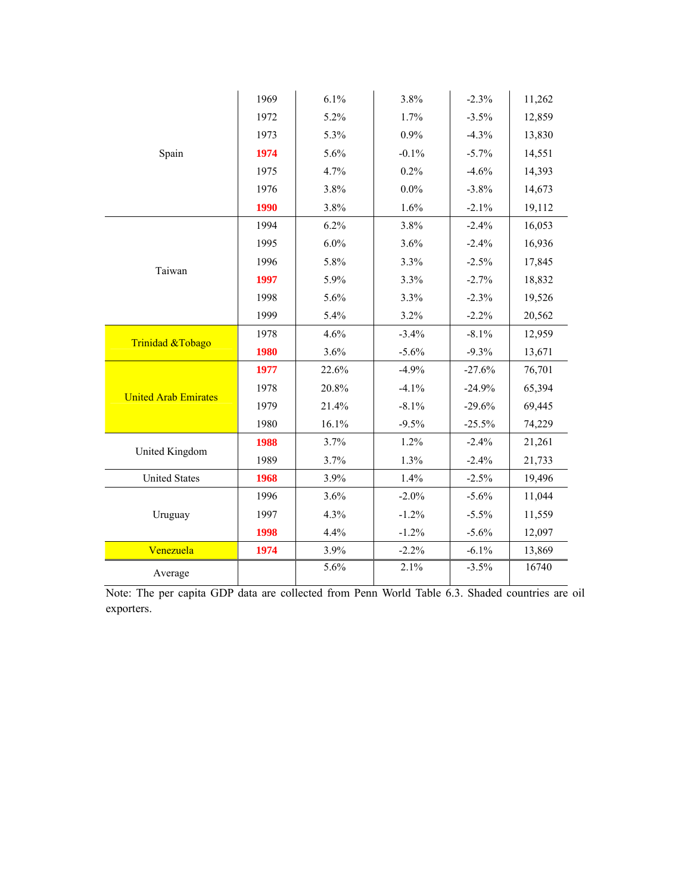|                             | 1969 | 6.1%  | 3.8%     | $-2.3%$  | 11,262 |
|-----------------------------|------|-------|----------|----------|--------|
|                             | 1972 | 5.2%  | 1.7%     | $-3.5%$  | 12,859 |
|                             | 1973 | 5.3%  | 0.9%     | $-4.3%$  | 13,830 |
| Spain                       | 1974 | 5.6%  | $-0.1%$  | $-5.7%$  | 14,551 |
|                             | 1975 | 4.7%  | 0.2%     | $-4.6%$  | 14,393 |
|                             | 1976 | 3.8%  | $0.0\%$  | $-3.8%$  | 14,673 |
|                             | 1990 | 3.8%  | 1.6%     | $-2.1%$  | 19,112 |
|                             | 1994 | 6.2%  | 3.8%     | $-2.4%$  | 16,053 |
|                             | 1995 | 6.0%  | 3.6%     | $-2.4%$  | 16,936 |
| Taiwan                      | 1996 | 5.8%  | 3.3%     | $-2.5%$  | 17,845 |
|                             | 1997 | 5.9%  | 3.3%     | $-2.7%$  | 18,832 |
|                             | 1998 | 5.6%  | 3.3%     | $-2.3%$  | 19,526 |
|                             | 1999 | 5.4%  | 3.2%     | $-2.2%$  | 20,562 |
| Trinidad &Tobago            | 1978 | 4.6%  | $-3.4%$  | $-8.1%$  | 12,959 |
|                             | 1980 | 3.6%  | $-5.6%$  | $-9.3%$  | 13,671 |
|                             | 1977 | 22.6% | $-4.9%$  | $-27.6%$ | 76,701 |
| <b>United Arab Emirates</b> | 1978 | 20.8% | $-4.1%$  | $-24.9%$ | 65,394 |
|                             | 1979 | 21.4% | $-8.1%$  | $-29.6%$ | 69,445 |
|                             | 1980 | 16.1% | $-9.5%$  | $-25.5%$ | 74,229 |
| United Kingdom              | 1988 | 3.7%  | 1.2%     | $-2.4%$  | 21,261 |
|                             | 1989 | 3.7%  | 1.3%     | $-2.4%$  | 21,733 |
| <b>United States</b>        | 1968 | 3.9%  | 1.4%     | $-2.5%$  | 19,496 |
|                             | 1996 | 3.6%  | $-2.0\%$ | $-5.6%$  | 11,044 |
| Uruguay                     | 1997 | 4.3%  | $-1.2%$  | $-5.5\%$ | 11,559 |
|                             | 1998 | 4.4%  | $-1.2%$  | $-5.6%$  | 12,097 |
| Venezuela                   | 1974 | 3.9%  | $-2.2%$  | $-6.1%$  | 13,869 |
| Average                     |      | 5.6%  | 2.1%     | $-3.5%$  | 16740  |

Note: The per capita GDP data are collected from Penn World Table 6.3. Shaded countries are oil exporters.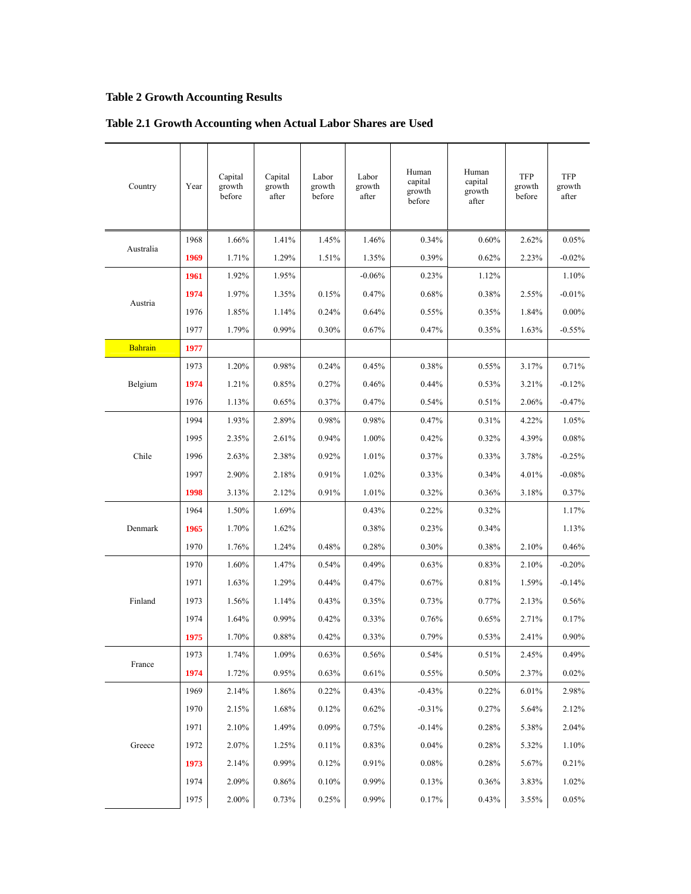# **Table 2 Growth Accounting Results**

| Country        | Year | Capital<br>growth<br>before | Capital<br>growth<br>after | Labor<br>growth<br>before | Labor<br>growth<br>after | Human<br>capital<br>growth<br>before | Human<br>capital<br>growth<br>after | TFP<br>growth<br>before | TFP<br>growth<br>after |
|----------------|------|-----------------------------|----------------------------|---------------------------|--------------------------|--------------------------------------|-------------------------------------|-------------------------|------------------------|
| Australia      | 1968 | 1.66%                       | 1.41%                      | 1.45%                     | 1.46%                    | 0.34%                                | 0.60%                               | 2.62%                   | 0.05%                  |
|                | 1969 | 1.71%                       | 1.29%                      | 1.51%                     | 1.35%                    | 0.39%                                | 0.62%                               | 2.23%                   | $-0.02%$               |
|                | 1961 | 1.92%                       | 1.95%                      |                           | $-0.06%$                 | 0.23%                                | 1.12%                               |                         | 1.10%                  |
| Austria        | 1974 | 1.97%                       | 1.35%                      | 0.15%                     | 0.47%                    | 0.68%                                | 0.38%                               | 2.55%                   | $-0.01%$               |
|                | 1976 | 1.85%                       | 1.14%                      | 0.24%                     | 0.64%                    | 0.55%                                | 0.35%                               | 1.84%                   | $0.00\%$               |
|                | 1977 | 1.79%                       | 0.99%                      | 0.30%                     | 0.67%                    | 0.47%                                | 0.35%                               | 1.63%                   | $-0.55%$               |
| <b>Bahrain</b> | 1977 |                             |                            |                           |                          |                                      |                                     |                         |                        |
|                | 1973 | 1.20%                       | 0.98%                      | 0.24%                     | 0.45%                    | 0.38%                                | 0.55%                               | 3.17%                   | 0.71%                  |
| Belgium        | 1974 | 1.21%                       | 0.85%                      | 0.27%                     | 0.46%                    | 0.44%                                | 0.53%                               | 3.21%                   | $-0.12%$               |
|                | 1976 | 1.13%                       | 0.65%                      | 0.37%                     | 0.47%                    | 0.54%                                | 0.51%                               | 2.06%                   | $-0.47%$               |
|                | 1994 | 1.93%                       | 2.89%                      | 0.98%                     | 0.98%                    | 0.47%                                | 0.31%                               | 4.22%                   | 1.05%                  |
|                | 1995 | 2.35%                       | 2.61%                      | 0.94%                     | 1.00%                    | 0.42%                                | 0.32%                               | 4.39%                   | 0.08%                  |
| Chile          | 1996 | 2.63%                       | 2.38%                      | 0.92%                     | 1.01%                    | 0.37%                                | 0.33%                               | 3.78%                   | $-0.25%$               |
|                | 1997 | 2.90%                       | 2.18%                      | 0.91%                     | 1.02%                    | 0.33%                                | 0.34%                               | 4.01%                   | $-0.08%$               |
|                | 1998 | 3.13%                       | 2.12%                      | 0.91%                     | 1.01%                    | 0.32%                                | 0.36%                               | 3.18%                   | 0.37%                  |
|                | 1964 | 1.50%                       | 1.69%                      |                           | 0.43%                    | 0.22%                                | 0.32%                               |                         | 1.17%                  |
| Denmark        | 1965 | 1.70%                       | 1.62%                      |                           | 0.38%                    | 0.23%                                | 0.34%                               |                         | 1.13%                  |
|                | 1970 | 1.76%                       | 1.24%                      | 0.48%                     | 0.28%                    | 0.30%                                | 0.38%                               | 2.10%                   | 0.46%                  |
|                | 1970 | 1.60%                       | 1.47%                      | 0.54%                     | 0.49%                    | 0.63%                                | 0.83%                               | 2.10%                   | $-0.20%$               |
|                | 1971 | 1.63%                       | 1.29%                      | 0.44%                     | 0.47%                    | 0.67%                                | 0.81%                               | 1.59%                   | $-0.14%$               |
| Finland        | 1973 | 1.56%                       | 1.14%                      | 0.43%                     | 0.35%                    | 0.73%                                | 0.77%                               | 2.13%                   | 0.56%                  |
|                | 1974 | 1.64%                       | 0.99%                      | 0.42%                     | 0.33%                    | 0.76%                                | 0.65%                               | 2.71%                   | 0.17%                  |
|                | 1975 | 1.70%                       | 0.88%                      | 0.42%                     | 0.33%                    | 0.79%                                | 0.53%                               | 2.41%                   | 0.90%                  |
| France         | 1973 | 1.74%                       | 1.09%                      | 0.63%                     | $0.56\%$                 | 0.54%                                | 0.51%                               | 2.45%                   | 0.49%                  |
|                | 1974 | 1.72%                       | 0.95%                      | 0.63%                     | 0.61%                    | 0.55%                                | 0.50%                               | 2.37%                   | 0.02%                  |
|                | 1969 | 2.14%                       | 1.86%                      | 0.22%                     | 0.43%                    | $-0.43%$                             | 0.22%                               | 6.01%                   | 2.98%                  |
|                | 1970 | 2.15%                       | 1.68%                      | 0.12%                     | 0.62%                    | $-0.31%$                             | 0.27%                               | 5.64%                   | 2.12%                  |
|                | 1971 | 2.10%                       | 1.49%                      | 0.09%                     | 0.75%                    | $-0.14%$                             | 0.28%                               | 5.38%                   | 2.04%                  |
| Greece         | 1972 | 2.07%                       | 1.25%                      | 0.11%                     | 0.83%                    | 0.04%                                | 0.28%                               | 5.32%                   | 1.10%                  |
|                | 1973 | 2.14%                       | 0.99%                      | 0.12%                     | 0.91%                    | 0.08%                                | 0.28%                               | 5.67%                   | 0.21%                  |
|                | 1974 | 2.09%                       | 0.86%                      | 0.10%                     | 0.99%                    | 0.13%                                | 0.36%                               | 3.83%                   | 1.02%                  |
|                | 1975 | 2.00%                       | 0.73%                      | 0.25%                     | 0.99%                    | 0.17%                                | 0.43%                               | 3.55%                   | 0.05%                  |

# **Table 2.1 Growth Accounting when Actual Labor Shares are Used**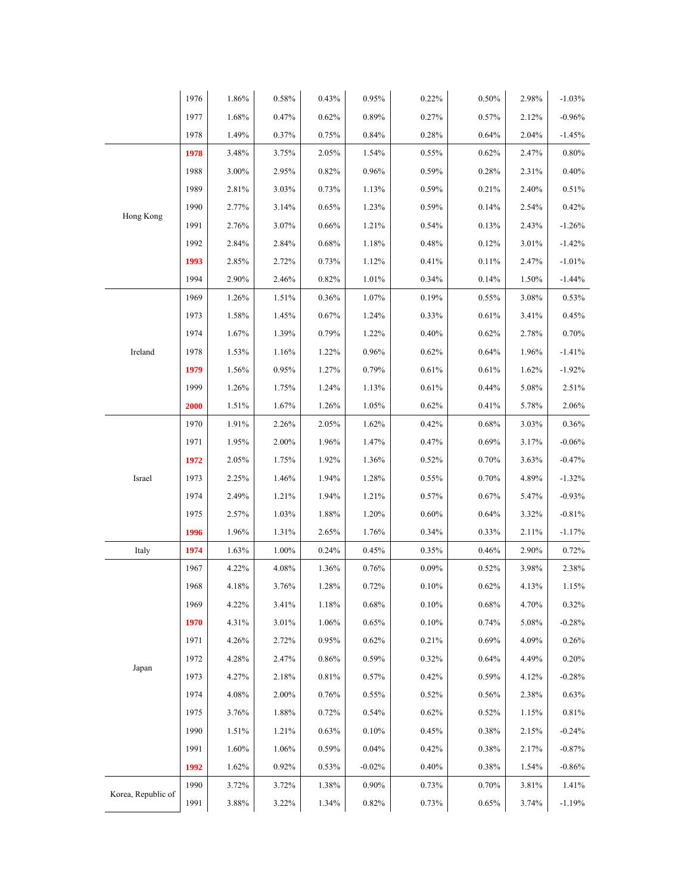|                    | 1976 | $1.86\%$ | $0.58\%$ | 0.43% | 0.95%    | 0.22%    | $0.50\%$ | 2.98% | $-1.03%$ |
|--------------------|------|----------|----------|-------|----------|----------|----------|-------|----------|
|                    | 1977 | 1.68%    | 0.47%    | 0.62% | 0.89%    | 0.27%    | 0.57%    | 2.12% | $-0.96%$ |
|                    | 1978 | 1.49%    | 0.37%    | 0.75% | 0.84%    | 0.28%    | 0.64%    | 2.04% | $-1.45%$ |
|                    | 1978 | 3.48%    | 3.75%    | 2.05% | 1.54%    | 0.55%    | 0.62%    | 2.47% | 0.80%    |
|                    | 1988 | 3.00%    | 2.95%    | 0.82% | 0.96%    | 0.59%    | 0.28%    | 2.31% | 0.40%    |
|                    | 1989 | 2.81%    | 3.03%    | 0.73% | 1.13%    | 0.59%    | 0.21%    | 2.40% | 0.51%    |
|                    | 1990 | 2.77%    | 3.14%    | 0.65% | 1.23%    | 0.59%    | 0.14%    | 2.54% | 0.42%    |
| Hong Kong          | 1991 | 2.76%    | 3.07%    | 0.66% | 1.21%    | 0.54%    | 0.13%    | 2.43% | $-1.26%$ |
|                    | 1992 | 2.84%    | 2.84%    | 0.68% | 1.18%    | 0.48%    | 0.12%    | 3.01% | $-1.42%$ |
|                    | 1993 | 2.85%    | 2.72%    | 0.73% | 1.12%    | 0.41%    | 0.11%    | 2.47% | $-1.01%$ |
|                    | 1994 | 2.90%    | 2.46%    | 0.82% | 1.01%    | 0.34%    | 0.14%    | 1.50% | $-1.44%$ |
|                    | 1969 | $1.26\%$ | 1.51%    | 0.36% | 1.07%    | 0.19%    | 0.55%    | 3.08% | 0.53%    |
|                    | 1973 | 1.58%    | 1.45%    | 0.67% | 1.24%    | 0.33%    | 0.61%    | 3.41% | 0.45%    |
|                    | 1974 | 1.67%    | 1.39%    | 0.79% | 1.22%    | 0.40%    | 0.62%    | 2.78% | 0.70%    |
| Ireland            | 1978 | 1.53%    | 1.16%    | 1.22% | 0.96%    | 0.62%    | 0.64%    | 1.96% | $-1.41%$ |
|                    | 1979 | 1.56%    | 0.95%    | 1.27% | 0.79%    | $0.61\%$ | 0.61%    | 1.62% | $-1.92%$ |
|                    | 1999 | 1.26%    | 1.75%    | 1.24% | 1.13%    | 0.61%    | 0.44%    | 5.08% | 2.51%    |
|                    | 2000 | 1.51%    | $1.67\%$ | 1.26% | 1.05%    | 0.62%    | 0.41%    | 5.78% | 2.06%    |
|                    | 1970 | 1.91%    | 2.26%    | 2.05% | 1.62%    | 0.42%    | 0.68%    | 3.03% | 0.36%    |
|                    | 1971 | 1.95%    | 2.00%    | 1.96% | 1.47%    | 0.47%    | 0.69%    | 3.17% | $-0.06%$ |
|                    | 1972 | 2.05%    | 1.75%    | 1.92% | 1.36%    | 0.52%    | 0.70%    | 3.63% | $-0.47%$ |
| Israel             | 1973 | 2.25%    | 1.46%    | 1.94% | 1.28%    | 0.55%    | 0.70%    | 4.89% | $-1.32%$ |
|                    | 1974 | 2.49%    | 1.21%    | 1.94% | 1.21%    | 0.57%    | 0.67%    | 5.47% | $-0.93%$ |
|                    | 1975 | 2.57%    | 1.03%    | 1.88% | 1.20%    | 0.60%    | 0.64%    | 3.32% | $-0.81%$ |
|                    | 1996 | 1.96%    | 1.31%    | 2.65% | 1.76%    | 0.34%    | 0.33%    | 2.11% | $-1.17%$ |
| Italy              | 1974 | 1.63%    | 1.00%    | 0.24% | 0.45%    | 0.35%    | 0.46%    | 2.90% | 0.72%    |
|                    | 1967 | 4.22%    | 4.08%    | 1.36% | 0.76%    | 0.09%    | 0.52%    | 3.98% | 2.38%    |
|                    | 1968 | 4.18%    | 3.76%    | 1.28% | 0.72%    | 0.10%    | 0.62%    | 4.13% | 1.15%    |
|                    | 1969 | 4.22%    | 3.41%    | 1.18% | 0.68%    | 0.10%    | 0.68%    | 4.70% | 0.32%    |
|                    | 1970 | 4.31%    | 3.01%    | 1.06% | 0.65%    | 0.10%    | 0.74%    | 5.08% | $-0.28%$ |
|                    | 1971 | 4.26%    | 2.72%    | 0.95% | 0.62%    | 0.21%    | 0.69%    | 4.09% | 0.26%    |
| Japan              | 1972 | 4.28%    | 2.47%    | 0.86% | 0.59%    | 0.32%    | 0.64%    | 4.49% | 0.20%    |
|                    | 1973 | 4.27%    | 2.18%    | 0.81% | 0.57%    | 0.42%    | 0.59%    | 4.12% | $-0.28%$ |
|                    | 1974 | 4.08%    | 2.00%    | 0.76% | 0.55%    | 0.52%    | 0.56%    | 2.38% | 0.63%    |
|                    | 1975 | 3.76%    | 1.88%    | 0.72% | 0.54%    | 0.62%    | 0.52%    | 1.15% | 0.81%    |
|                    | 1990 | 1.51%    | 1.21%    | 0.63% | 0.10%    | 0.45%    | 0.38%    | 2.15% | $-0.24%$ |
|                    | 1991 | 1.60%    | 1.06%    | 0.59% | 0.04%    | 0.42%    | 0.38%    | 2.17% | $-0.87%$ |
|                    | 1992 | 1.62%    | 0.92%    | 0.53% | $-0.02%$ | 0.40%    | 0.38%    | 1.54% | $-0.86%$ |
| Korea, Republic of | 1990 | 3.72%    | 3.72%    | 1.38% | 0.90%    | 0.73%    | 0.70%    | 3.81% | 1.41%    |
|                    | 1991 | $3.88\%$ | 3.22%    | 1.34% | $0.82\%$ | $0.73\%$ | 0.65%    | 3.74% | $-1.19%$ |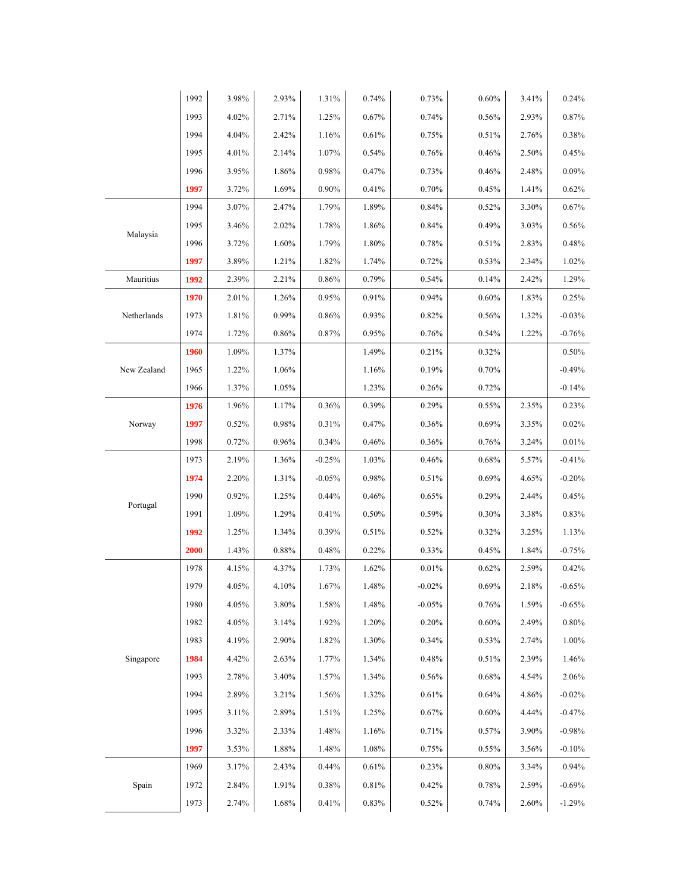|             | 1992 | 3.98% | 2.93%    | 1.31%    | 0.74%    | 0.73%    | $0.60\%$ | 3.41% | 0.24%    |
|-------------|------|-------|----------|----------|----------|----------|----------|-------|----------|
|             | 1993 | 4.02% | 2.71%    | 1.25%    | 0.67%    | 0.74%    | $0.56\%$ | 2.93% | 0.87%    |
|             | 1994 | 4.04% | 2.42%    | 1.16%    | 0.61%    | 0.75%    | 0.51%    | 2.76% | 0.38%    |
|             | 1995 | 4.01% | 2.14%    | 1.07%    | 0.54%    | 0.76%    | 0.46%    | 2.50% | 0.45%    |
|             | 1996 | 3.95% | 1.86%    | 0.98%    | 0.47%    | 0.73%    | 0.46%    | 2.48% | 0.09%    |
|             | 1997 | 3.72% | 1.69%    | $0.90\%$ | 0.41%    | 0.70%    | 0.45%    | 1.41% | 0.62%    |
|             | 1994 | 3.07% | 2.47%    | 1.79%    | 1.89%    | 0.84%    | 0.52%    | 3.30% | 0.67%    |
|             | 1995 | 3.46% | 2.02%    | 1.78%    | 1.86%    | 0.84%    | 0.49%    | 3.03% | 0.56%    |
| Malaysia    | 1996 | 3.72% | 1.60%    | 1.79%    | 1.80%    | 0.78%    | 0.51%    | 2.83% | 0.48%    |
|             | 1997 | 3.89% | 1.21%    | 1.82%    | 1.74%    | 0.72%    | 0.53%    | 2.34% | 1.02%    |
| Mauritius   | 1992 | 2.39% | 2.21%    | 0.86%    | 0.79%    | 0.54%    | 0.14%    | 2.42% | 1.29%    |
|             | 1970 | 2.01% | 1.26%    | 0.95%    | 0.91%    | 0.94%    | 0.60%    | 1.83% | 0.25%    |
| Netherlands | 1973 | 1.81% | 0.99%    | 0.86%    | 0.93%    | 0.82%    | 0.56%    | 1.32% | $-0.03%$ |
|             | 1974 | 1.72% | 0.86%    | 0.87%    | 0.95%    | 0.76%    | 0.54%    | 1.22% | $-0.76%$ |
|             | 1960 | 1.09% | 1.37%    |          | 1.49%    | 0.21%    | 0.32%    |       | 0.50%    |
| New Zealand | 1965 | 1.22% | 1.06%    |          | 1.16%    | 0.19%    | 0.70%    |       | $-0.49%$ |
|             | 1966 | 1.37% | 1.05%    |          | 1.23%    | 0.26%    | 0.72%    |       | $-0.14%$ |
|             | 1976 | 1.96% | 1.17%    | 0.36%    | $0.39\%$ | 0.29%    | $0.55\%$ | 2.35% | 0.23%    |
| Norway      | 1997 | 0.52% | 0.98%    | 0.31%    | 0.47%    | 0.36%    | 0.69%    | 3.35% | 0.02%    |
|             | 1998 | 0.72% | 0.96%    | 0.34%    | 0.46%    | 0.36%    | 0.76%    | 3.24% | 0.01%    |
|             | 1973 | 2.19% | 1.36%    | $-0.25%$ | 1.03%    | 0.46%    | 0.68%    | 5.57% | $-0.41%$ |
|             | 1974 | 2.20% | 1.31%    | $-0.05%$ | 0.98%    | 0.51%    | 0.69%    | 4.65% | $-0.20%$ |
| Portugal    | 1990 | 0.92% | 1.25%    | 0.44%    | 0.46%    | 0.65%    | 0.29%    | 2.44% | 0.45%    |
|             | 1991 | 1.09% | 1.29%    | 0.41%    | $0.50\%$ | 0.59%    | 0.30%    | 3.38% | 0.83%    |
|             | 1992 | 1.25% | 1.34%    | 0.39%    | 0.51%    | 0.52%    | 0.32%    | 3.25% | 1.13%    |
|             | 2000 | 1.43% | 0.88%    | 0.48%    | 0.22%    | 0.33%    | 0.45%    | 1.84% | $-0.75%$ |
|             | 1978 | 4.15% | 4.37%    | 1.73%    | 1.62%    | 0.01%    | 0.62%    | 2.59% | 0.42%    |
|             | 1979 | 4.05% | 4.10%    | 1.67%    | 1.48%    | $-0.02%$ | 0.69%    | 2.18% | $-0.65%$ |
|             | 1980 | 4.05% | $3.80\%$ | 1.58%    | 1.48%    | $-0.05%$ | 0.76%    | 1.59% | $-0.65%$ |
|             | 1982 | 4.05% | 3.14%    | 1.92%    | 1.20%    | 0.20%    | 0.60%    | 2.49% | 0.80%    |
|             | 1983 | 4.19% | 2.90%    | 1.82%    | 1.30%    | 0.34%    | 0.53%    | 2.74% | 1.00%    |
| Singapore   | 1984 | 4.42% | 2.63%    | 1.77%    | 1.34%    | 0.48%    | 0.51%    | 2.39% | 1.46%    |
|             | 1993 | 2.78% | 3.40%    | 1.57%    | 1.34%    | 0.56%    | 0.68%    | 4.54% | 2.06%    |
|             | 1994 | 2.89% | 3.21%    | 1.56%    | 1.32%    | 0.61%    | 0.64%    | 4.86% | $-0.02%$ |
|             | 1995 | 3.11% | 2.89%    | 1.51%    | 1.25%    | 0.67%    | 0.60%    | 4.44% | $-0.47%$ |
|             | 1996 | 3.32% | 2.33%    | 1.48%    | 1.16%    | 0.71%    | 0.57%    | 3.90% | $-0.98%$ |
|             | 1997 | 3.53% | 1.88%    | 1.48%    | 1.08%    | 0.75%    | 0.55%    | 3.56% | $-0.10%$ |
|             | 1969 | 3.17% | 2.43%    | 0.44%    | 0.61%    | 0.23%    | 0.80%    | 3.34% | 0.94%    |
| Spain       | 1972 | 2.84% | 1.91%    | $0.38\%$ | $0.81\%$ | 0.42%    | 0.78%    | 2.59% | $-0.69%$ |
|             | 1973 | 2.74% | 1.68%    | 0.41%    | 0.83%    | 0.52%    | 0.74%    | 2.60% | $-1.29%$ |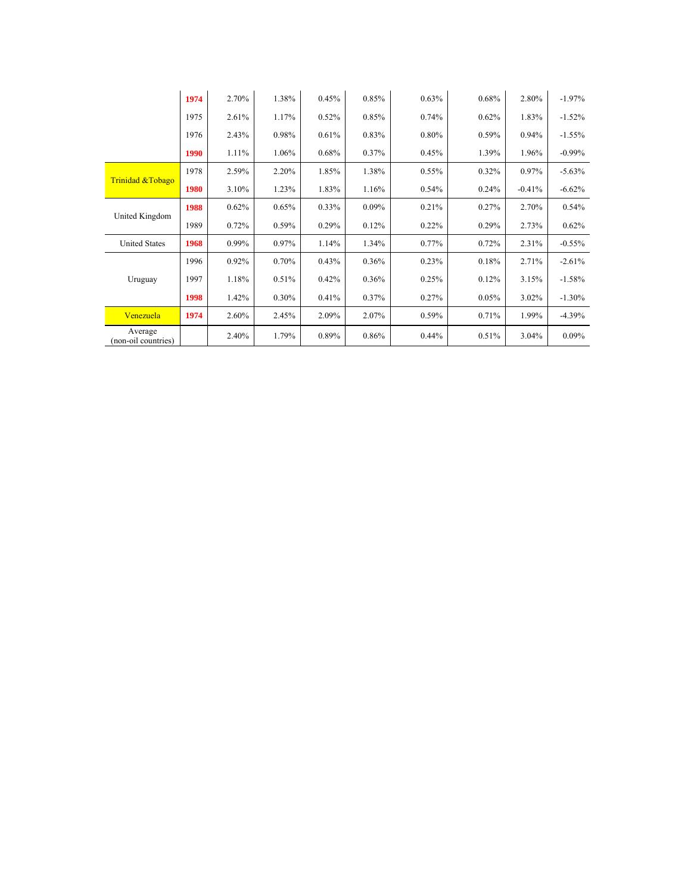|                                | 1974 | 2.70% | 1.38% | 0.45%    | 0.85% | 0.63% | 0.68% | 2.80%    | $-1.97%$  |
|--------------------------------|------|-------|-------|----------|-------|-------|-------|----------|-----------|
|                                | 1975 | 2.61% | 1.17% | 0.52%    | 0.85% | 0.74% | 0.62% | 1.83%    | $-1.52%$  |
|                                | 1976 | 2.43% | 0.98% | 0.61%    | 0.83% | 0.80% | 0.59% | 0.94%    | $-1.55%$  |
|                                | 1990 | 1.11% | 1.06% | $0.68\%$ | 0.37% | 0.45% | 1.39% | 1.96%    | $-0.99\%$ |
| Trinidad & Tobago              | 1978 | 2.59% | 2.20% | 1.85%    | 1.38% | 0.55% | 0.32% | $0.97\%$ | $-5.63%$  |
|                                | 1980 | 3.10% | 1.23% | 1.83%    | 1.16% | 0.54% | 0.24% | $-0.41%$ | $-6.62%$  |
| United Kingdom                 | 1988 | 0.62% | 0.65% | $0.33\%$ | 0.09% | 0.21% | 0.27% | 2.70%    | 0.54%     |
|                                | 1989 | 0.72% | 0.59% | 0.29%    | 0.12% | 0.22% | 0.29% | 2.73%    | 0.62%     |
| <b>United States</b>           | 1968 | 0.99% | 0.97% | 1.14%    | 1.34% | 0.77% | 0.72% | 2.31%    | $-0.55%$  |
|                                | 1996 | 0.92% | 0.70% | 0.43%    | 0.36% | 0.23% | 0.18% | 2.71%    | $-2.61%$  |
| Uruguay                        | 1997 | 1.18% | 0.51% | 0.42%    | 0.36% | 0.25% | 0.12% | 3.15%    | $-1.58%$  |
|                                | 1998 | 1.42% | 0.30% | 0.41%    | 0.37% | 0.27% | 0.05% | 3.02%    | $-1.30%$  |
| Venezuela                      | 1974 | 2.60% | 2.45% | 2.09%    | 2.07% | 0.59% | 0.71% | 1.99%    | $-4.39%$  |
| Average<br>(non-oil countries) |      | 2.40% | 1.79% | 0.89%    | 0.86% | 0.44% | 0.51% | 3.04%    | 0.09%     |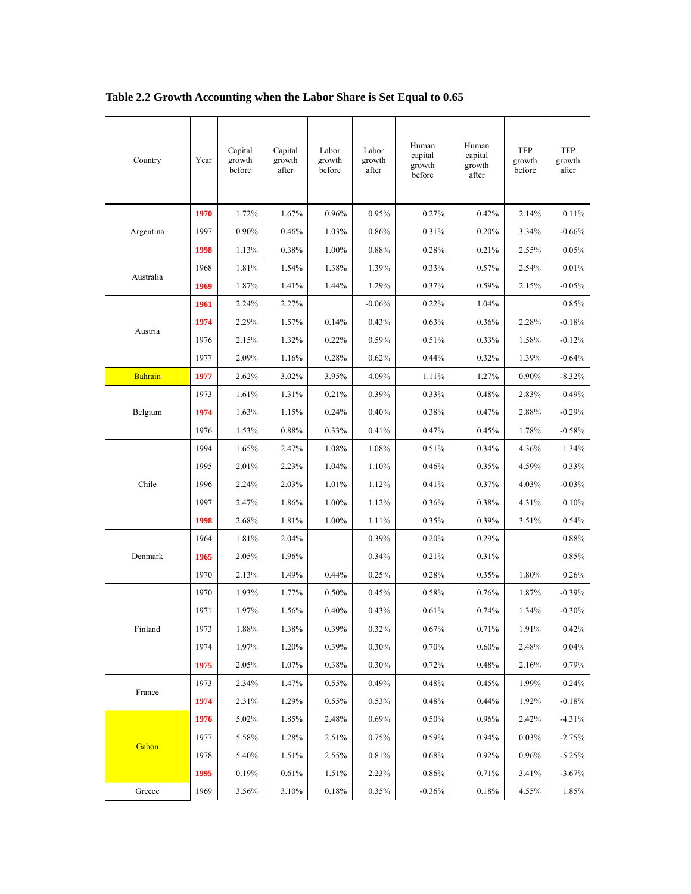| Country        | Year | Capital<br>growth<br>before | Capital<br>growth<br>after | Labor<br>growth<br>before | Labor<br>growth<br>after | Human<br>capital<br>growth<br>before | Human<br>capital<br>growth<br>after | <b>TFP</b><br>growth<br>before | <b>TFP</b><br>growth<br>after |
|----------------|------|-----------------------------|----------------------------|---------------------------|--------------------------|--------------------------------------|-------------------------------------|--------------------------------|-------------------------------|
|                | 1970 | 1.72%                       | 1.67%                      | 0.96%                     | 0.95%                    | 0.27%                                | 0.42%                               | 2.14%                          | 0.11%                         |
| Argentina      | 1997 | 0.90%                       | 0.46%                      | 1.03%                     | 0.86%                    | 0.31%                                | 0.20%                               | 3.34%                          | $-0.66%$                      |
|                | 1998 | 1.13%                       | 0.38%                      | 1.00%                     | 0.88%                    | 0.28%                                | 0.21%                               | 2.55%                          | 0.05%                         |
|                | 1968 | 1.81%                       | 1.54%                      | 1.38%                     | 1.39%                    | 0.33%                                | 0.57%                               | 2.54%                          | 0.01%                         |
| Australia      | 1969 | 1.87%                       | 1.41%                      | 1.44%                     | 1.29%                    | 0.37%                                | 0.59%                               | 2.15%                          | $-0.05%$                      |
|                | 1961 | 2.24%                       | 2.27%                      |                           | $-0.06%$                 | 0.22%                                | 1.04%                               |                                | 0.85%                         |
|                | 1974 | 2.29%                       | 1.57%                      | 0.14%                     | 0.43%                    | 0.63%                                | 0.36%                               | 2.28%                          | $-0.18%$                      |
| Austria        | 1976 | 2.15%                       | 1.32%                      | 0.22%                     | 0.59%                    | 0.51%                                | 0.33%                               | 1.58%                          | $-0.12%$                      |
|                | 1977 | 2.09%                       | 1.16%                      | 0.28%                     | 0.62%                    | 0.44%                                | 0.32%                               | 1.39%                          | $-0.64%$                      |
| <b>Bahrain</b> | 1977 | 2.62%                       | 3.02%                      | 3.95%                     | 4.09%                    | $1.11\%$                             | 1.27%                               | 0.90%                          | $-8.32%$                      |
|                | 1973 | 1.61%                       | 1.31%                      | 0.21%                     | 0.39%                    | 0.33%                                | 0.48%                               | 2.83%                          | 0.49%                         |
| Belgium        | 1974 | 1.63%                       | 1.15%                      | 0.24%                     | 0.40%                    | 0.38%                                | 0.47%                               | 2.88%                          | $-0.29%$                      |
|                | 1976 | 1.53%                       | 0.88%                      | 0.33%                     | 0.41%                    | 0.47%                                | 0.45%                               | 1.78%                          | $-0.58%$                      |
|                | 1994 | 1.65%                       | 2.47%                      | 1.08%                     | 1.08%                    | 0.51%                                | 0.34%                               | 4.36%                          | 1.34%                         |
|                | 1995 | 2.01%                       | 2.23%                      | 1.04%                     | 1.10%                    | 0.46%                                | 0.35%                               | 4.59%                          | 0.33%                         |
| Chile          | 1996 | 2.24%                       | 2.03%                      | 1.01%                     | 1.12%                    | 0.41%                                | 0.37%                               | 4.03%                          | $-0.03%$                      |
|                | 1997 | 2.47%                       | 1.86%                      | 1.00%                     | 1.12%                    | 0.36%                                | 0.38%                               | 4.31%                          | 0.10%                         |
|                | 1998 | 2.68%                       | 1.81%                      | 1.00%                     | 1.11%                    | 0.35%                                | 0.39%                               | 3.51%                          | 0.54%                         |
|                | 1964 | 1.81%                       | 2.04%                      |                           | 0.39%                    | 0.20%                                | 0.29%                               |                                | 0.88%                         |
| Denmark        | 1965 | 2.05%                       | 1.96%                      |                           | 0.34%                    | 0.21%                                | 0.31%                               |                                | 0.85%                         |
|                | 1970 | 2.13%                       | 1.49%                      | 0.44%                     | 0.25%                    | 0.28%                                | 0.35%                               | 1.80%                          | 0.26%                         |
|                | 1970 | 1.93%                       | 1.77%                      | 0.50%                     | 0.45%                    | 0.58%                                | 0.76%                               | 1.87%                          | $-0.39%$                      |
|                | 1971 | 1.97%                       | 1.56%                      | 0.40%                     | 0.43%                    | 0.61%                                | 0.74%                               | 1.34%                          | $-0.30%$                      |
| Finland        | 1973 | 1.88%                       | 1.38%                      | 0.39%                     | 0.32%                    | 0.67%                                | 0.71%                               | 1.91%                          | 0.42%                         |
|                | 1974 | 1.97%                       | 1.20%                      | 0.39%                     | 0.30%                    | 0.70%                                | 0.60%                               | 2.48%                          | 0.04%                         |
|                | 1975 | 2.05%                       | 1.07%                      | 0.38%                     | 0.30%                    | 0.72%                                | 0.48%                               | 2.16%                          | 0.79%                         |
|                | 1973 | 2.34%                       | 1.47%                      | 0.55%                     | 0.49%                    | 0.48%                                | 0.45%                               | 1.99%                          | 0.24%                         |
| France         | 1974 | 2.31%                       | 1.29%                      | 0.55%                     | 0.53%                    | 0.48%                                | 0.44%                               | 1.92%                          | $-0.18%$                      |
|                | 1976 | 5.02%                       | 1.85%                      | 2.48%                     | 0.69%                    | 0.50%                                | 0.96%                               | 2.42%                          | $-4.31%$                      |
| Gabon          | 1977 | 5.58%                       | 1.28%                      | 2.51%                     | 0.75%                    | 0.59%                                | 0.94%                               | 0.03%                          | $-2.75%$                      |
|                | 1978 | 5.40%                       | 1.51%                      | 2.55%                     | 0.81%                    | 0.68%                                | 0.92%                               | 0.96%                          | $-5.25%$                      |
|                | 1995 | 0.19%                       | 0.61%                      | 1.51%                     | 2.23%                    | 0.86%                                | 0.71%                               | 3.41%                          | $-3.67%$                      |
| Greece         | 1969 | 3.56%                       | 3.10%                      | 0.18%                     | 0.35%                    | $-0.36%$                             | 0.18%                               | 4.55%                          | 1.85%                         |

# **Table 2.2 Growth Accounting when the Labor Share is Set Equal to 0.65**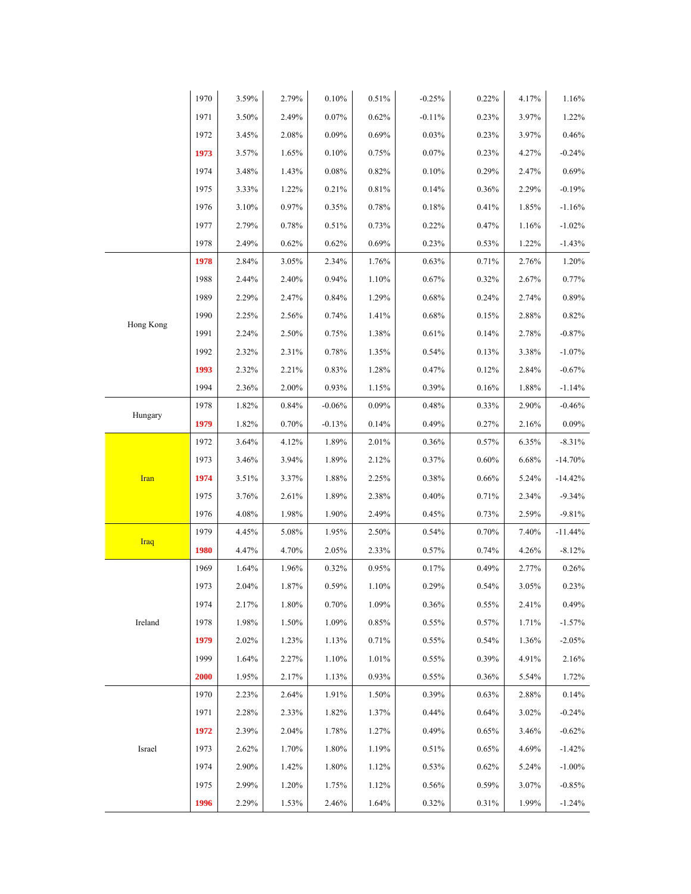|             | 1970 | 3.59% | 2.79% | $0.10\%$ | 0.51% | $-0.25%$ | 0.22% | 4.17% | 1.16%     |
|-------------|------|-------|-------|----------|-------|----------|-------|-------|-----------|
|             | 1971 | 3.50% | 2.49% | 0.07%    | 0.62% | $-0.11%$ | 0.23% | 3.97% | 1.22%     |
|             | 1972 | 3.45% | 2.08% | 0.09%    | 0.69% | 0.03%    | 0.23% | 3.97% | 0.46%     |
|             | 1973 | 3.57% | 1.65% | 0.10%    | 0.75% | 0.07%    | 0.23% | 4.27% | $-0.24%$  |
|             | 1974 | 3.48% | 1.43% | 0.08%    | 0.82% | 0.10%    | 0.29% | 2.47% | $0.69\%$  |
|             | 1975 | 3.33% | 1.22% | 0.21%    | 0.81% | 0.14%    | 0.36% | 2.29% | $-0.19%$  |
|             | 1976 | 3.10% | 0.97% | 0.35%    | 0.78% | 0.18%    | 0.41% | 1.85% | $-1.16%$  |
|             | 1977 | 2.79% | 0.78% | 0.51%    | 0.73% | 0.22%    | 0.47% | 1.16% | $-1.02%$  |
|             | 1978 | 2.49% | 0.62% | 0.62%    | 0.69% | 0.23%    | 0.53% | 1.22% | $-1.43%$  |
|             | 1978 | 2.84% | 3.05% | 2.34%    | 1.76% | 0.63%    | 0.71% | 2.76% | 1.20%     |
|             | 1988 | 2.44% | 2.40% | 0.94%    | 1.10% | 0.67%    | 0.32% | 2.67% | 0.77%     |
|             | 1989 | 2.29% | 2.47% | 0.84%    | 1.29% | 0.68%    | 0.24% | 2.74% | $0.89\%$  |
|             | 1990 | 2.25% | 2.56% | 0.74%    | 1.41% | 0.68%    | 0.15% | 2.88% | 0.82%     |
| Hong Kong   | 1991 | 2.24% | 2.50% | 0.75%    | 1.38% | 0.61%    | 0.14% | 2.78% | $-0.87%$  |
|             | 1992 | 2.32% | 2.31% | 0.78%    | 1.35% | 0.54%    | 0.13% | 3.38% | $-1.07\%$ |
|             | 1993 | 2.32% | 2.21% | 0.83%    | 1.28% | 0.47%    | 0.12% | 2.84% | $-0.67%$  |
|             | 1994 | 2.36% | 2.00% | 0.93%    | 1.15% | 0.39%    | 0.16% | 1.88% | $-1.14%$  |
|             | 1978 | 1.82% | 0.84% | $-0.06%$ | 0.09% | 0.48%    | 0.33% | 2.90% | $-0.46%$  |
| Hungary     | 1979 | 1.82% | 0.70% | $-0.13%$ | 0.14% | 0.49%    | 0.27% | 2.16% | 0.09%     |
|             | 1972 | 3.64% | 4.12% | 1.89%    | 2.01% | 0.36%    | 0.57% | 6.35% | $-8.31%$  |
|             | 1973 | 3.46% | 3.94% | 1.89%    | 2.12% | 0.37%    | 0.60% | 6.68% | $-14.70%$ |
| Iran        | 1974 | 3.51% | 3.37% | 1.88%    | 2.25% | 0.38%    | 0.66% | 5.24% | $-14.42%$ |
|             | 1975 | 3.76% | 2.61% | 1.89%    | 2.38% | 0.40%    | 0.71% | 2.34% | $-9.34%$  |
|             | 1976 | 4.08% | 1.98% | 1.90%    | 2.49% | 0.45%    | 0.73% | 2.59% | $-9.81%$  |
|             | 1979 | 4.45% | 5.08% | 1.95%    | 2.50% | 0.54%    | 0.70% | 7.40% | $-11.44%$ |
| <b>Iraq</b> | 1980 | 4.47% | 4.70% | 2.05%    | 2.33% | 0.57%    | 0.74% | 4.26% | $-8.12%$  |
|             | 1969 | 1.64% | 1.96% | 0.32%    | 0.95% | 0.17%    | 0.49% | 2.77% | 0.26%     |
|             | 1973 | 2.04% | 1.87% | 0.59%    | 1.10% | 0.29%    | 0.54% | 3.05% | 0.23%     |
|             | 1974 | 2.17% | 1.80% | $0.70\%$ | 1.09% | 0.36%    | 0.55% | 2.41% | 0.49%     |
| Ireland     | 1978 | 1.98% | 1.50% | 1.09%    | 0.85% | 0.55%    | 0.57% | 1.71% | $-1.57%$  |
|             | 1979 | 2.02% | 1.23% | 1.13%    | 0.71% | 0.55%    | 0.54% | 1.36% | $-2.05%$  |
|             | 1999 | 1.64% | 2.27% | 1.10%    | 1.01% | 0.55%    | 0.39% | 4.91% | 2.16%     |
|             | 2000 | 1.95% | 2.17% | 1.13%    | 0.93% | 0.55%    | 0.36% | 5.54% | 1.72%     |
|             | 1970 | 2.23% | 2.64% | 1.91%    | 1.50% | 0.39%    | 0.63% | 2.88% | 0.14%     |
|             | 1971 | 2.28% | 2.33% | 1.82%    | 1.37% | 0.44%    | 0.64% | 3.02% | $-0.24%$  |
|             | 1972 | 2.39% | 2.04% | 1.78%    | 1.27% | 0.49%    | 0.65% | 3.46% | $-0.62%$  |
| Israel      | 1973 | 2.62% | 1.70% | 1.80%    | 1.19% | 0.51%    | 0.65% | 4.69% | $-1.42%$  |
|             | 1974 | 2.90% | 1.42% | 1.80%    | 1.12% | 0.53%    | 0.62% | 5.24% | $-1.00\%$ |
|             | 1975 | 2.99% | 1.20% | 1.75%    | 1.12% | 0.56%    | 0.59% | 3.07% | $-0.85%$  |
|             | 1996 | 2.29% | 1.53% | 2.46%    | 1.64% | $0.32\%$ | 0.31% | 1.99% | $-1.24%$  |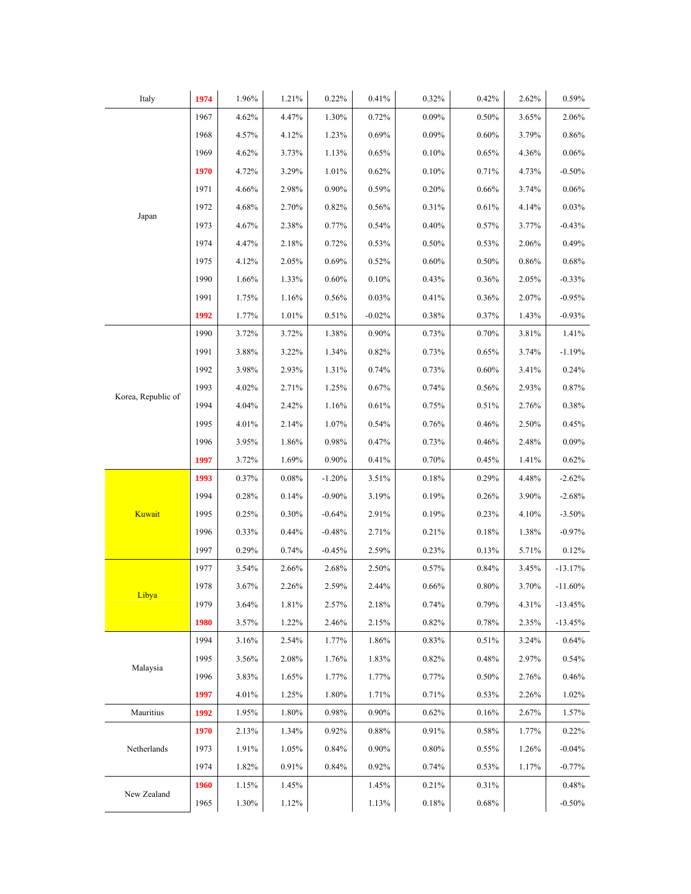| Italy              | 1974 | 1.96% | 1.21% | 0.22%    | 0.41%    | 0.32% | 0.42% | 2.62% | 0.59%     |
|--------------------|------|-------|-------|----------|----------|-------|-------|-------|-----------|
|                    | 1967 | 4.62% | 4.47% | 1.30%    | 0.72%    | 0.09% | 0.50% | 3.65% | 2.06%     |
|                    | 1968 | 4.57% | 4.12% | 1.23%    | 0.69%    | 0.09% | 0.60% | 3.79% | 0.86%     |
|                    | 1969 | 4.62% | 3.73% | 1.13%    | 0.65%    | 0.10% | 0.65% | 4.36% | 0.06%     |
|                    | 1970 | 4.72% | 3.29% | 1.01%    | 0.62%    | 0.10% | 0.71% | 4.73% | $-0.50%$  |
|                    | 1971 | 4.66% | 2.98% | $0.90\%$ | 0.59%    | 0.20% | 0.66% | 3.74% | 0.06%     |
|                    | 1972 | 4.68% | 2.70% | 0.82%    | 0.56%    | 0.31% | 0.61% | 4.14% | 0.03%     |
| Japan              | 1973 | 4.67% | 2.38% | 0.77%    | 0.54%    | 0.40% | 0.57% | 3.77% | $-0.43%$  |
|                    | 1974 | 4.47% | 2.18% | 0.72%    | 0.53%    | 0.50% | 0.53% | 2.06% | 0.49%     |
|                    | 1975 | 4.12% | 2.05% | 0.69%    | 0.52%    | 0.60% | 0.50% | 0.86% | 0.68%     |
|                    | 1990 | 1.66% | 1.33% | 0.60%    | 0.10%    | 0.43% | 0.36% | 2.05% | $-0.33%$  |
|                    | 1991 | 1.75% | 1.16% | 0.56%    | 0.03%    | 0.41% | 0.36% | 2.07% | $-0.95%$  |
|                    | 1992 | 1.77% | 1.01% | 0.51%    | $-0.02%$ | 0.38% | 0.37% | 1.43% | $-0.93%$  |
|                    | 1990 | 3.72% | 3.72% | 1.38%    | 0.90%    | 0.73% | 0.70% | 3.81% | 1.41%     |
|                    | 1991 | 3.88% | 3.22% | 1.34%    | 0.82%    | 0.73% | 0.65% | 3.74% | $-1.19%$  |
|                    | 1992 | 3.98% | 2.93% | 1.31%    | 0.74%    | 0.73% | 0.60% | 3.41% | 0.24%     |
| Korea, Republic of | 1993 | 4.02% | 2.71% | 1.25%    | 0.67%    | 0.74% | 0.56% | 2.93% | 0.87%     |
|                    | 1994 | 4.04% | 2.42% | 1.16%    | 0.61%    | 0.75% | 0.51% | 2.76% | 0.38%     |
|                    | 1995 | 4.01% | 2.14% | 1.07%    | 0.54%    | 0.76% | 0.46% | 2.50% | 0.45%     |
|                    | 1996 | 3.95% | 1.86% | 0.98%    | 0.47%    | 0.73% | 0.46% | 2.48% | 0.09%     |
|                    | 1997 | 3.72% | 1.69% | 0.90%    | 0.41%    | 0.70% | 0.45% | 1.41% | 0.62%     |
|                    | 1993 | 0.37% | 0.08% | $-1.20%$ | 3.51%    | 0.18% | 0.29% | 4.48% | $-2.62%$  |
|                    | 1994 | 0.28% | 0.14% | $-0.90%$ | 3.19%    | 0.19% | 0.26% | 3.90% | $-2.68%$  |
| Kuwait             | 1995 | 0.25% | 0.30% | $-0.64%$ | 2.91%    | 0.19% | 0.23% | 4.10% | $-3.50%$  |
|                    | 1996 | 0.33% | 0.44% | $-0.48%$ | 2.71%    | 0.21% | 0.18% | 1.38% | $-0.97%$  |
|                    | 1997 | 0.29% | 0.74% | $-0.45%$ | 2.59%    | 0.23% | 0.13% | 5.71% | 0.12%     |
|                    | 1977 | 3.54% | 2.66% | 2.68%    | 2.50%    | 0.57% | 0.84% | 3.45% | $-13.17%$ |
|                    | 1978 | 3.67% | 2.26% | 2.59%    | 2.44%    | 0.66% | 0.80% | 3.70% | $-11.60%$ |
| Libya              | 1979 | 3.64% | 1.81% | 2.57%    | 2.18%    | 0.74% | 0.79% | 4.31% | $-13.45%$ |
|                    | 1980 | 3.57% | 1.22% | 2.46%    | 2.15%    | 0.82% | 0.78% | 2.35% | $-13.45%$ |
|                    | 1994 | 3.16% | 2.54% | 1.77%    | 1.86%    | 0.83% | 0.51% | 3.24% | 0.64%     |
| Malaysia           | 1995 | 3.56% | 2.08% | 1.76%    | 1.83%    | 0.82% | 0.48% | 2.97% | 0.54%     |
|                    | 1996 | 3.83% | 1.65% | 1.77%    | 1.77%    | 0.77% | 0.50% | 2.76% | 0.46%     |
|                    | 1997 | 4.01% | 1.25% | 1.80%    | 1.71%    | 0.71% | 0.53% | 2.26% | 1.02%     |
| Mauritius          | 1992 | 1.95% | 1.80% | 0.98%    | 0.90%    | 0.62% | 0.16% | 2.67% | 1.57%     |
|                    | 1970 | 2.13% | 1.34% | $0.92\%$ | 0.88%    | 0.91% | 0.58% | 1.77% | 0.22%     |
| Netherlands        | 1973 | 1.91% | 1.05% | 0.84%    | 0.90%    | 0.80% | 0.55% | 1.26% | $-0.04%$  |
|                    | 1974 | 1.82% | 0.91% | 0.84%    | 0.92%    | 0.74% | 0.53% | 1.17% | $-0.77%$  |
| New Zealand        | 1960 | 1.15% | 1.45% |          | 1.45%    | 0.21% | 0.31% |       | 0.48%     |
|                    | 1965 | 1.30% | 1.12% |          | 1.13%    | 0.18% | 0.68% |       | $-0.50%$  |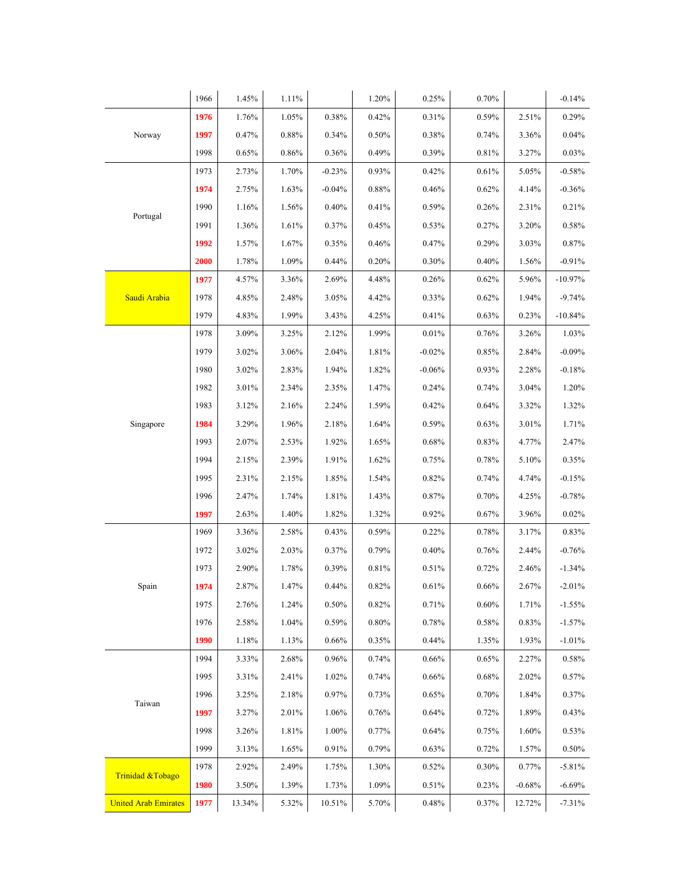|                             | 1966 | 1.45%  | 1.11% |          | 1.20%    | 0.25%    | 0.70%    |                                                                                                                                                                                                                                                                                                                | $-0.14%$  |
|-----------------------------|------|--------|-------|----------|----------|----------|----------|----------------------------------------------------------------------------------------------------------------------------------------------------------------------------------------------------------------------------------------------------------------------------------------------------------------|-----------|
|                             | 1976 | 1.76%  | 1.05% | 0.38%    | 0.42%    | 0.31%    | 0.59%    | 2.51%                                                                                                                                                                                                                                                                                                          | 0.29%     |
| Norway                      | 1997 | 0.47%  | 0.88% | 0.34%    | 0.50%    | 0.38%    | 0.74%    | 3.36%                                                                                                                                                                                                                                                                                                          | 0.04%     |
|                             | 1998 | 0.65%  | 0.86% | 0.36%    | 0.49%    | 0.39%    | 0.81%    | 3.27%                                                                                                                                                                                                                                                                                                          | 0.03%     |
|                             | 1973 | 2.73%  | 1.70% | $-0.23%$ | 0.93%    | 0.42%    | 0.61%    | 5.05%<br>4.14%<br>2.31%<br>3.20%<br>3.03%<br>1.56%<br>5.96%<br>1.94%<br>0.23%<br>3.26%<br>2.84%<br>2.28%<br>3.04%<br>3.32%<br>3.01%<br>4.77%<br>5.10%<br>4.74%<br>4.25%<br>3.96%<br>3.17%<br>2.44%<br>2.46%<br>2.67%<br>1.71%<br>0.83%<br>1.93%<br>2.27%<br>2.02%<br>1.84%<br>1.89%<br>1.60%<br>1.57%<br>0.77% | $-0.58%$  |
|                             | 1974 | 2.75%  | 1.63% | $-0.04%$ | 0.88%    | 0.46%    | 0.62%    |                                                                                                                                                                                                                                                                                                                | $-0.36%$  |
|                             | 1990 | 1.16%  | 1.56% | 0.40%    | 0.41%    | 0.59%    | 0.26%    |                                                                                                                                                                                                                                                                                                                | 0.21%     |
| Portugal                    | 1991 | 1.36%  | 1.61% | 0.37%    | 0.45%    | 0.53%    | 0.27%    |                                                                                                                                                                                                                                                                                                                | 0.58%     |
|                             | 1992 | 1.57%  | 1.67% | 0.35%    | 0.46%    | 0.47%    | 0.29%    |                                                                                                                                                                                                                                                                                                                | 0.87%     |
|                             | 2000 | 1.78%  | 1.09% | 0.44%    | 0.20%    | 0.30%    | 0.40%    |                                                                                                                                                                                                                                                                                                                | $-0.91%$  |
|                             | 1977 | 4.57%  | 3.36% | 2.69%    | 4.48%    | 0.26%    | 0.62%    |                                                                                                                                                                                                                                                                                                                | $-10.97%$ |
| Saudi Arabia                | 1978 | 4.85%  | 2.48% | 3.05%    | 4.42%    | 0.33%    | 0.62%    |                                                                                                                                                                                                                                                                                                                | $-9.74%$  |
|                             | 1979 | 4.83%  | 1.99% | 3.43%    | 4.25%    | 0.41%    | 0.63%    |                                                                                                                                                                                                                                                                                                                | $-10.84%$ |
|                             | 1978 | 3.09%  | 3.25% | 2.12%    | 1.99%    | 0.01%    | 0.76%    |                                                                                                                                                                                                                                                                                                                | 1.03%     |
|                             | 1979 | 3.02%  | 3.06% | 2.04%    | 1.81%    | $-0.02%$ | 0.85%    |                                                                                                                                                                                                                                                                                                                | $-0.09%$  |
|                             | 1980 | 3.02%  | 2.83% | 1.94%    | 1.82%    | $-0.06%$ | 0.93%    |                                                                                                                                                                                                                                                                                                                | $-0.18%$  |
|                             | 1982 | 3.01%  | 2.34% | 2.35%    | 1.47%    | 0.24%    | 0.74%    |                                                                                                                                                                                                                                                                                                                | 1.20%     |
|                             | 1983 | 3.12%  | 2.16% | 2.24%    | 1.59%    | 0.42%    | 0.64%    |                                                                                                                                                                                                                                                                                                                | 1.32%     |
| Singapore                   | 1984 | 3.29%  | 1.96% | 2.18%    | 1.64%    | 0.59%    | 0.63%    |                                                                                                                                                                                                                                                                                                                | 1.71%     |
|                             | 1993 | 2.07%  | 2.53% | 1.92%    | 1.65%    | 0.68%    | 0.83%    |                                                                                                                                                                                                                                                                                                                | 2.47%     |
|                             | 1994 | 2.15%  | 2.39% | 1.91%    | 1.62%    | 0.75%    | 0.78%    |                                                                                                                                                                                                                                                                                                                | 0.35%     |
|                             | 1995 | 2.31%  | 2.15% | 1.85%    | 1.54%    | 0.82%    | 0.74%    |                                                                                                                                                                                                                                                                                                                | $-0.15%$  |
|                             | 1996 | 2.47%  | 1.74% | 1.81%    | 1.43%    | 0.87%    | 0.70%    |                                                                                                                                                                                                                                                                                                                | $-0.78%$  |
|                             | 1997 | 2.63%  | 1.40% | 1.82%    | 1.32%    | 0.92%    | 0.67%    |                                                                                                                                                                                                                                                                                                                | 0.02%     |
|                             | 1969 | 3.36%  | 2.58% | 0.43%    | 0.59%    | 0.22%    | 0.78%    |                                                                                                                                                                                                                                                                                                                | 0.83%     |
|                             | 1972 | 3.02%  | 2.03% | 0.37%    | 0.79%    | 0.40%    | 0.76%    |                                                                                                                                                                                                                                                                                                                | $-0.76%$  |
|                             | 1973 | 2.90%  | 1.78% | 0.39%    | 0.81%    | 0.51%    | 0.72%    |                                                                                                                                                                                                                                                                                                                | $-1.34%$  |
| Spain                       | 1974 | 2.87%  | 1.47% | 0.44%    | 0.82%    | 0.61%    | 0.66%    |                                                                                                                                                                                                                                                                                                                | $-2.01%$  |
|                             | 1975 | 2.76%  | 1.24% | $0.50\%$ | $0.82\%$ | 0.71%    | $0.60\%$ |                                                                                                                                                                                                                                                                                                                | $-1.55%$  |
|                             | 1976 | 2.58%  | 1.04% | 0.59%    | $0.80\%$ | 0.78%    | 0.58%    |                                                                                                                                                                                                                                                                                                                | $-1.57%$  |
|                             | 1990 | 1.18%  | 1.13% | 0.66%    | 0.35%    | 0.44%    | 1.35%    |                                                                                                                                                                                                                                                                                                                | $-1.01%$  |
|                             | 1994 | 3.33%  | 2.68% | 0.96%    | 0.74%    | 0.66%    | 0.65%    |                                                                                                                                                                                                                                                                                                                | 0.58%     |
|                             | 1995 | 3.31%  | 2.41% | 1.02%    | 0.74%    | 0.66%    | 0.68%    |                                                                                                                                                                                                                                                                                                                | 0.57%     |
| Taiwan                      | 1996 | 3.25%  | 2.18% | 0.97%    | 0.73%    | 0.65%    | 0.70%    |                                                                                                                                                                                                                                                                                                                | 0.37%     |
|                             | 1997 | 3.27%  | 2.01% | 1.06%    | 0.76%    | 0.64%    | 0.72%    |                                                                                                                                                                                                                                                                                                                | 0.43%     |
|                             | 1998 | 3.26%  | 1.81% | 1.00%    | 0.77%    | 0.64%    | 0.75%    |                                                                                                                                                                                                                                                                                                                | 0.53%     |
|                             | 1999 | 3.13%  | 1.65% | 0.91%    | 0.79%    | 0.63%    | 0.72%    |                                                                                                                                                                                                                                                                                                                | 0.50%     |
| Trinidad & Tobago           | 1978 | 2.92%  | 2.49% | 1.75%    | 1.30%    | 0.52%    | $0.30\%$ |                                                                                                                                                                                                                                                                                                                | $-5.81%$  |
|                             | 1980 | 3.50%  | 1.39% | 1.73%    | 1.09%    | 0.51%    | 0.23%    | $-0.68%$                                                                                                                                                                                                                                                                                                       | $-6.69%$  |
| <b>United Arab Emirates</b> | 1977 | 13.34% | 5.32% | 10.51%   | 5.70%    | 0.48%    | 0.37%    | 12.72%                                                                                                                                                                                                                                                                                                         | $-7.31%$  |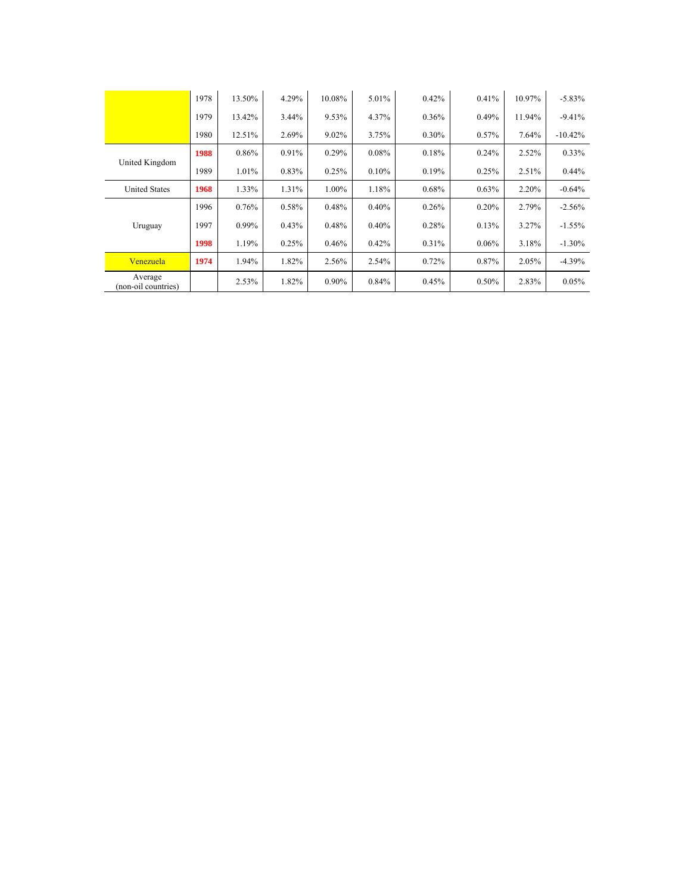|                                | 1978 | 13.50%   | 4.29% | 10.08% | 5.01% | 0.42%    | 0.41%    | 10.97% | $-5.83%$  |
|--------------------------------|------|----------|-------|--------|-------|----------|----------|--------|-----------|
|                                | 1979 | 13.42%   | 3.44% | 9.53%  | 4.37% | 0.36%    | $0.49\%$ | 11.94% | $-9.41%$  |
|                                | 1980 | 12.51%   | 2.69% | 9.02%  | 3.75% | $0.30\%$ | $0.57\%$ | 7.64%  | $-10.42%$ |
|                                | 1988 | 0.86%    | 0.91% | 0.29%  | 0.08% | 0.18%    | 0.24%    | 2.52%  | 0.33%     |
| United Kingdom                 | 1989 | 1.01%    | 0.83% | 0.25%  | 0.10% | 0.19%    | 0.25%    | 2.51%  | $0.44\%$  |
| <b>United States</b>           | 1968 | 1.33%    | 1.31% | 1.00%  | 1.18% | 0.68%    | $0.63\%$ | 2.20%  | $-0.64%$  |
|                                | 1996 | 0.76%    | 0.58% | 0.48%  | 0.40% | 0.26%    | 0.20%    | 2.79%  | $-2.56%$  |
| Uruguay                        | 1997 | $0.99\%$ | 0.43% | 0.48%  | 0.40% | 0.28%    | 0.13%    | 3.27%  | $-1.55%$  |
|                                | 1998 | 1.19%    | 0.25% | 0.46%  | 0.42% | 0.31%    | $0.06\%$ | 3.18%  | $-1.30%$  |
| Venezuela                      | 1974 | 1.94%    | 1.82% | 2.56%  | 2.54% | 0.72%    | 0.87%    | 2.05%  | $-4.39%$  |
| Average<br>(non-oil countries) |      | 2.53%    | 1.82% | 0.90%  | 0.84% | 0.45%    | $0.50\%$ | 2.83%  | 0.05%     |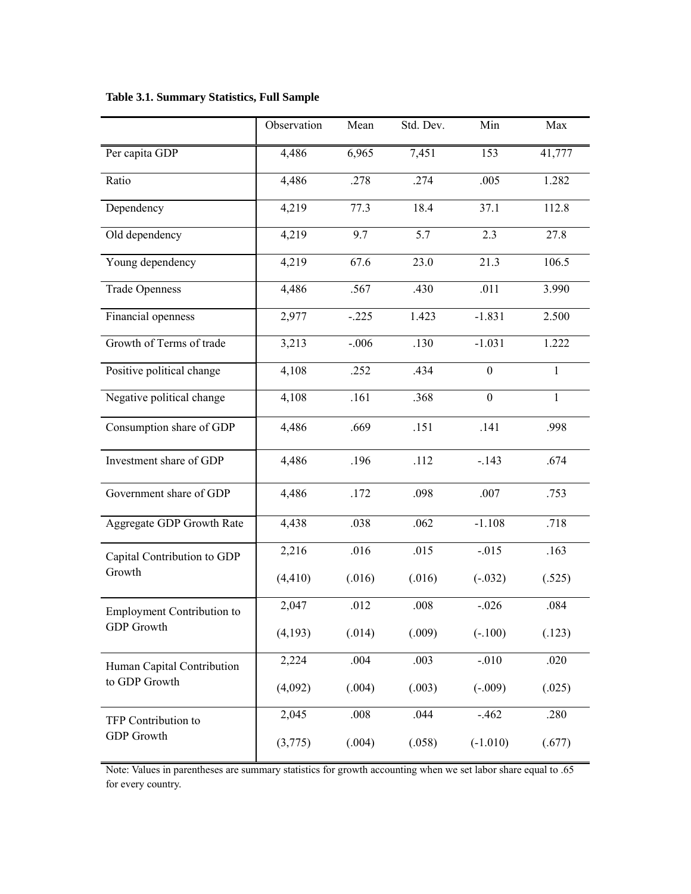|                                   | Observation | Mean    | Std. Dev. | Min              | Max          |
|-----------------------------------|-------------|---------|-----------|------------------|--------------|
| Per capita GDP                    | 4,486       | 6,965   | 7,451     | 153              | 41,777       |
| Ratio                             | 4,486       | .278    | .274      | .005             | 1.282        |
| Dependency                        | 4,219       | 77.3    | 18.4      | 37.1             | 112.8        |
| Old dependency                    | 4,219       | 9.7     | 5.7       | 2.3              | 27.8         |
| Young dependency                  | 4,219       | 67.6    | 23.0      | 21.3             | 106.5        |
| <b>Trade Openness</b>             | 4,486       | .567    | .430      | .011             | 3.990        |
| Financial openness                | 2,977       | $-.225$ | 1.423     | $-1.831$         | 2.500        |
| Growth of Terms of trade          | 3,213       | $-.006$ | .130      | $-1.031$         | 1.222        |
| Positive political change         | 4,108       | .252    | .434      | $\boldsymbol{0}$ | $\mathbf{1}$ |
| Negative political change         | 4,108       | .161    | .368      | $\boldsymbol{0}$ | $\mathbf{1}$ |
| Consumption share of GDP          | 4,486       | .669    | .151      | .141             | .998         |
| Investment share of GDP           | 4,486       | .196    | .112      | $-.143$          | .674         |
| Government share of GDP           | 4,486       | .172    | .098      | .007             | .753         |
| Aggregate GDP Growth Rate         | 4,438       | .038    | .062      | $-1.108$         | .718         |
| Capital Contribution to GDP       | 2,216       | .016    | .015      | $-.015$          | .163         |
| Growth                            | (4, 410)    | (.016)  | (.016)    | $(-.032)$        | (.525)       |
| <b>Employment Contribution to</b> | 2,047       | .012    | .008      | $-.026$          | .084         |
| <b>GDP</b> Growth                 | (4,193)     | (.014)  | (.009)    | $(-.100)$        | (.123)       |
| Human Capital Contribution        | 2,224       | .004    | .003      | $-.010$          | .020         |
| to GDP Growth                     | (4,092)     | (.004)  | (.003)    | $(-.009)$        | (.025)       |
| TFP Contribution to               | 2,045       | .008    | .044      | $-.462$          | .280         |
| <b>GDP</b> Growth                 | (3,775)     | (.004)  | (.058)    | $(-1.010)$       | (.677)       |

# **Table 3.1. Summary Statistics, Full Sample**

Note: Values in parentheses are summary statistics for growth accounting when we set labor share equal to .65 for every country.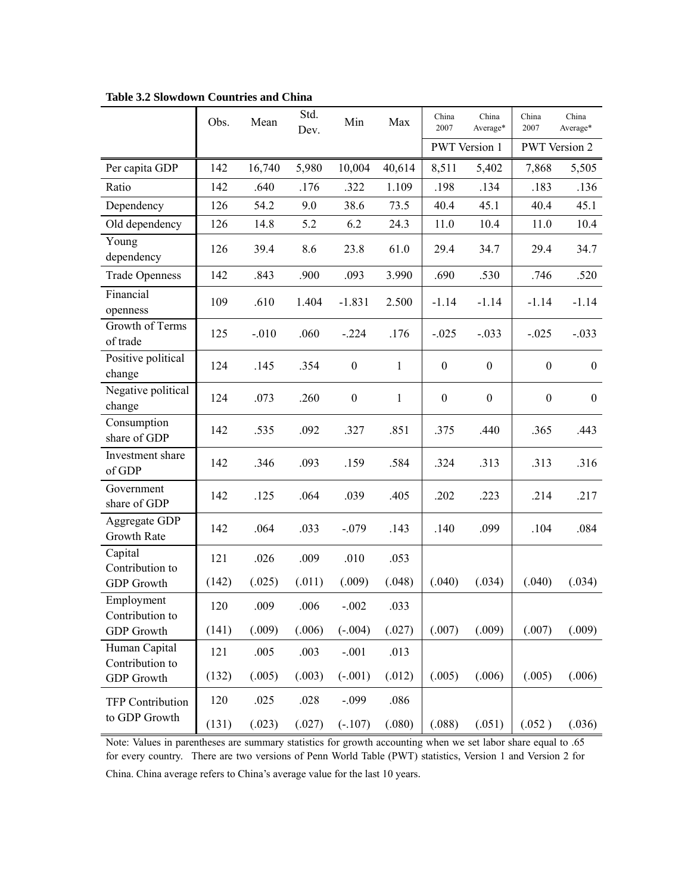|                                  | Obs.  | Mean    | Std.<br>Dev. | Min              | Max          | China<br>2007    | China<br>Average*    | China<br>2007    | China<br>Average*    |
|----------------------------------|-------|---------|--------------|------------------|--------------|------------------|----------------------|------------------|----------------------|
|                                  |       |         |              |                  |              |                  | <b>PWT</b> Version 1 |                  | <b>PWT</b> Version 2 |
| Per capita GDP                   | 142   | 16,740  | 5,980        | 10,004           | 40,614       | 8,511            | 5,402                | 7,868            | 5,505                |
| Ratio                            | 142   | .640    | .176         | .322             | 1.109        | .198             | .134                 | .183             | .136                 |
| Dependency                       | 126   | 54.2    | 9.0          | 38.6             | 73.5         | 40.4             | 45.1                 | 40.4             | 45.1                 |
| Old dependency                   | 126   | 14.8    | 5.2          | 6.2              | 24.3         | 11.0             | 10.4                 | 11.0             | 10.4                 |
| Young<br>dependency              | 126   | 39.4    | 8.6          | 23.8             | 61.0         | 29.4             | 34.7                 | 29.4             | 34.7                 |
| <b>Trade Openness</b>            | 142   | .843    | .900         | .093             | 3.990        | .690             | .530                 | .746             | .520                 |
| Financial<br>openness            | 109   | .610    | 1.404        | $-1.831$         | 2.500        | $-1.14$          | $-1.14$              | $-1.14$          | $-1.14$              |
| Growth of Terms<br>of trade      | 125   | $-.010$ | .060         | $-.224$          | .176         | $-.025$          | $-.033$              | $-.025$          | $-.033$              |
| Positive political<br>change     | 124   | .145    | .354         | $\boldsymbol{0}$ | 1            | $\boldsymbol{0}$ | $\mathbf{0}$         | $\boldsymbol{0}$ | $\mathbf{0}$         |
| Negative political<br>change     | 124   | .073    | .260         | $\boldsymbol{0}$ | $\mathbf{1}$ | $\boldsymbol{0}$ | $\boldsymbol{0}$     | $\boldsymbol{0}$ | $\boldsymbol{0}$     |
| Consumption<br>share of GDP      | 142   | .535    | .092         | .327             | .851         | .375             | .440                 | .365             | .443                 |
| Investment share<br>of GDP       | 142   | .346    | .093         | .159             | .584         | .324             | .313                 | .313             | .316                 |
| Government<br>share of GDP       | 142   | .125    | .064         | .039             | .405         | .202             | .223                 | .214             | .217                 |
| Aggregate GDP<br>Growth Rate     | 142   | .064    | .033         | $-.079$          | .143         | .140             | .099                 | .104             | .084                 |
| Capital<br>Contribution to       | 121   | .026    | .009         | .010             | .053         |                  |                      |                  |                      |
| <b>GDP</b> Growth                | (142) | (.025)  | (.011)       | (.009)           | (.048)       | (.040)           | (.034)               | (.040)           | (.034)               |
| Employment<br>Contribution to    | 120   | .009    | .006         | $-.002$          | .033         |                  |                      |                  |                      |
| <b>GDP</b> Growth                | (141) | (.009)  | (.006)       | $(-.004)$        | (.027)       | (.007)           | (.009)               | (.007)           | (.009)               |
| Human Capital<br>Contribution to | 121   | .005    | .003         | $-.001$          | .013         |                  |                      |                  |                      |
| <b>GDP</b> Growth                | (132) | (.005)  | (.003)       | $(-.001)$        | (.012)       | (.005)           | (.006)               | (.005)           | (.006)               |
| <b>TFP Contribution</b>          | 120   | .025    | .028         | $-.099$          | .086         |                  |                      |                  |                      |
| to GDP Growth                    | (131) | (.023)  | (.027)       | $(-.107)$        | (.080)       | (.088)           | (.051)               | (.052)           | (.036)               |

**Table 3.2 Slowdown Countries and China**

Note: Values in parentheses are summary statistics for growth accounting when we set labor share equal to .65 for every country. There are two versions of Penn World Table (PWT) statistics, Version 1 and Version 2 for China. China average refers to China's average value for the last 10 years.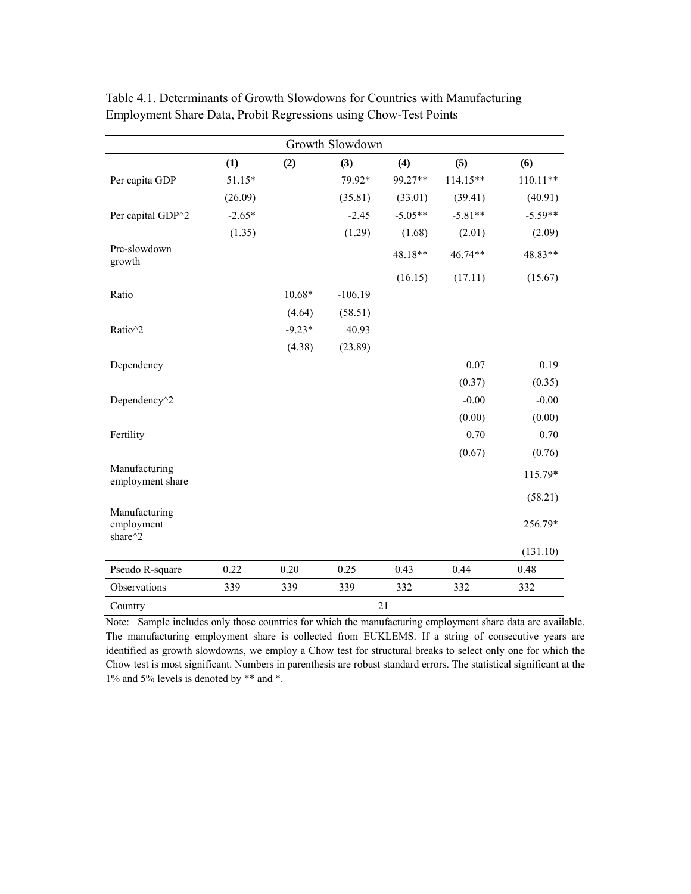|                                        |          |          | Growth Slowdown |           |           |            |
|----------------------------------------|----------|----------|-----------------|-----------|-----------|------------|
|                                        | (1)      | (2)      | (3)             | (4)       | (5)       | (6)        |
| Per capita GDP                         | 51.15*   |          | 79.92*          | 99.27**   | 114.15**  | $110.11**$ |
|                                        | (26.09)  |          | (35.81)         | (33.01)   | (39.41)   | (40.91)    |
| Per capital GDP^2                      | $-2.65*$ |          | $-2.45$         | $-5.05**$ | $-5.81**$ | $-5.59**$  |
|                                        | (1.35)   |          | (1.29)          | (1.68)    | (2.01)    | (2.09)     |
| Pre-slowdown<br>growth                 |          |          |                 | 48.18**   | 46.74**   | 48.83**    |
|                                        |          |          |                 | (16.15)   | (17.11)   | (15.67)    |
| Ratio                                  |          | $10.68*$ | $-106.19$       |           |           |            |
|                                        |          | (4.64)   | (58.51)         |           |           |            |
| Ratio^2                                |          | $-9.23*$ | 40.93           |           |           |            |
|                                        |          | (4.38)   | (23.89)         |           |           |            |
| Dependency                             |          |          |                 |           | 0.07      | 0.19       |
|                                        |          |          |                 |           | (0.37)    | (0.35)     |
| Dependency <sup>^2</sup>               |          |          |                 |           | $-0.00$   | $-0.00$    |
|                                        |          |          |                 |           | (0.00)    | (0.00)     |
| Fertility                              |          |          |                 |           | 0.70      | 0.70       |
|                                        |          |          |                 |           | (0.67)    | (0.76)     |
| Manufacturing<br>employment share      |          |          |                 |           |           | 115.79*    |
|                                        |          |          |                 |           |           | (58.21)    |
| Manufacturing<br>employment<br>share^2 |          |          |                 |           |           | 256.79*    |
|                                        |          |          |                 |           |           | (131.10)   |
| Pseudo R-square                        | 0.22     | 0.20     | 0.25            | 0.43      | 0.44      | 0.48       |
| Observations                           | 339      | 339      | 339             | 332       | 332       | 332        |
| Country                                |          |          |                 | 21        |           |            |

Table 4.1. Determinants of Growth Slowdowns for Countries with Manufacturing Employment Share Data, Probit Regressions using Chow-Test Points

Note: Sample includes only those countries for which the manufacturing employment share data are available. The manufacturing employment share is collected from EUKLEMS. If a string of consecutive years are identified as growth slowdowns, we employ a Chow test for structural breaks to select only one for which the Chow test is most significant. Numbers in parenthesis are robust standard errors. The statistical significant at the 1% and 5% levels is denoted by \*\* and \*.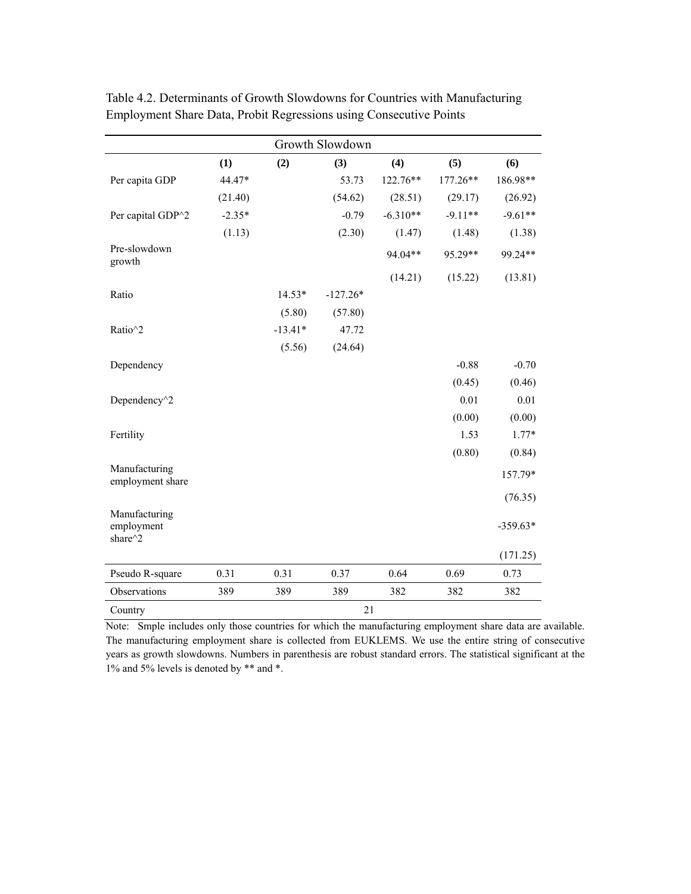|                                        |          |           | Growth Slowdown |            |           |            |
|----------------------------------------|----------|-----------|-----------------|------------|-----------|------------|
|                                        | (1)      | (2)       | (3)             | (4)        | (5)       | (6)        |
| Per capita GDP                         | 44.47*   |           | 53.73           | 122.76**   | 177.26**  | 186.98**   |
|                                        | (21.40)  |           | (54.62)         | (28.51)    | (29.17)   | (26.92)    |
| Per capital GDP^2                      | $-2.35*$ |           | $-0.79$         | $-6.310**$ | $-9.11**$ | $-9.61**$  |
|                                        | (1.13)   |           | (2.30)          | (1.47)     | (1.48)    | (1.38)     |
| Pre-slowdown<br>growth                 |          |           |                 | 94.04**    | 95.29**   | 99.24**    |
|                                        |          |           |                 | (14.21)    | (15.22)   | (13.81)    |
| Ratio                                  |          | $14.53*$  | $-127.26*$      |            |           |            |
|                                        |          | (5.80)    | (57.80)         |            |           |            |
| Ratio^2                                |          | $-13.41*$ | 47.72           |            |           |            |
|                                        |          | (5.56)    | (24.64)         |            |           |            |
| Dependency                             |          |           |                 |            | $-0.88$   | $-0.70$    |
|                                        |          |           |                 |            | (0.45)    | (0.46)     |
| Dependency <sup>^2</sup>               |          |           |                 |            | 0.01      | 0.01       |
|                                        |          |           |                 |            | (0.00)    | (0.00)     |
| Fertility                              |          |           |                 |            | 1.53      | $1.77*$    |
|                                        |          |           |                 |            | (0.80)    | (0.84)     |
| Manufacturing<br>employment share      |          |           |                 |            |           | 157.79*    |
|                                        |          |           |                 |            |           | (76.35)    |
| Manufacturing<br>employment<br>share^2 |          |           |                 |            |           | $-359.63*$ |
|                                        |          |           |                 |            |           | (171.25)   |
| Pseudo R-square                        | 0.31     | 0.31      | 0.37            | 0.64       | 0.69      | 0.73       |
| Observations                           | 389      | 389       | 389             | 382        | 382       | 382        |
| Country                                |          |           | 21              |            |           |            |

Table 4.2. Determinants of Growth Slowdowns for Countries with Manufacturing Employment Share Data, Probit Regressions using Consecutive Points

Note: Smple includes only those countries for which the manufacturing employment share data are available. The manufacturing employment share is collected from EUKLEMS. We use the entire string of consecutive years as growth slowdowns. Numbers in parenthesis are robust standard errors. The statistical significant at the 1% and 5% levels is denoted by \*\* and \*.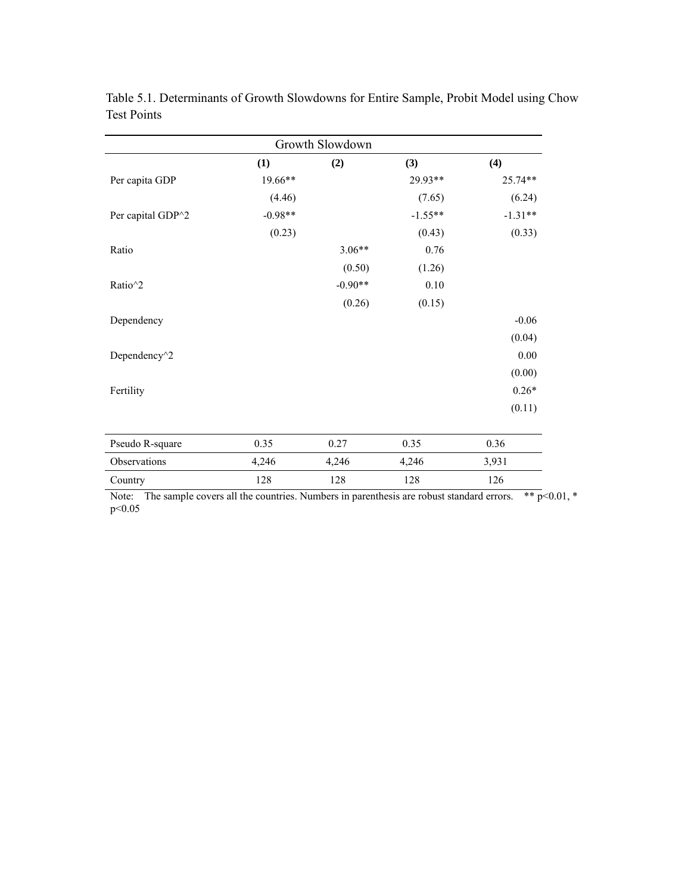| Growth Slowdown          |           |           |           |           |  |  |  |  |  |  |  |  |
|--------------------------|-----------|-----------|-----------|-----------|--|--|--|--|--|--|--|--|
|                          | (1)       | (2)       | (3)       | (4)       |  |  |  |  |  |  |  |  |
| Per capita GDP           | 19.66**   |           | 29.93**   | 25.74**   |  |  |  |  |  |  |  |  |
|                          | (4.46)    |           | (7.65)    | (6.24)    |  |  |  |  |  |  |  |  |
| Per capital GDP^2        | $-0.98**$ |           | $-1.55**$ | $-1.31**$ |  |  |  |  |  |  |  |  |
|                          | (0.23)    |           | (0.43)    | (0.33)    |  |  |  |  |  |  |  |  |
| Ratio                    |           | $3.06**$  | 0.76      |           |  |  |  |  |  |  |  |  |
|                          |           | (0.50)    | (1.26)    |           |  |  |  |  |  |  |  |  |
| Ratio^2                  |           | $-0.90**$ | 0.10      |           |  |  |  |  |  |  |  |  |
|                          |           | (0.26)    | (0.15)    |           |  |  |  |  |  |  |  |  |
| Dependency               |           |           |           | $-0.06$   |  |  |  |  |  |  |  |  |
|                          |           |           |           | (0.04)    |  |  |  |  |  |  |  |  |
| Dependency <sup>^2</sup> |           |           |           | 0.00      |  |  |  |  |  |  |  |  |
|                          |           |           |           | (0.00)    |  |  |  |  |  |  |  |  |
| Fertility                |           |           |           | $0.26*$   |  |  |  |  |  |  |  |  |
|                          |           |           |           | (0.11)    |  |  |  |  |  |  |  |  |
| Pseudo R-square          | 0.35      | 0.27      | 0.35      | 0.36      |  |  |  |  |  |  |  |  |
| Observations             | 4,246     | 4,246     | 4,246     | 3,931     |  |  |  |  |  |  |  |  |
| Country                  | 128       | 128       | 128       | 126       |  |  |  |  |  |  |  |  |

Table 5.1. Determinants of Growth Slowdowns for Entire Sample, Probit Model using Chow Test Points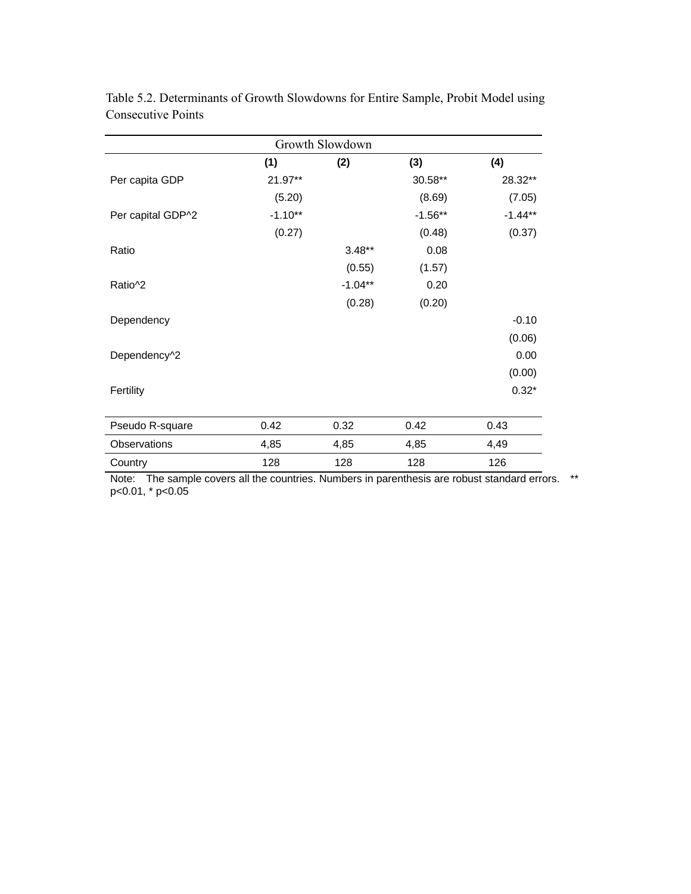| Growth Slowdown      |           |           |           |           |  |  |  |  |  |  |  |  |
|----------------------|-----------|-----------|-----------|-----------|--|--|--|--|--|--|--|--|
|                      | (1)       | (2)       | (3)       | (4)       |  |  |  |  |  |  |  |  |
| Per capita GDP       | 21.97**   |           | 30.58**   | 28.32**   |  |  |  |  |  |  |  |  |
|                      | (5.20)    |           | (8.69)    | (7.05)    |  |  |  |  |  |  |  |  |
| Per capital GDP^2    | $-1.10**$ |           | $-1.56**$ | $-1.44**$ |  |  |  |  |  |  |  |  |
|                      | (0.27)    |           | (0.48)    | (0.37)    |  |  |  |  |  |  |  |  |
| Ratio                |           | $3.48**$  | 0.08      |           |  |  |  |  |  |  |  |  |
|                      |           | (0.55)    | (1.57)    |           |  |  |  |  |  |  |  |  |
| Ratio <sup>1</sup> 2 |           | $-1.04**$ | 0.20      |           |  |  |  |  |  |  |  |  |
|                      |           | (0.28)    | (0.20)    |           |  |  |  |  |  |  |  |  |
| Dependency           |           |           |           | $-0.10$   |  |  |  |  |  |  |  |  |
|                      |           |           |           | (0.06)    |  |  |  |  |  |  |  |  |
| Dependency^2         |           |           |           | 0.00      |  |  |  |  |  |  |  |  |
|                      |           |           |           | (0.00)    |  |  |  |  |  |  |  |  |
| Fertility            |           |           |           | $0.32*$   |  |  |  |  |  |  |  |  |
|                      |           |           |           |           |  |  |  |  |  |  |  |  |
| Pseudo R-square      | 0.42      | 0.32      | 0.42      | 0.43      |  |  |  |  |  |  |  |  |
| Observations         | 4,85      | 4,85      | 4,85      | 4,49      |  |  |  |  |  |  |  |  |
| Country              | 128       | 128       | 128       | 126       |  |  |  |  |  |  |  |  |

Table 5.2. Determinants of Growth Slowdowns for Entire Sample, Probit Model using Consecutive Points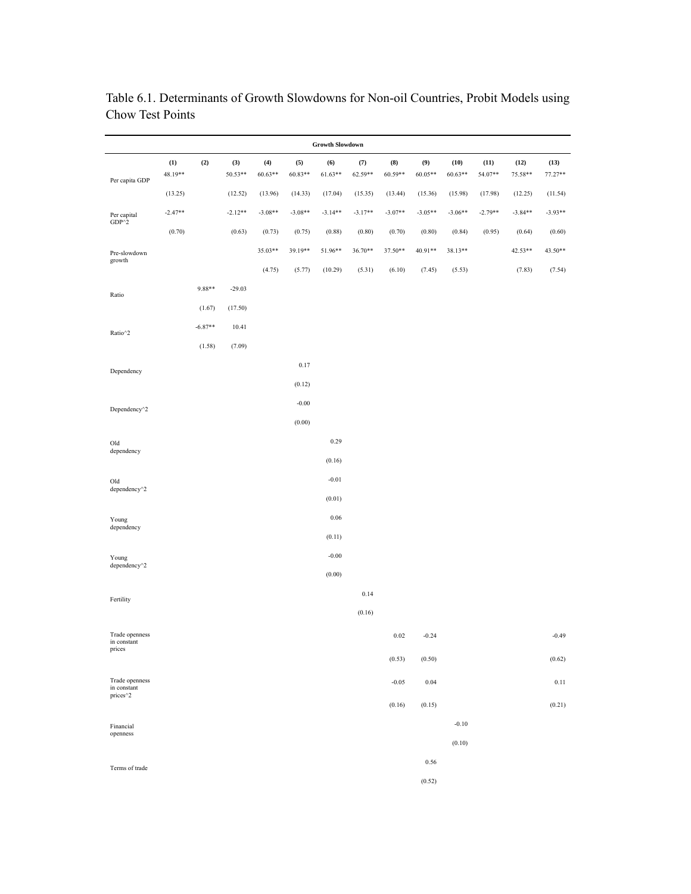| <b>Growth Slowdown</b>              |                |           |                  |                  |                  |                  |                |                |                |                   |                 |                 |                   |
|-------------------------------------|----------------|-----------|------------------|------------------|------------------|------------------|----------------|----------------|----------------|-------------------|-----------------|-----------------|-------------------|
| Per capita GDP                      | (1)<br>48.19** | (2)       | (3)<br>$50.53**$ | (4)<br>$60.63**$ | (5)<br>$60.83**$ | (6)<br>$61.63**$ | (7)<br>62.59** | (8)<br>60.59** | (9)<br>60.05** | (10)<br>$60.63**$ | (11)<br>54.07** | (12)<br>75.58** | (13)<br>$77.27**$ |
|                                     | (13.25)        |           | (12.52)          | (13.96)          | (14.33)          | (17.04)          | (15.35)        | (13.44)        | (15.36)        | (15.98)           | (17.98)         | (12.25)         | (11.54)           |
| Per capital                         | $-2.47**$      |           | $-2.12**$        | $-3.08**$        | $-3.08**$        | $-3.14**$        | $-3.17**$      | $-3.07**$      | $-3.05**$      | $-3.06**$         | $-2.79**$       | $-3.84**$       | $-3.93**$         |
| $GDP^2$                             | (0.70)         |           | (0.63)           | (0.73)           | (0.75)           | (0.88)           | (0.80)         | (0.70)         | (0.80)         | (0.84)            | (0.95)          | (0.64)          | (0.60)            |
| Pre-slowdown                        |                |           |                  | 35.03**          | 39.19**          | 51.96**          | 36.70**        | 37.50**        | 40.91**        | 38.13**           |                 | 42.53**         | 43.50**           |
| growth                              |                |           |                  | (4.75)           | (5.77)           | (10.29)          | (5.31)         | (6.10)         | (7.45)         | (5.53)            |                 | (7.83)          | (7.54)            |
| Ratio                               |                | 9.88**    | $-29.03$         |                  |                  |                  |                |                |                |                   |                 |                 |                   |
|                                     |                | (1.67)    | (17.50)          |                  |                  |                  |                |                |                |                   |                 |                 |                   |
| Ratio^2                             |                | $-6.87**$ | 10.41            |                  |                  |                  |                |                |                |                   |                 |                 |                   |
|                                     |                | (1.58)    | (7.09)           |                  |                  |                  |                |                |                |                   |                 |                 |                   |
| Dependency                          |                |           |                  |                  | 0.17             |                  |                |                |                |                   |                 |                 |                   |
|                                     |                |           |                  |                  | (0.12)           |                  |                |                |                |                   |                 |                 |                   |
| Dependency <sup>^2</sup>            |                |           |                  |                  | $-0.00$          |                  |                |                |                |                   |                 |                 |                   |
|                                     |                |           |                  |                  | (0.00)           |                  |                |                |                |                   |                 |                 |                   |
| Old<br>dependency                   |                |           |                  |                  |                  | 0.29             |                |                |                |                   |                 |                 |                   |
|                                     |                |           |                  |                  |                  | (0.16)           |                |                |                |                   |                 |                 |                   |
| Old<br>dependency <sup>^2</sup>     |                |           |                  |                  |                  | $-0.01$          |                |                |                |                   |                 |                 |                   |
|                                     |                |           |                  |                  |                  | (0.01)           |                |                |                |                   |                 |                 |                   |
| Young<br>dependency                 |                |           |                  |                  |                  | $0.06\,$         |                |                |                |                   |                 |                 |                   |
|                                     |                |           |                  |                  |                  | (0.11)           |                |                |                |                   |                 |                 |                   |
| Young<br>dependency <sup>^2</sup>   |                |           |                  |                  |                  | $-0.00$          |                |                |                |                   |                 |                 |                   |
|                                     |                |           |                  |                  |                  | (0.00)           |                |                |                |                   |                 |                 |                   |
| Fertility                           |                |           |                  |                  |                  |                  | 0.14           |                |                |                   |                 |                 |                   |
|                                     |                |           |                  |                  |                  |                  | (0.16)         |                |                |                   |                 |                 |                   |
| Trade openness<br>in constant       |                |           |                  |                  |                  |                  |                | 0.02           | $-0.24$        |                   |                 |                 | $-0.49$           |
| prices                              |                |           |                  |                  |                  |                  |                | (0.53)         | (0.50)         |                   |                 |                 | (0.62)            |
| Trade openness                      |                |           |                  |                  |                  |                  |                | $-0.05$        | 0.04           |                   |                 |                 | 0.11              |
| in constant<br>prices <sup>^2</sup> |                |           |                  |                  |                  |                  |                |                |                |                   |                 |                 |                   |
|                                     |                |           |                  |                  |                  |                  |                | (0.16)         | (0.15)         |                   |                 |                 | (0.21)            |
| Financial<br>openness               |                |           |                  |                  |                  |                  |                |                |                | $-0.10$           |                 |                 |                   |
|                                     |                |           |                  |                  |                  |                  |                |                |                | (0.10)            |                 |                 |                   |
| Terms of trade                      |                |           |                  |                  |                  |                  |                |                | 0.56           |                   |                 |                 |                   |
|                                     |                |           |                  |                  |                  |                  |                |                | (0.52)         |                   |                 |                 |                   |

Table 6.1. Determinants of Growth Slowdowns for Non-oil Countries, Probit Models using Chow Test Points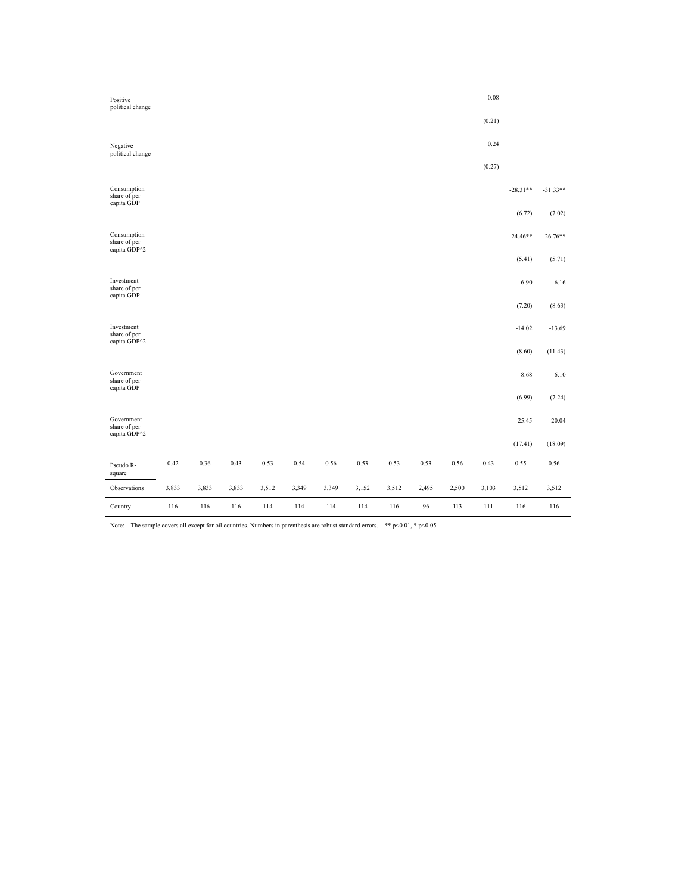| Positive<br>political change                |       |       |       |       |       |       |       |       |       |       | $-0.08$ |            |            |
|---------------------------------------------|-------|-------|-------|-------|-------|-------|-------|-------|-------|-------|---------|------------|------------|
|                                             |       |       |       |       |       |       |       |       |       |       | (0.21)  |            |            |
| Negative<br>political change                |       |       |       |       |       |       |       |       |       |       | 0.24    |            |            |
|                                             |       |       |       |       |       |       |       |       |       |       | (0.27)  |            |            |
| Consumption<br>share of per<br>capita GDP   |       |       |       |       |       |       |       |       |       |       |         | $-28.31**$ | $-31.33**$ |
|                                             |       |       |       |       |       |       |       |       |       |       |         | (6.72)     | (7.02)     |
| Consumption<br>share of per<br>capita GDP^2 |       |       |       |       |       |       |       |       |       |       |         | 24.46**    | 26.76**    |
|                                             |       |       |       |       |       |       |       |       |       |       |         | (5.41)     | (5.71)     |
| Investment<br>share of per<br>capita GDP    |       |       |       |       |       |       |       |       |       |       |         | 6.90       | 6.16       |
|                                             |       |       |       |       |       |       |       |       |       |       |         | (7.20)     | (8.63)     |
| Investment<br>share of per<br>capita GDP^2  |       |       |       |       |       |       |       |       |       |       |         | $-14.02$   | $-13.69$   |
|                                             |       |       |       |       |       |       |       |       |       |       |         | (8.60)     | (11.43)    |
| Government<br>share of per<br>capita GDP    |       |       |       |       |       |       |       |       |       |       |         | 8.68       | 6.10       |
|                                             |       |       |       |       |       |       |       |       |       |       |         | (6.99)     | (7.24)     |
| Government<br>share of per<br>capita GDP^2  |       |       |       |       |       |       |       |       |       |       |         | $-25.45$   | $-20.04$   |
|                                             |       |       |       |       |       |       |       |       |       |       |         | (17.41)    | (18.09)    |
| Pseudo R-<br>square                         | 0.42  | 0.36  | 0.43  | 0.53  | 0.54  | 0.56  | 0.53  | 0.53  | 0.53  | 0.56  | 0.43    | 0.55       | 0.56       |
| Observations                                | 3,833 | 3,833 | 3,833 | 3,512 | 3,349 | 3,349 | 3,152 | 3,512 | 2,495 | 2,500 | 3,103   | 3,512      | 3,512      |
| Country                                     | 116   | 116   | 116   | 114   | 114   | 114   | 114   | 116   | 96    | 113   | 111     | 116        | 116        |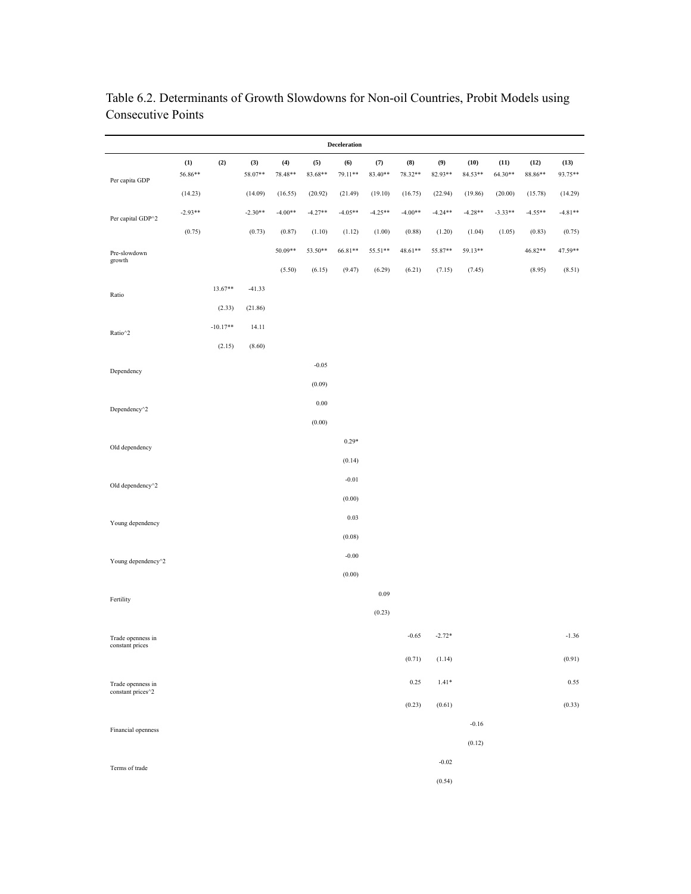| Deceleration                           |                  |            |                |                |                |                   |                  |                |                |                 |                 |                 |                 |
|----------------------------------------|------------------|------------|----------------|----------------|----------------|-------------------|------------------|----------------|----------------|-----------------|-----------------|-----------------|-----------------|
| Per capita GDP                         | $(1)$<br>56.86** | (2)        | (3)<br>58.07** | (4)<br>78.48** | (5)<br>83.68** | (6)<br>79.11**    | $(7)$<br>83.40** | (8)<br>78.32** | (9)<br>82.93** | (10)<br>84.53** | (11)<br>64.30** | (12)<br>88.86** | (13)<br>93.75** |
|                                        | (14.23)          |            | (14.09)        | (16.55)        | (20.92)        | (21.49)           | (19.10)          | (16.75)        | (22.94)        | (19.86)         | (20.00)         | (15.78)         | (14.29)         |
| Per capital GDP^2                      | $-2.93**$        |            | $-2.30**$      | $-4.00**$      | $-4.27**$      | $-4.05**$         | $-4.25**$        | $-4.00**$      | $-4.24**$      | $-4.28**$       | $-3.33**$       | $-4.55**$       | $-4.81**$       |
|                                        | (0.75)           |            | (0.73)         | (0.87)         | (1.10)         | (1.12)            | (1.00)           | (0.88)         | (1.20)         | (1.04)          | (1.05)          | (0.83)          | (0.75)          |
| Pre-slowdown<br>growth                 |                  |            |                | 50.09**        | 53.50**        | 66.81**           | 55.51**          | 48.61**        | 55.87**        | 59.13**         |                 | 46.82**         | 47.59**         |
|                                        |                  |            |                | (5.50)         | (6.15)         | (9.47)            | (6.29)           | (6.21)         | (7.15)         | (7.45)          |                 | (8.95)          | (8.51)          |
| Ratio                                  |                  | 13.67**    | $-41.33$       |                |                |                   |                  |                |                |                 |                 |                 |                 |
|                                        |                  | (2.33)     | (21.86)        |                |                |                   |                  |                |                |                 |                 |                 |                 |
| Ratio^2                                |                  | $-10.17**$ | 14.11          |                |                |                   |                  |                |                |                 |                 |                 |                 |
|                                        |                  | (2.15)     | (8.60)         |                |                |                   |                  |                |                |                 |                 |                 |                 |
| Dependency                             |                  |            |                |                | $-0.05$        |                   |                  |                |                |                 |                 |                 |                 |
|                                        |                  |            |                |                | (0.09)         |                   |                  |                |                |                 |                 |                 |                 |
| Dependency <sup>^2</sup>               |                  |            |                |                | $0.00\,$       |                   |                  |                |                |                 |                 |                 |                 |
|                                        |                  |            |                |                | (0.00)         |                   |                  |                |                |                 |                 |                 |                 |
| Old dependency                         |                  |            |                |                |                | $0.29*$           |                  |                |                |                 |                 |                 |                 |
|                                        |                  |            |                |                |                | (0.14)            |                  |                |                |                 |                 |                 |                 |
| Old dependency <sup>^2</sup>           |                  |            |                |                |                | $-0.01$           |                  |                |                |                 |                 |                 |                 |
|                                        |                  |            |                |                |                | (0.00)            |                  |                |                |                 |                 |                 |                 |
| Young dependency                       |                  |            |                |                |                | 0.03              |                  |                |                |                 |                 |                 |                 |
|                                        |                  |            |                |                |                | (0.08)<br>$-0.00$ |                  |                |                |                 |                 |                 |                 |
| Young dependency <sup>^2</sup>         |                  |            |                |                |                | (0.00)            |                  |                |                |                 |                 |                 |                 |
|                                        |                  |            |                |                |                |                   | 0.09             |                |                |                 |                 |                 |                 |
| Fertility                              |                  |            |                |                |                |                   | (0.23)           |                |                |                 |                 |                 |                 |
|                                        |                  |            |                |                |                |                   |                  |                |                |                 |                 |                 |                 |
| Trade openness in<br>constant prices   |                  |            |                |                |                |                   |                  | $-0.65$        | $-2.72*$       |                 |                 |                 | $-1.36$         |
|                                        |                  |            |                |                |                |                   |                  | (0.71)         | (1.14)         |                 |                 |                 | (0.91)          |
| Trade openness in<br>constant prices^2 |                  |            |                |                |                |                   |                  | 0.25           | $1.41*$        |                 |                 |                 | 0.55            |
|                                        |                  |            |                |                |                |                   |                  | (0.23)         | (0.61)         |                 |                 |                 | (0.33)          |
| Financial openness                     |                  |            |                |                |                |                   |                  |                |                | $-0.16$         |                 |                 |                 |
|                                        |                  |            |                |                |                |                   |                  |                |                | (0.12)          |                 |                 |                 |
| Terms of trade                         |                  |            |                |                |                |                   |                  |                | $-0.02$        |                 |                 |                 |                 |
|                                        |                  |            |                |                |                |                   |                  |                | (0.54)         |                 |                 |                 |                 |

Table 6.2. Determinants of Growth Slowdowns for Non-oil Countries, Probit Models using Consecutive Points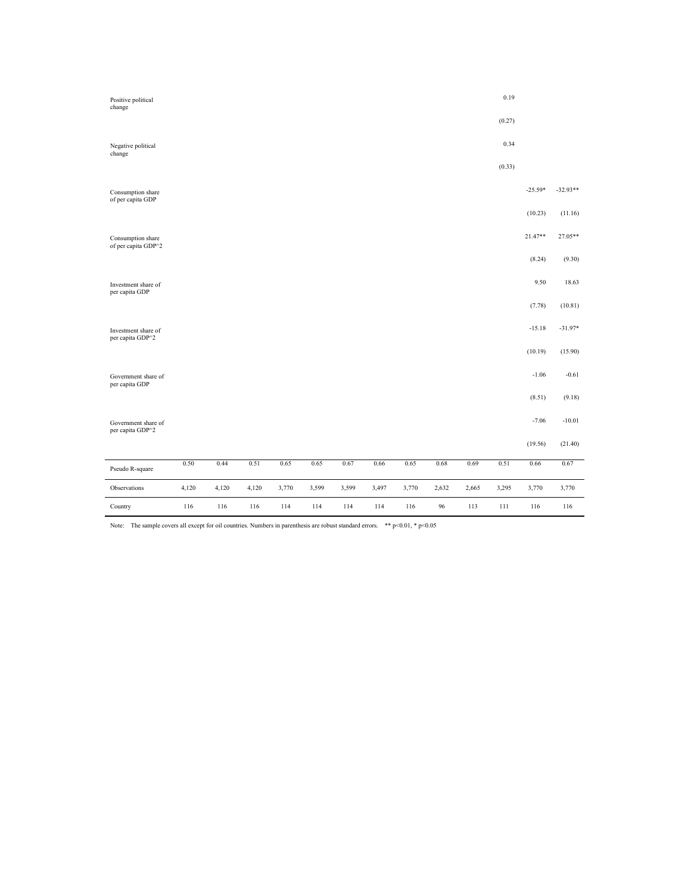| Positive political<br>change             |       |       |       |       |       |       |       |       |       |       | 0.19   |           |            |
|------------------------------------------|-------|-------|-------|-------|-------|-------|-------|-------|-------|-------|--------|-----------|------------|
|                                          |       |       |       |       |       |       |       |       |       |       | (0.27) |           |            |
| Negative political<br>change             |       |       |       |       |       |       |       |       |       |       | 0.34   |           |            |
|                                          |       |       |       |       |       |       |       |       |       |       | (0.33) |           |            |
| Consumption share<br>of per capita GDP   |       |       |       |       |       |       |       |       |       |       |        | $-25.59*$ | $-32.93**$ |
|                                          |       |       |       |       |       |       |       |       |       |       |        | (10.23)   | (11.16)    |
| Consumption share<br>of per capita GDP^2 |       |       |       |       |       |       |       |       |       |       |        | 21.47**   | 27.05**    |
|                                          |       |       |       |       |       |       |       |       |       |       |        | (8.24)    | (9.30)     |
| Investment share of<br>per capita GDP    |       |       |       |       |       |       |       |       |       |       |        | 9.50      | 18.63      |
|                                          |       |       |       |       |       |       |       |       |       |       |        | (7.78)    | (10.81)    |
| Investment share of<br>per capita GDP^2  |       |       |       |       |       |       |       |       |       |       |        | $-15.18$  | $-31.97*$  |
|                                          |       |       |       |       |       |       |       |       |       |       |        | (10.19)   | (15.90)    |
| Government share of<br>per capita GDP    |       |       |       |       |       |       |       |       |       |       |        | $-1.06$   | $-0.61$    |
|                                          |       |       |       |       |       |       |       |       |       |       |        | (8.51)    | (9.18)     |
| Government share of<br>per capita GDP^2  |       |       |       |       |       |       |       |       |       |       |        | $-7.06$   | $-10.01$   |
|                                          |       |       |       |       |       |       |       |       |       |       |        | (19.56)   | (21.40)    |
| Pseudo R-square                          | 0.50  | 0.44  | 0.51  | 0.65  | 0.65  | 0.67  | 0.66  | 0.65  | 0.68  | 0.69  | 0.51   | 0.66      | 0.67       |
| Observations                             | 4,120 | 4,120 | 4,120 | 3,770 | 3,599 | 3,599 | 3,497 | 3,770 | 2,632 | 2,665 | 3,295  | 3,770     | 3,770      |
| Country                                  | 116   | 116   | 116   | 114   | 114   | 114   | 114   | 116   | 96    | 113   | 111    | 116       | 116        |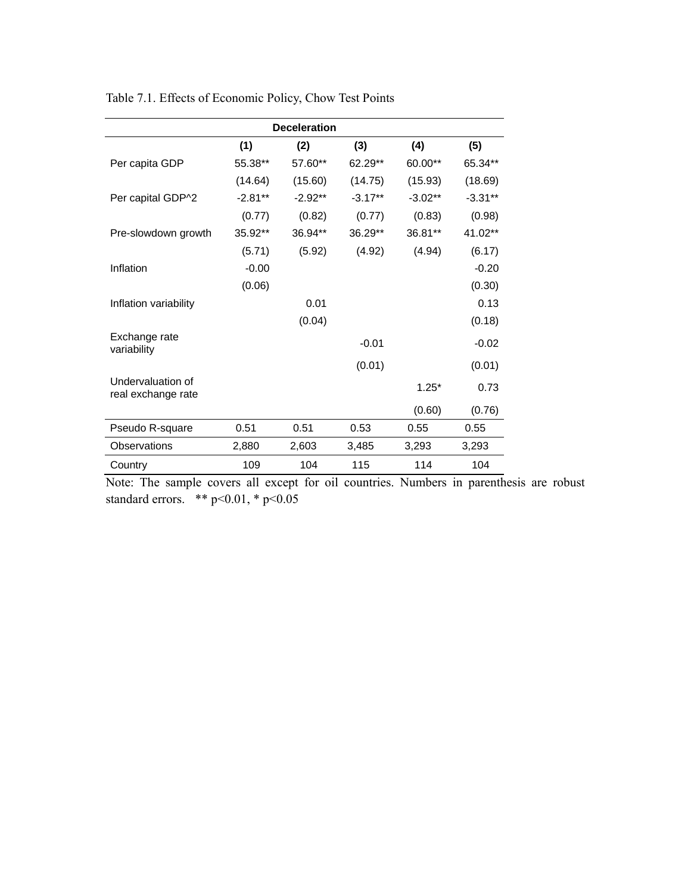| <b>Deceleration</b>                     |           |           |           |           |           |  |
|-----------------------------------------|-----------|-----------|-----------|-----------|-----------|--|
|                                         | (1)       | (2)       | (3)       | (4)       | (5)       |  |
| Per capita GDP                          | 55.38**   | 57.60**   | 62.29**   | 60.00**   | 65.34**   |  |
|                                         | (14.64)   | (15.60)   | (14.75)   | (15.93)   | (18.69)   |  |
| Per capital GDP^2                       | $-2.81**$ | $-2.92**$ | $-3.17**$ | $-3.02**$ | $-3.31**$ |  |
|                                         | (0.77)    | (0.82)    | (0.77)    | (0.83)    | (0.98)    |  |
| Pre-slowdown growth                     | 35.92**   | 36.94**   | 36.29**   | 36.81**   | 41.02**   |  |
|                                         | (5.71)    | (5.92)    | (4.92)    | (4.94)    | (6.17)    |  |
| Inflation                               | $-0.00$   |           |           |           | $-0.20$   |  |
|                                         | (0.06)    |           |           |           | (0.30)    |  |
| Inflation variability                   |           | 0.01      |           |           | 0.13      |  |
|                                         |           | (0.04)    |           |           | (0.18)    |  |
| Exchange rate<br>variability            |           |           | $-0.01$   |           | $-0.02$   |  |
|                                         |           |           | (0.01)    |           | (0.01)    |  |
| Undervaluation of<br>real exchange rate |           |           |           | $1.25*$   | 0.73      |  |
|                                         |           |           |           | (0.60)    | (0.76)    |  |
| Pseudo R-square                         | 0.51      | 0.51      | 0.53      | 0.55      | 0.55      |  |
| Observations                            | 2,880     | 2,603     | 3,485     | 3,293     | 3,293     |  |
| Country                                 | 109       | 104       | 115       | 114       | 104       |  |

Table 7.1. Effects of Economic Policy, Chow Test Points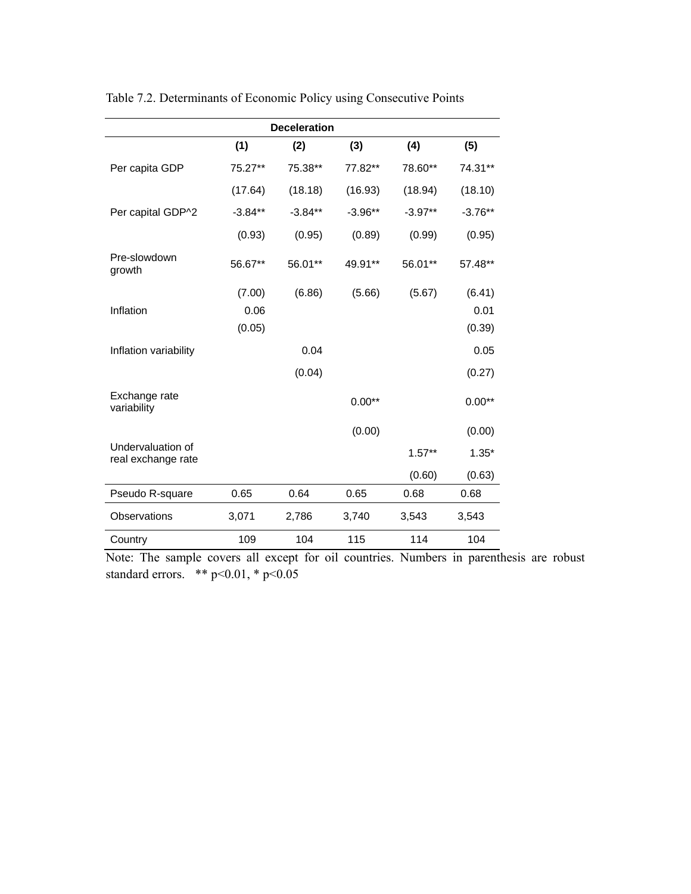|                                         |           | <b>Deceleration</b> |           |           |           |
|-----------------------------------------|-----------|---------------------|-----------|-----------|-----------|
|                                         | (1)       | (2)                 | (3)       | (4)       | (5)       |
| Per capita GDP                          | 75.27**   | 75.38**             | 77.82**   | 78.60**   | 74.31**   |
|                                         | (17.64)   | (18.18)             | (16.93)   | (18.94)   | (18.10)   |
| Per capital GDP^2                       | $-3.84**$ | $-3.84**$           | $-3.96**$ | $-3.97**$ | $-3.76**$ |
|                                         | (0.93)    | (0.95)              | (0.89)    | (0.99)    | (0.95)    |
| Pre-slowdown<br>growth                  | 56.67**   | 56.01**             | 49.91**   | 56.01**   | 57.48**   |
|                                         | (7.00)    | (6.86)              | (5.66)    | (5.67)    | (6.41)    |
| Inflation                               | 0.06      |                     |           |           | 0.01      |
|                                         | (0.05)    |                     |           |           | (0.39)    |
| Inflation variability                   |           | 0.04                |           |           | 0.05      |
|                                         |           | (0.04)              |           |           | (0.27)    |
| Exchange rate<br>variability            |           |                     | $0.00**$  |           | $0.00**$  |
|                                         |           |                     | (0.00)    |           | (0.00)    |
| Undervaluation of<br>real exchange rate |           |                     |           | $1.57**$  | $1.35*$   |
|                                         |           |                     |           | (0.60)    | (0.63)    |
| Pseudo R-square                         | 0.65      | 0.64                | 0.65      | 0.68      | 0.68      |
| Observations                            | 3,071     | 2,786               | 3,740     | 3,543     | 3,543     |
| Country                                 | 109       | 104                 | 115       | 114       | 104       |

Table 7.2. Determinants of Economic Policy using Consecutive Points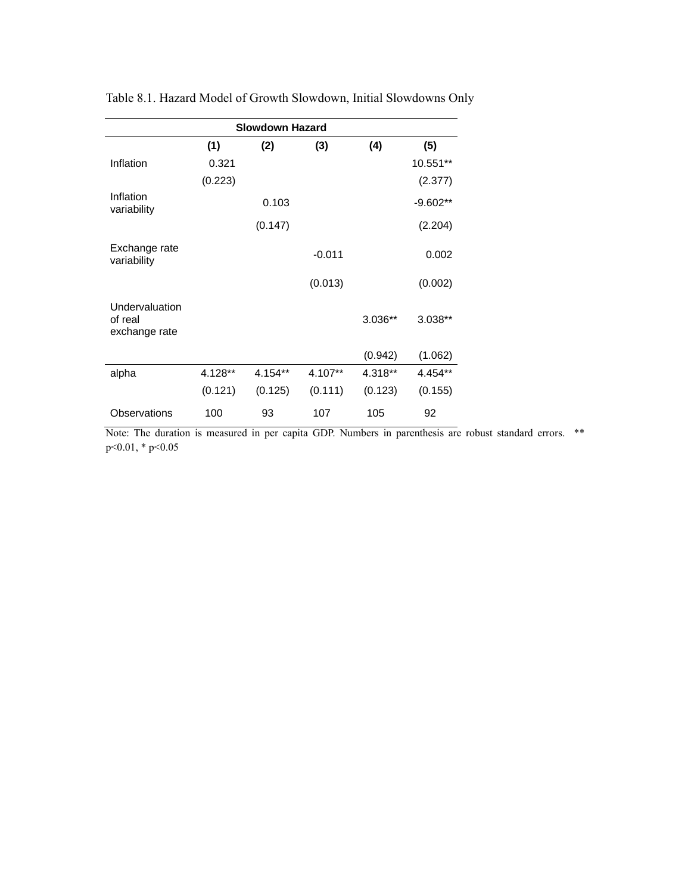| <b>Slowdown Hazard</b>                     |         |         |          |         |            |  |  |
|--------------------------------------------|---------|---------|----------|---------|------------|--|--|
|                                            | (1)     | (2)     | (3)      | (4)     | (5)        |  |  |
| Inflation                                  | 0.321   |         |          |         | 10.551**   |  |  |
|                                            | (0.223) |         |          |         | (2.377)    |  |  |
| Inflation<br>variability                   |         | 0.103   |          |         | $-9.602**$ |  |  |
|                                            |         | (0.147) |          |         | (2.204)    |  |  |
| Exchange rate<br>variability               |         |         | $-0.011$ |         | 0.002      |  |  |
|                                            |         |         | (0.013)  |         | (0.002)    |  |  |
| Undervaluation<br>of real<br>exchange rate |         |         |          | 3.036** | 3.038**    |  |  |
|                                            |         |         |          | (0.942) | (1.062)    |  |  |
| alpha                                      | 4.128** | 4.154** | 4.107**  | 4.318** | 4.454**    |  |  |
|                                            | (0.121) | (0.125) | (0.111)  | (0.123) | (0.155)    |  |  |
| Observations                               | 100     | 93      | 107      | 105     | 92         |  |  |

Table 8.1. Hazard Model of Growth Slowdown, Initial Slowdowns Only

Note: The duration is measured in per capita GDP. Numbers in parenthesis are robust standard errors. \*\* p<0.01, \* p<0.05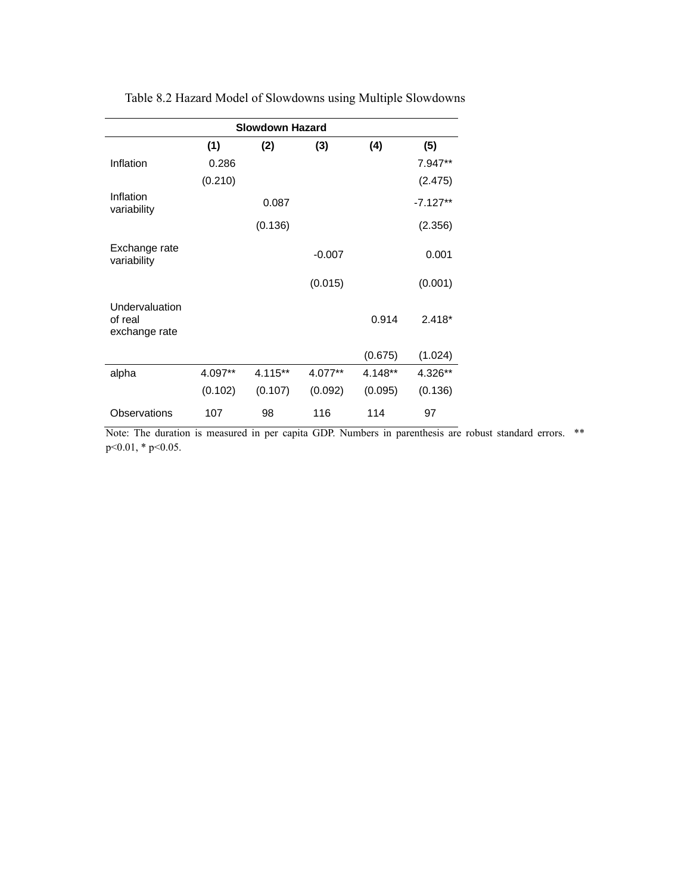| <b>Slowdown Hazard</b>                     |         |         |          |         |            |  |  |
|--------------------------------------------|---------|---------|----------|---------|------------|--|--|
|                                            | (1)     | (2)     | (3)      | (4)     | (5)        |  |  |
| Inflation                                  | 0.286   |         |          |         | 7.947**    |  |  |
|                                            | (0.210) |         |          |         | (2.475)    |  |  |
| Inflation<br>variability                   |         | 0.087   |          |         | $-7.127**$ |  |  |
|                                            |         | (0.136) |          |         | (2.356)    |  |  |
| Exchange rate<br>variability               |         |         | $-0.007$ |         | 0.001      |  |  |
|                                            |         |         | (0.015)  |         | (0.001)    |  |  |
| Undervaluation<br>of real<br>exchange rate |         |         |          | 0.914   | $2.418*$   |  |  |
|                                            |         |         |          | (0.675) | (1.024)    |  |  |
| alpha                                      | 4.097** | 4.115** | 4.077**  | 4.148** | 4.326**    |  |  |
|                                            | (0.102) | (0.107) | (0.092)  | (0.095) | (0.136)    |  |  |
| Observations                               | 107     | 98      | 116      | 114     | 97         |  |  |

Table 8.2 Hazard Model of Slowdowns using Multiple Slowdowns

Note: The duration is measured in per capita GDP. Numbers in parenthesis are robust standard errors. \*\* p<0.01, \* p<0.05.